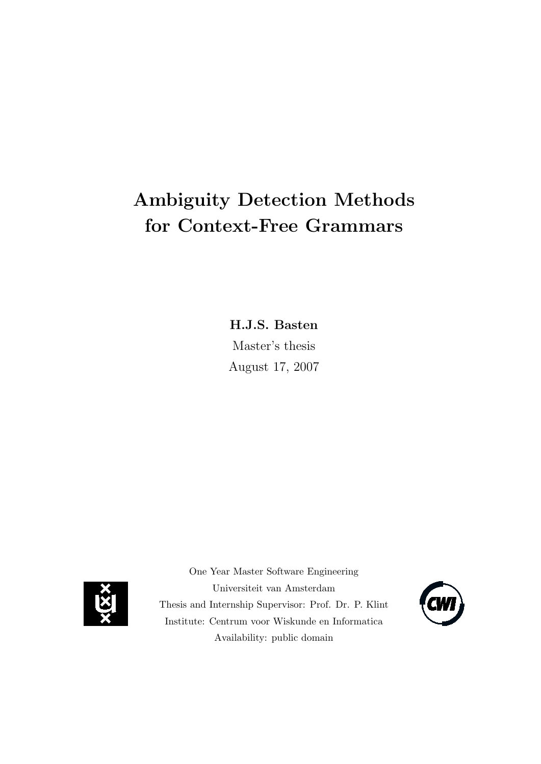# Ambiguity Detection Methods for Context-Free Grammars

H.J.S. Basten

Master's thesis August 17, 2007



One Year Master Software Engineering Universiteit van Amsterdam Thesis and Internship Supervisor: Prof. Dr. P. Klint Institute: Centrum voor Wiskunde en Informatica Availability: public domain

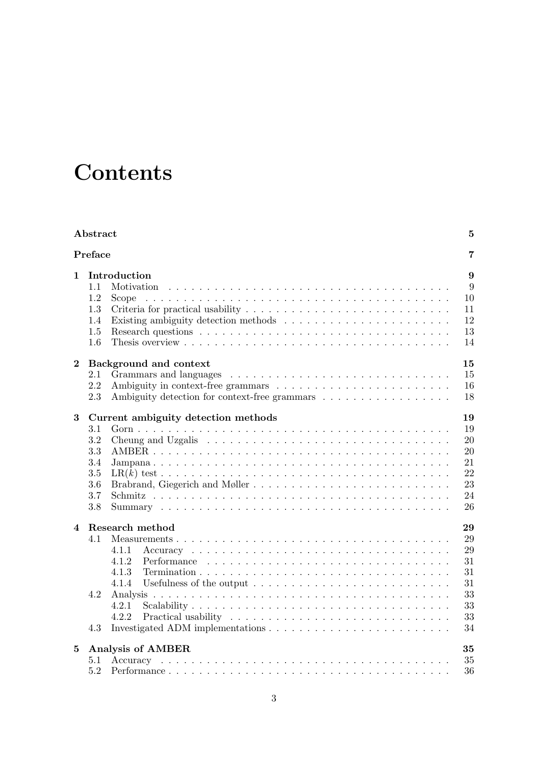# **Contents**

|                        | Abstract                                                 |                                                                                                                                                                                         | $\bf{5}$                                          |
|------------------------|----------------------------------------------------------|-----------------------------------------------------------------------------------------------------------------------------------------------------------------------------------------|---------------------------------------------------|
|                        | Preface                                                  |                                                                                                                                                                                         | 7                                                 |
| $\mathbf{1}$           | 1.1<br>1.2<br>1.3<br>1.4<br>1.5<br>1.6                   | Introduction<br>Motivation<br>Scope                                                                                                                                                     | $9\phantom{.}$<br>9<br>10<br>11<br>12<br>13<br>14 |
| $\bf{2}$               | 2.1<br>$2.2\,$<br>2.3                                    | 15<br>Background and context<br>Ambiguity detection for context-free grammars                                                                                                           | 15<br>16<br>18                                    |
| 3                      | 3.1<br>3.2<br>3.3<br>3.4<br>3.5<br>$3.6\,$<br>3.7<br>3.8 | Current ambiguity detection methods<br>19<br>Cheung and Uzgalis $\dots \dots \dots \dots \dots \dots \dots \dots \dots \dots \dots \dots \dots$<br>21<br>Brabrand, Giegerich and Møller | 19<br>20<br>20<br>22<br>23<br>24<br>26            |
| $\boldsymbol{\Lambda}$ | 4.1<br>4.2<br>4.3                                        | Research method<br>29<br>4.1.1<br>31<br>4.1.2<br>4.1.3<br>31<br>4.1.4<br>33<br>33<br>4.2.1<br>4.2.2                                                                                     | 29<br>29<br>31<br>33<br>34                        |
| 5                      | 5.1<br>5.2                                               | Analysis of AMBER<br>35<br>35                                                                                                                                                           | 36                                                |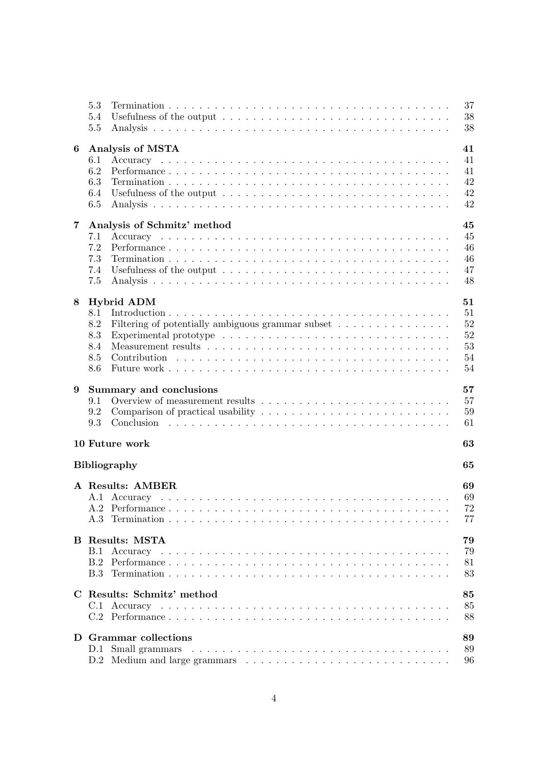|   | 5.3<br>5.4<br>5.5                                        | 37<br>38<br>38 |
|---|----------------------------------------------------------|----------------|
|   |                                                          |                |
| 6 | Analysis of MSTA                                         | 41             |
|   | 6.1                                                      | 41             |
|   | 6.2                                                      | 41             |
|   | 6.3                                                      | 42             |
|   | 6.4                                                      | 42             |
|   | 6.5                                                      | 42             |
| 7 | Analysis of Schmitz' method                              | 45             |
|   | 7.1                                                      | 45             |
|   | 7.2                                                      | 46             |
|   | 7.3                                                      | 46             |
|   | 7.4                                                      | 47             |
|   | 7.5                                                      | 48             |
|   |                                                          |                |
| 8 | Hybrid ADM                                               | 51             |
|   | 8.1                                                      | 51             |
|   | 8.2<br>Filtering of potentially ambiguous grammar subset | 52             |
|   | 8.3                                                      | 52             |
|   | 8.4                                                      | 53             |
|   | 8.5                                                      | 54<br>54       |
|   | 8.6                                                      |                |
| 9 | Summary and conclusions                                  | 57             |
|   | 9.1                                                      | 57             |
|   | 9.2                                                      | 59             |
|   | 9.3                                                      | 61             |
|   |                                                          |                |
|   | 10 Future work                                           | 63             |
|   | <b>Bibliography</b>                                      | 65             |
|   | A Results: AMBER                                         | 69             |
|   |                                                          | 69             |
|   |                                                          | 72             |
|   |                                                          | 77             |
|   |                                                          |                |
|   | <b>B</b> Results: MSTA                                   | 79             |
|   | B.1                                                      | 79             |
|   |                                                          | 81             |
|   |                                                          | 83             |
|   |                                                          |                |
|   | C Results: Schmitz' method                               | 85             |
|   |                                                          | 85             |
|   |                                                          | 88             |
|   | D Grammar collections                                    | 89             |
|   | D.1                                                      | 89             |
|   |                                                          | 96             |
|   |                                                          |                |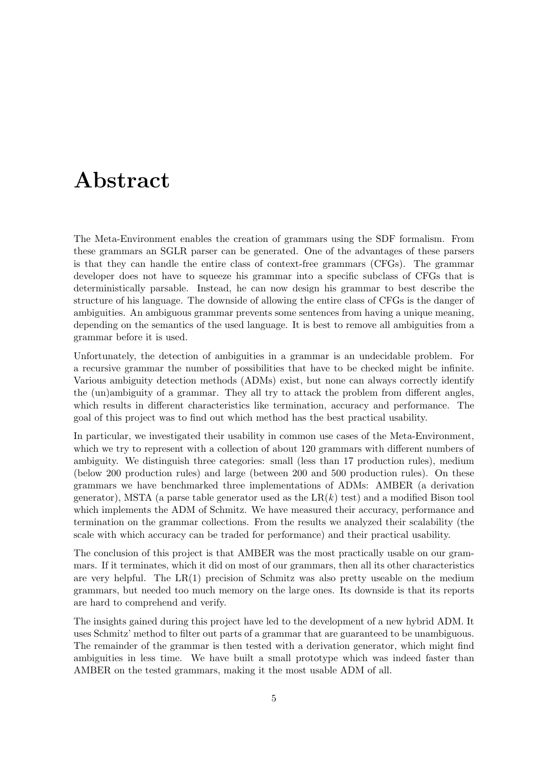# <span id="page-4-0"></span>Abstract

The Meta-Environment enables the creation of grammars using the SDF formalism. From these grammars an SGLR parser can be generated. One of the advantages of these parsers is that they can handle the entire class of context-free grammars (CFGs). The grammar developer does not have to squeeze his grammar into a specific subclass of CFGs that is deterministically parsable. Instead, he can now design his grammar to best describe the structure of his language. The downside of allowing the entire class of CFGs is the danger of ambiguities. An ambiguous grammar prevents some sentences from having a unique meaning, depending on the semantics of the used language. It is best to remove all ambiguities from a grammar before it is used.

Unfortunately, the detection of ambiguities in a grammar is an undecidable problem. For a recursive grammar the number of possibilities that have to be checked might be infinite. Various ambiguity detection methods (ADMs) exist, but none can always correctly identify the (un)ambiguity of a grammar. They all try to attack the problem from different angles, which results in different characteristics like termination, accuracy and performance. The goal of this project was to find out which method has the best practical usability.

In particular, we investigated their usability in common use cases of the Meta-Environment, which we try to represent with a collection of about 120 grammars with different numbers of ambiguity. We distinguish three categories: small (less than 17 production rules), medium (below 200 production rules) and large (between 200 and 500 production rules). On these grammars we have benchmarked three implementations of ADMs: AMBER (a derivation generator), MSTA (a parse table generator used as the  $LR(k)$  test) and a modified Bison tool which implements the ADM of Schmitz. We have measured their accuracy, performance and termination on the grammar collections. From the results we analyzed their scalability (the scale with which accuracy can be traded for performance) and their practical usability.

The conclusion of this project is that AMBER was the most practically usable on our grammars. If it terminates, which it did on most of our grammars, then all its other characteristics are very helpful. The  $LR(1)$  precision of Schmitz was also pretty useable on the medium grammars, but needed too much memory on the large ones. Its downside is that its reports are hard to comprehend and verify.

The insights gained during this project have led to the development of a new hybrid ADM. It uses Schmitz' method to filter out parts of a grammar that are guaranteed to be unambiguous. The remainder of the grammar is then tested with a derivation generator, which might find ambiguities in less time. We have built a small prototype which was indeed faster than AMBER on the tested grammars, making it the most usable ADM of all.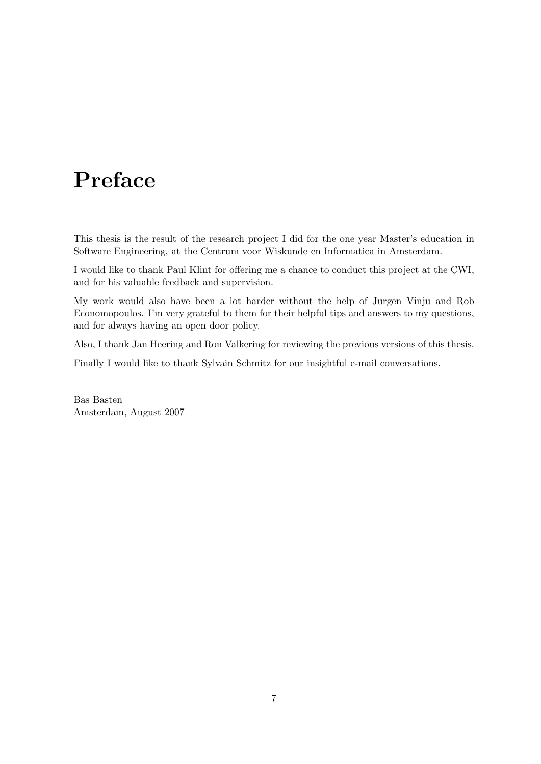# <span id="page-6-0"></span>Preface

This thesis is the result of the research project I did for the one year Master's education in Software Engineering, at the Centrum voor Wiskunde en Informatica in Amsterdam.

I would like to thank Paul Klint for offering me a chance to conduct this project at the CWI, and for his valuable feedback and supervision.

My work would also have been a lot harder without the help of Jurgen Vinju and Rob Economopoulos. I'm very grateful to them for their helpful tips and answers to my questions, and for always having an open door policy.

Also, I thank Jan Heering and Ron Valkering for reviewing the previous versions of this thesis.

Finally I would like to thank Sylvain Schmitz for our insightful e-mail conversations.

Bas Basten Amsterdam, August 2007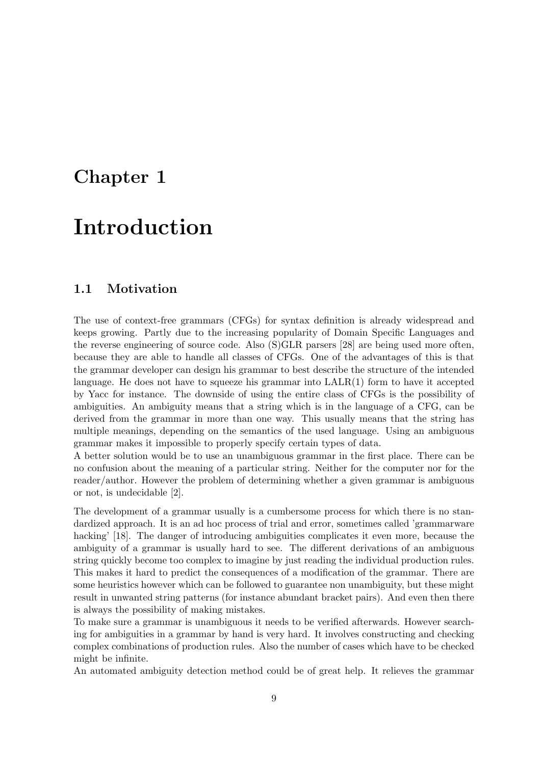# <span id="page-8-0"></span>Chapter 1

# Introduction

### <span id="page-8-1"></span>1.1 Motivation

The use of context-free grammars (CFGs) for syntax definition is already widespread and keeps growing. Partly due to the increasing popularity of Domain Specific Languages and the reverse engineering of source code. Also (S)GLR parsers [\[28\]](#page-66-0) are being used more often, because they are able to handle all classes of CFGs. One of the advantages of this is that the grammar developer can design his grammar to best describe the structure of the intended language. He does not have to squeeze his grammar into  $\text{LALR}(1)$  form to have it accepted by Yacc for instance. The downside of using the entire class of CFGs is the possibility of ambiguities. An ambiguity means that a string which is in the language of a CFG, can be derived from the grammar in more than one way. This usually means that the string has multiple meanings, depending on the semantics of the used language. Using an ambiguous grammar makes it impossible to properly specify certain types of data.

A better solution would be to use an unambiguous grammar in the first place. There can be no confusion about the meaning of a particular string. Neither for the computer nor for the reader/author. However the problem of determining whether a given grammar is ambiguous or not, is undecidable [\[2\]](#page-64-1).

The development of a grammar usually is a cumbersome process for which there is no standardized approach. It is an ad hoc process of trial and error, sometimes called 'grammarware hacking' [\[18\]](#page-65-0). The danger of introducing ambiguities complicates it even more, because the ambiguity of a grammar is usually hard to see. The different derivations of an ambiguous string quickly become too complex to imagine by just reading the individual production rules. This makes it hard to predict the consequences of a modification of the grammar. There are some heuristics however which can be followed to guarantee non unambiguity, but these might result in unwanted string patterns (for instance abundant bracket pairs). And even then there is always the possibility of making mistakes.

To make sure a grammar is unambiguous it needs to be verified afterwards. However searching for ambiguities in a grammar by hand is very hard. It involves constructing and checking complex combinations of production rules. Also the number of cases which have to be checked might be infinite.

An automated ambiguity detection method could be of great help. It relieves the grammar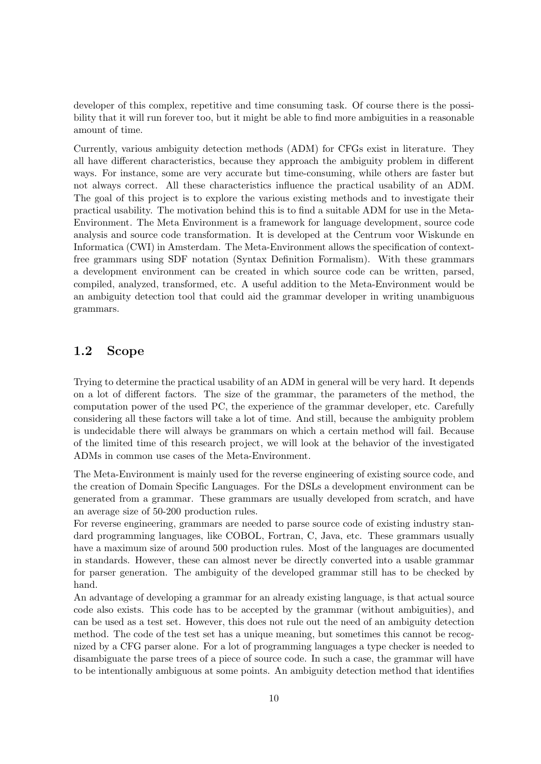developer of this complex, repetitive and time consuming task. Of course there is the possibility that it will run forever too, but it might be able to find more ambiguities in a reasonable amount of time.

Currently, various ambiguity detection methods (ADM) for CFGs exist in literature. They all have different characteristics, because they approach the ambiguity problem in different ways. For instance, some are very accurate but time-consuming, while others are faster but not always correct. All these characteristics influence the practical usability of an ADM. The goal of this project is to explore the various existing methods and to investigate their practical usability. The motivation behind this is to find a suitable ADM for use in the Meta-Environment. The Meta Environment is a framework for language development, source code analysis and source code transformation. It is developed at the Centrum voor Wiskunde en Informatica (CWI) in Amsterdam. The Meta-Environment allows the specification of contextfree grammars using SDF notation (Syntax Definition Formalism). With these grammars a development environment can be created in which source code can be written, parsed, compiled, analyzed, transformed, etc. A useful addition to the Meta-Environment would be an ambiguity detection tool that could aid the grammar developer in writing unambiguous grammars.

### <span id="page-9-0"></span>1.2 Scope

Trying to determine the practical usability of an ADM in general will be very hard. It depends on a lot of different factors. The size of the grammar, the parameters of the method, the computation power of the used PC, the experience of the grammar developer, etc. Carefully considering all these factors will take a lot of time. And still, because the ambiguity problem is undecidable there will always be grammars on which a certain method will fail. Because of the limited time of this research project, we will look at the behavior of the investigated ADMs in common use cases of the Meta-Environment.

The Meta-Environment is mainly used for the reverse engineering of existing source code, and the creation of Domain Specific Languages. For the DSLs a development environment can be generated from a grammar. These grammars are usually developed from scratch, and have an average size of 50-200 production rules.

For reverse engineering, grammars are needed to parse source code of existing industry standard programming languages, like COBOL, Fortran, C, Java, etc. These grammars usually have a maximum size of around 500 production rules. Most of the languages are documented in standards. However, these can almost never be directly converted into a usable grammar for parser generation. The ambiguity of the developed grammar still has to be checked by hand.

An advantage of developing a grammar for an already existing language, is that actual source code also exists. This code has to be accepted by the grammar (without ambiguities), and can be used as a test set. However, this does not rule out the need of an ambiguity detection method. The code of the test set has a unique meaning, but sometimes this cannot be recognized by a CFG parser alone. For a lot of programming languages a type checker is needed to disambiguate the parse trees of a piece of source code. In such a case, the grammar will have to be intentionally ambiguous at some points. An ambiguity detection method that identifies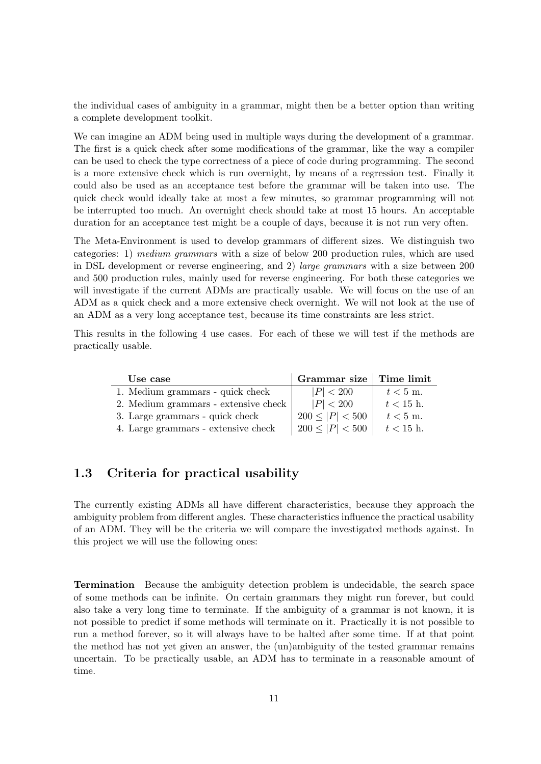the individual cases of ambiguity in a grammar, might then be a better option than writing a complete development toolkit.

We can imagine an ADM being used in multiple ways during the development of a grammar. The first is a quick check after some modifications of the grammar, like the way a compiler can be used to check the type correctness of a piece of code during programming. The second is a more extensive check which is run overnight, by means of a regression test. Finally it could also be used as an acceptance test before the grammar will be taken into use. The quick check would ideally take at most a few minutes, so grammar programming will not be interrupted too much. An overnight check should take at most 15 hours. An acceptable duration for an acceptance test might be a couple of days, because it is not run very often.

The Meta-Environment is used to develop grammars of different sizes. We distinguish two categories: 1) medium grammars with a size of below 200 production rules, which are used in DSL development or reverse engineering, and 2) large grammars with a size between 200 and 500 production rules, mainly used for reverse engineering. For both these categories we will investigate if the current ADMs are practically usable. We will focus on the use of an ADM as a quick check and a more extensive check overnight. We will not look at the use of an ADM as a very long acceptance test, because its time constraints are less strict.

This results in the following 4 use cases. For each of these we will test if the methods are practically usable.

| Use case                             | Grammar size   Time limit |             |
|--------------------------------------|---------------------------|-------------|
| 1. Medium grammars - quick check     | P  < 200                  | $t < 5$ m.  |
| 2. Medium grammars - extensive check | P  < 200                  | $t < 15$ h. |
| 3. Large grammars - quick check      | $200 \leq  P  < 500$      | $t < 5$ m.  |
| 4. Large grammars - extensive check  | $200 \leq  P  < 500$      | $t < 15$ h. |

### <span id="page-10-0"></span>1.3 Criteria for practical usability

The currently existing ADMs all have different characteristics, because they approach the ambiguity problem from different angles. These characteristics influence the practical usability of an ADM. They will be the criteria we will compare the investigated methods against. In this project we will use the following ones:

Termination Because the ambiguity detection problem is undecidable, the search space of some methods can be infinite. On certain grammars they might run forever, but could also take a very long time to terminate. If the ambiguity of a grammar is not known, it is not possible to predict if some methods will terminate on it. Practically it is not possible to run a method forever, so it will always have to be halted after some time. If at that point the method has not yet given an answer, the (un)ambiguity of the tested grammar remains uncertain. To be practically usable, an ADM has to terminate in a reasonable amount of time.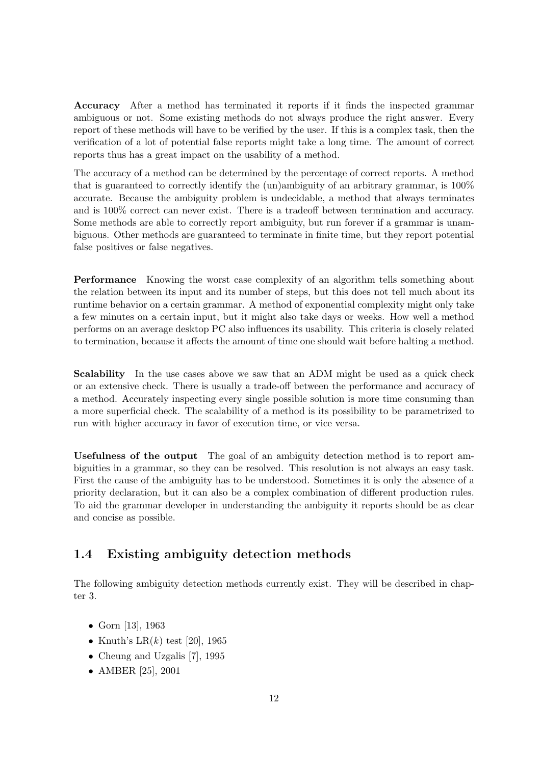Accuracy After a method has terminated it reports if it finds the inspected grammar ambiguous or not. Some existing methods do not always produce the right answer. Every report of these methods will have to be verified by the user. If this is a complex task, then the verification of a lot of potential false reports might take a long time. The amount of correct reports thus has a great impact on the usability of a method.

The accuracy of a method can be determined by the percentage of correct reports. A method that is guaranteed to correctly identify the (un)ambiguity of an arbitrary grammar, is 100% accurate. Because the ambiguity problem is undecidable, a method that always terminates and is 100% correct can never exist. There is a tradeoff between termination and accuracy. Some methods are able to correctly report ambiguity, but run forever if a grammar is unambiguous. Other methods are guaranteed to terminate in finite time, but they report potential false positives or false negatives.

Performance Knowing the worst case complexity of an algorithm tells something about the relation between its input and its number of steps, but this does not tell much about its runtime behavior on a certain grammar. A method of exponential complexity might only take a few minutes on a certain input, but it might also take days or weeks. How well a method performs on an average desktop PC also influences its usability. This criteria is closely related to termination, because it affects the amount of time one should wait before halting a method.

Scalability In the use cases above we saw that an ADM might be used as a quick check or an extensive check. There is usually a trade-off between the performance and accuracy of a method. Accurately inspecting every single possible solution is more time consuming than a more superficial check. The scalability of a method is its possibility to be parametrized to run with higher accuracy in favor of execution time, or vice versa.

Usefulness of the output The goal of an ambiguity detection method is to report ambiguities in a grammar, so they can be resolved. This resolution is not always an easy task. First the cause of the ambiguity has to be understood. Sometimes it is only the absence of a priority declaration, but it can also be a complex combination of different production rules. To aid the grammar developer in understanding the ambiguity it reports should be as clear and concise as possible.

## <span id="page-11-0"></span>1.4 Existing ambiguity detection methods

The following ambiguity detection methods currently exist. They will be described in chapter [3.](#page-18-0)

- Gorn [\[13\]](#page-65-1), 1963
- Knuth's LR $(k)$  test [\[20\]](#page-65-2), 1965
- Cheung and Uzgalis [\[7\]](#page-64-2), 1995
- AMBER [\[25\]](#page-66-1), 2001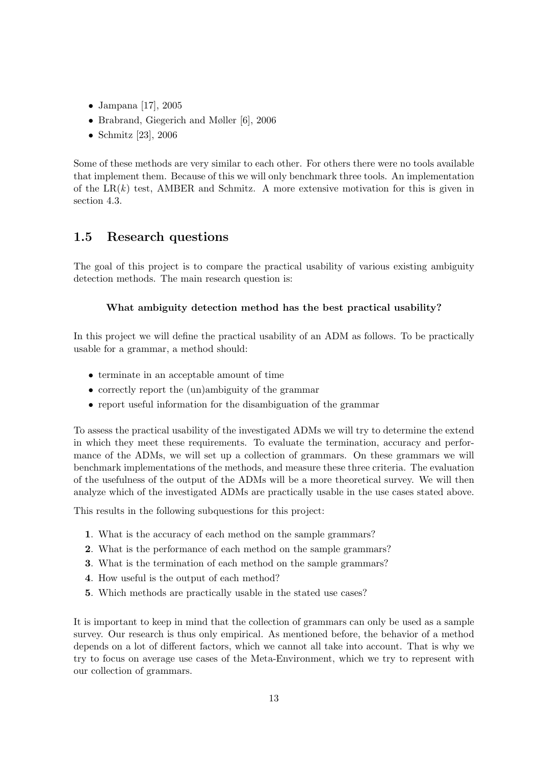- Jampana [\[17\]](#page-65-3), 2005
- Brabrand, Giegerich and Møller [\[6\]](#page-64-3), 2006
- Schmitz [\[23\]](#page-65-4), 2006

Some of these methods are very similar to each other. For others there were no tools available that implement them. Because of this we will only benchmark three tools. An implementation of the  $LR(k)$  test, AMBER and Schmitz. A more extensive motivation for this is given in section [4.3.](#page-33-0)

### <span id="page-12-0"></span>1.5 Research questions

The goal of this project is to compare the practical usability of various existing ambiguity detection methods. The main research question is:

#### What ambiguity detection method has the best practical usability?

In this project we will define the practical usability of an ADM as follows. To be practically usable for a grammar, a method should:

- terminate in an acceptable amount of time
- correctly report the (un)ambiguity of the grammar
- report useful information for the disambiguation of the grammar

To assess the practical usability of the investigated ADMs we will try to determine the extend in which they meet these requirements. To evaluate the termination, accuracy and performance of the ADMs, we will set up a collection of grammars. On these grammars we will benchmark implementations of the methods, and measure these three criteria. The evaluation of the usefulness of the output of the ADMs will be a more theoretical survey. We will then analyze which of the investigated ADMs are practically usable in the use cases stated above.

This results in the following subquestions for this project:

- 1. What is the accuracy of each method on the sample grammars?
- 2. What is the performance of each method on the sample grammars?
- 3. What is the termination of each method on the sample grammars?
- 4. How useful is the output of each method?
- 5. Which methods are practically usable in the stated use cases?

It is important to keep in mind that the collection of grammars can only be used as a sample survey. Our research is thus only empirical. As mentioned before, the behavior of a method depends on a lot of different factors, which we cannot all take into account. That is why we try to focus on average use cases of the Meta-Environment, which we try to represent with our collection of grammars.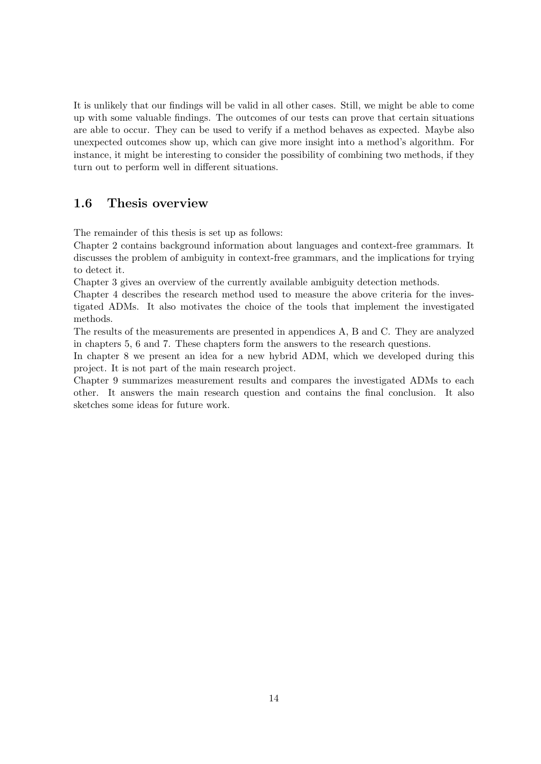It is unlikely that our findings will be valid in all other cases. Still, we might be able to come up with some valuable findings. The outcomes of our tests can prove that certain situations are able to occur. They can be used to verify if a method behaves as expected. Maybe also unexpected outcomes show up, which can give more insight into a method's algorithm. For instance, it might be interesting to consider the possibility of combining two methods, if they turn out to perform well in different situations.

### <span id="page-13-0"></span>1.6 Thesis overview

The remainder of this thesis is set up as follows:

Chapter [2](#page-14-0) contains background information about languages and context-free grammars. It discusses the problem of ambiguity in context-free grammars, and the implications for trying to detect it.

Chapter [3](#page-18-0) gives an overview of the currently available ambiguity detection methods.

Chapter [4](#page-28-0) describes the research method used to measure the above criteria for the investigated ADMs. It also motivates the choice of the tools that implement the investigated methods.

The results of the measurements are presented in appendices [A,](#page-68-0) [B](#page-78-0) and [C.](#page-84-0) They are analyzed in chapters [5,](#page-34-0) [6](#page-40-0) and [7.](#page-44-0) These chapters form the answers to the research questions.

In chapter [8](#page-50-0) we present an idea for a new hybrid ADM, which we developed during this project. It is not part of the main research project.

Chapter [9](#page-56-0) summarizes measurement results and compares the investigated ADMs to each other. It answers the main research question and contains the final conclusion. It also sketches some ideas for future work.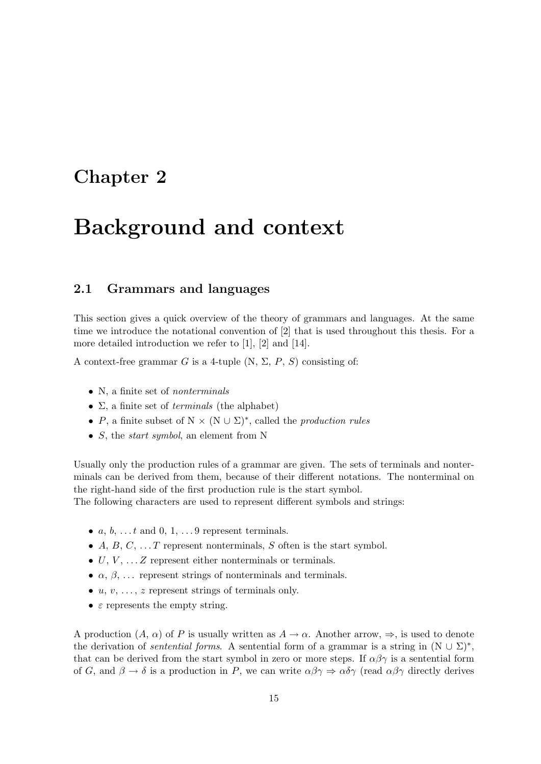## <span id="page-14-0"></span>Chapter 2

# Background and context

#### <span id="page-14-1"></span>2.1 Grammars and languages

This section gives a quick overview of the theory of grammars and languages. At the same time we introduce the notational convention of [\[2\]](#page-64-1) that is used throughout this thesis. For a more detailed introduction we refer to [\[1\]](#page-64-4), [\[2\]](#page-64-1) and [\[14\]](#page-65-5).

A context-free grammar G is a 4-tuple  $(N, \Sigma, P, S)$  consisting of:

- N, a finite set of *nonterminals*
- $\Sigma$ , a finite set of *terminals* (the alphabet)
- P, a finite subset of  $N \times (N \cup \Sigma)^*$ , called the *production rules*
- $S$ , the *start symbol*, an element from N

Usually only the production rules of a grammar are given. The sets of terminals and nonterminals can be derived from them, because of their different notations. The nonterminal on the right-hand side of the first production rule is the start symbol.

The following characters are used to represent different symbols and strings:

- $a, b, \ldots t$  and  $0, 1, \ldots 9$  represent terminals.
- A, B, C,  $\ldots$  T represent nonterminals, S often is the start symbol.
- $\bullet$  U, V,  $\ldots$  Z represent either nonterminals or terminals.
- $\alpha$ ,  $\beta$ , ... represent strings of nonterminals and terminals.
- $u, v, \ldots, z$  represent strings of terminals only.
- $\varepsilon$  represents the empty string.

A production  $(A, \alpha)$  of P is usually written as  $A \to \alpha$ . Another arrow,  $\Rightarrow$ , is used to denote the derivation of *sentential forms*. A sentential form of a grammar is a string in  $(N \cup \Sigma)^*$ , that can be derived from the start symbol in zero or more steps. If  $\alpha\beta\gamma$  is a sentential form of G, and  $\beta \to \delta$  is a production in P, we can write  $\alpha \beta \gamma \Rightarrow \alpha \delta \gamma$  (read  $\alpha \beta \gamma$  directly derives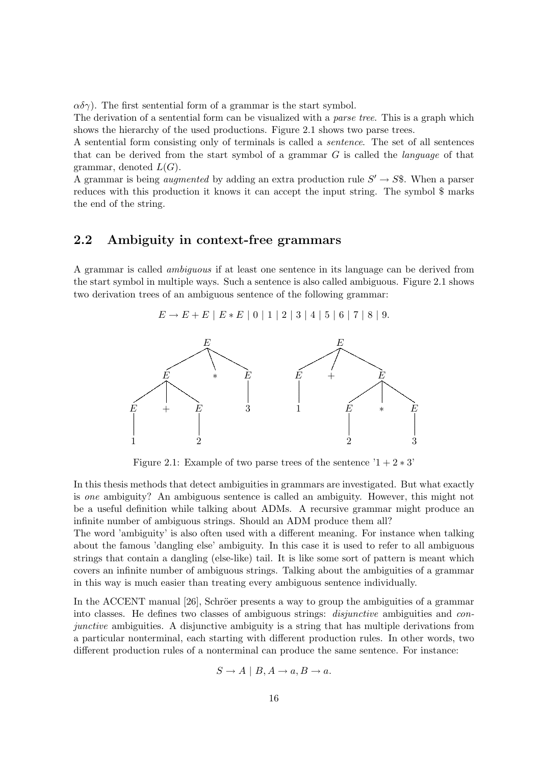$\alpha\delta\gamma$ ). The first sentential form of a grammar is the start symbol.

The derivation of a sentential form can be visualized with a *parse tree*. This is a graph which shows the hierarchy of the used productions. Figure [2.1](#page-15-1) shows two parse trees.

A sentential form consisting only of terminals is called a sentence. The set of all sentences that can be derived from the start symbol of a grammar  $G$  is called the *language* of that grammar, denoted  $L(G)$ .

A grammar is being *augmented* by adding an extra production rule  $S' \rightarrow S\$ . When a parser reduces with this production it knows it can accept the input string. The symbol \$ marks the end of the string.

#### <span id="page-15-0"></span>2.2 Ambiguity in context-free grammars

A grammar is called ambiguous if at least one sentence in its language can be derived from the start symbol in multiple ways. Such a sentence is also called ambiguous. Figure [2.1](#page-15-1) shows two derivation trees of an ambiguous sentence of the following grammar:

$$
E \to E + E |E * E |0 |1 |2 |3 |4 |5 |6 |7 |8 |9.
$$



<span id="page-15-1"></span>Figure 2.1: Example of two parse trees of the sentence  $1 + 2 * 3'$ 

In this thesis methods that detect ambiguities in grammars are investigated. But what exactly is one ambiguity? An ambiguous sentence is called an ambiguity. However, this might not be a useful definition while talking about ADMs. A recursive grammar might produce an infinite number of ambiguous strings. Should an ADM produce them all?

The word 'ambiguity' is also often used with a different meaning. For instance when talking about the famous 'dangling else' ambiguity. In this case it is used to refer to all ambiguous strings that contain a dangling (else-like) tail. It is like some sort of pattern is meant which covers an infinite number of ambiguous strings. Talking about the ambiguities of a grammar in this way is much easier than treating every ambiguous sentence individually.

In the ACCENT manual  $[26]$ , Schröer presents a way to group the ambiguities of a grammar into classes. He defines two classes of ambiguous strings: disjunctive ambiguities and conjunctive ambiguities. A disjunctive ambiguity is a string that has multiple derivations from a particular nonterminal, each starting with different production rules. In other words, two different production rules of a nonterminal can produce the same sentence. For instance:

$$
S \to A \mid B, A \to a, B \to a.
$$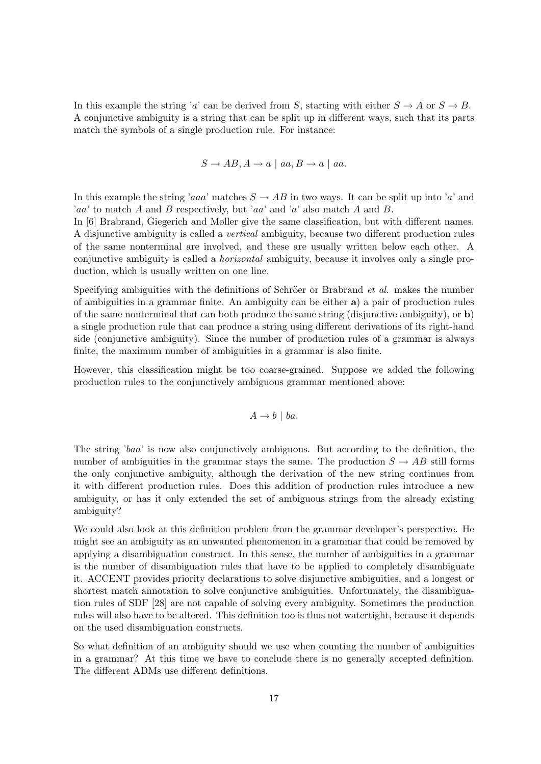In this example the string 'a' can be derived from S, starting with either  $S \to A$  or  $S \to B$ . A conjunctive ambiguity is a string that can be split up in different ways, such that its parts match the symbols of a single production rule. For instance:

$$
S \to AB, A \to a \mid aa, B \to a \mid aa.
$$

In this example the string 'aaa' matches  $S \to AB$  in two ways. It can be split up into 'a' and 'aa' to match A and B respectively, but 'aa' and 'a' also match A and B.

In [\[6\]](#page-64-3) Brabrand, Giegerich and Møller give the same classification, but with different names. A disjunctive ambiguity is called a vertical ambiguity, because two different production rules of the same nonterminal are involved, and these are usually written below each other. A conjunctive ambiguity is called a horizontal ambiguity, because it involves only a single production, which is usually written on one line.

Specifying ambiguities with the definitions of Schröer or Brabrand  $et al$ . makes the number of ambiguities in a grammar finite. An ambiguity can be either a) a pair of production rules of the same nonterminal that can both produce the same string (disjunctive ambiguity), or b) a single production rule that can produce a string using different derivations of its right-hand side (conjunctive ambiguity). Since the number of production rules of a grammar is always finite, the maximum number of ambiguities in a grammar is also finite.

However, this classification might be too coarse-grained. Suppose we added the following production rules to the conjunctively ambiguous grammar mentioned above:

$$
A \to b \mid ba.
$$

The string 'baa' is now also conjunctively ambiguous. But according to the definition, the number of ambiguities in the grammar stays the same. The production  $S \to AB$  still forms the only conjunctive ambiguity, although the derivation of the new string continues from it with different production rules. Does this addition of production rules introduce a new ambiguity, or has it only extended the set of ambiguous strings from the already existing ambiguity?

We could also look at this definition problem from the grammar developer's perspective. He might see an ambiguity as an unwanted phenomenon in a grammar that could be removed by applying a disambiguation construct. In this sense, the number of ambiguities in a grammar is the number of disambiguation rules that have to be applied to completely disambiguate it. ACCENT provides priority declarations to solve disjunctive ambiguities, and a longest or shortest match annotation to solve conjunctive ambiguities. Unfortunately, the disambiguation rules of SDF [\[28\]](#page-66-0) are not capable of solving every ambiguity. Sometimes the production rules will also have to be altered. This definition too is thus not watertight, because it depends on the used disambiguation constructs.

So what definition of an ambiguity should we use when counting the number of ambiguities in a grammar? At this time we have to conclude there is no generally accepted definition. The different ADMs use different definitions.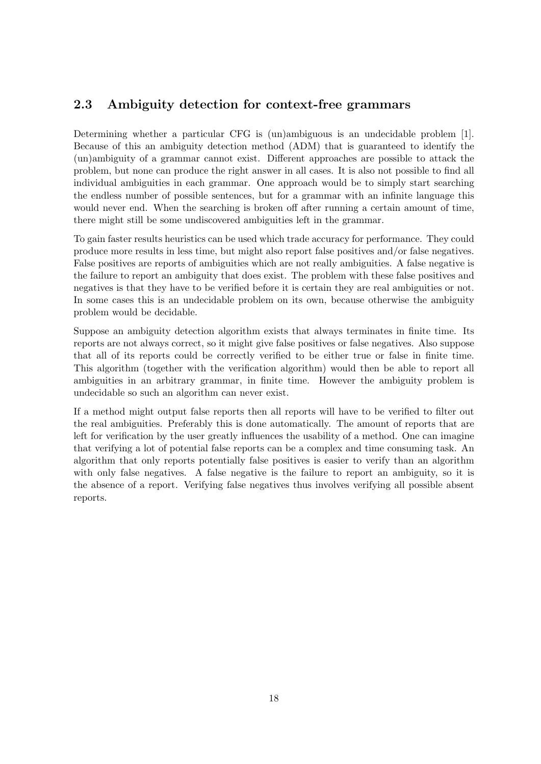## <span id="page-17-0"></span>2.3 Ambiguity detection for context-free grammars

Determining whether a particular CFG is (un)ambiguous is an undecidable problem [\[1\]](#page-64-4). Because of this an ambiguity detection method (ADM) that is guaranteed to identify the (un)ambiguity of a grammar cannot exist. Different approaches are possible to attack the problem, but none can produce the right answer in all cases. It is also not possible to find all individual ambiguities in each grammar. One approach would be to simply start searching the endless number of possible sentences, but for a grammar with an infinite language this would never end. When the searching is broken off after running a certain amount of time, there might still be some undiscovered ambiguities left in the grammar.

To gain faster results heuristics can be used which trade accuracy for performance. They could produce more results in less time, but might also report false positives and/or false negatives. False positives are reports of ambiguities which are not really ambiguities. A false negative is the failure to report an ambiguity that does exist. The problem with these false positives and negatives is that they have to be verified before it is certain they are real ambiguities or not. In some cases this is an undecidable problem on its own, because otherwise the ambiguity problem would be decidable.

Suppose an ambiguity detection algorithm exists that always terminates in finite time. Its reports are not always correct, so it might give false positives or false negatives. Also suppose that all of its reports could be correctly verified to be either true or false in finite time. This algorithm (together with the verification algorithm) would then be able to report all ambiguities in an arbitrary grammar, in finite time. However the ambiguity problem is undecidable so such an algorithm can never exist.

If a method might output false reports then all reports will have to be verified to filter out the real ambiguities. Preferably this is done automatically. The amount of reports that are left for verification by the user greatly influences the usability of a method. One can imagine that verifying a lot of potential false reports can be a complex and time consuming task. An algorithm that only reports potentially false positives is easier to verify than an algorithm with only false negatives. A false negative is the failure to report an ambiguity, so it is the absence of a report. Verifying false negatives thus involves verifying all possible absent reports.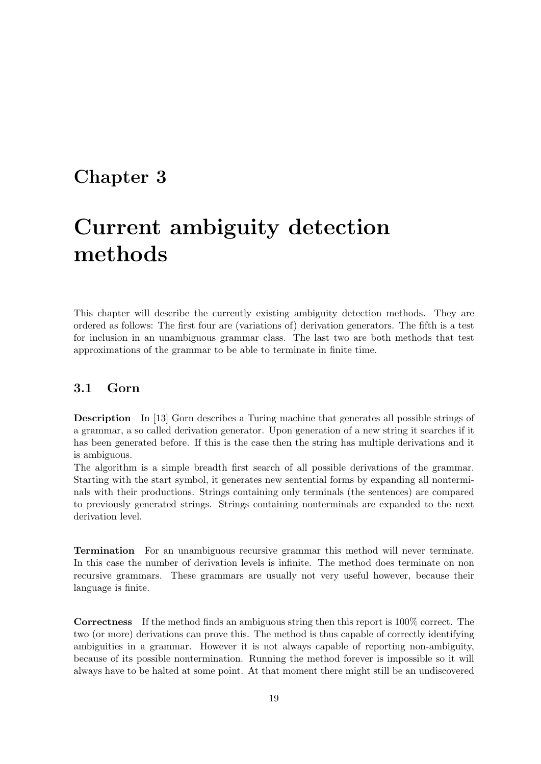## <span id="page-18-0"></span>Chapter 3

# Current ambiguity detection methods

This chapter will describe the currently existing ambiguity detection methods. They are ordered as follows: The first four are (variations of) derivation generators. The fifth is a test for inclusion in an unambiguous grammar class. The last two are both methods that test approximations of the grammar to be able to terminate in finite time.

### <span id="page-18-1"></span>3.1 Gorn

Description In [\[13\]](#page-65-1) Gorn describes a Turing machine that generates all possible strings of a grammar, a so called derivation generator. Upon generation of a new string it searches if it has been generated before. If this is the case then the string has multiple derivations and it is ambiguous.

The algorithm is a simple breadth first search of all possible derivations of the grammar. Starting with the start symbol, it generates new sentential forms by expanding all nonterminals with their productions. Strings containing only terminals (the sentences) are compared to previously generated strings. Strings containing nonterminals are expanded to the next derivation level.

Termination For an unambiguous recursive grammar this method will never terminate. In this case the number of derivation levels is infinite. The method does terminate on non recursive grammars. These grammars are usually not very useful however, because their language is finite.

Correctness If the method finds an ambiguous string then this report is 100% correct. The two (or more) derivations can prove this. The method is thus capable of correctly identifying ambiguities in a grammar. However it is not always capable of reporting non-ambiguity, because of its possible nontermination. Running the method forever is impossible so it will always have to be halted at some point. At that moment there might still be an undiscovered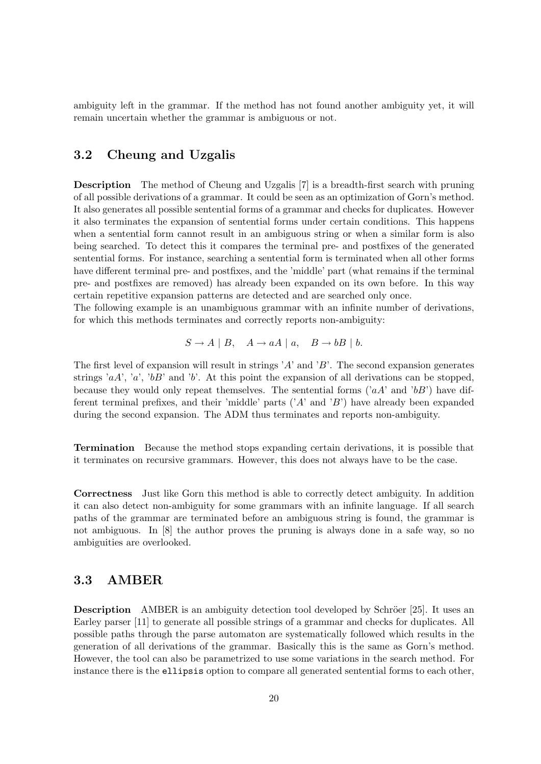ambiguity left in the grammar. If the method has not found another ambiguity yet, it will remain uncertain whether the grammar is ambiguous or not.

### <span id="page-19-0"></span>3.2 Cheung and Uzgalis

Description The method of Cheung and Uzgalis [\[7\]](#page-64-2) is a breadth-first search with pruning of all possible derivations of a grammar. It could be seen as an optimization of Gorn's method. It also generates all possible sentential forms of a grammar and checks for duplicates. However it also terminates the expansion of sentential forms under certain conditions. This happens when a sentential form cannot result in an ambiguous string or when a similar form is also being searched. To detect this it compares the terminal pre- and postfixes of the generated sentential forms. For instance, searching a sentential form is terminated when all other forms have different terminal pre- and postfixes, and the 'middle' part (what remains if the terminal pre- and postfixes are removed) has already been expanded on its own before. In this way certain repetitive expansion patterns are detected and are searched only once.

The following example is an unambiguous grammar with an infinite number of derivations, for which this methods terminates and correctly reports non-ambiguity:

$$
S \to A \mid B, \quad A \to aA \mid a, \quad B \to bB \mid b.
$$

The first level of expansion will result in strings  $A'$  and  $B'$ . The second expansion generates strings 'aA', 'a', 'bB' and 'b'. At this point the expansion of all derivations can be stopped, because they would only repeat themselves. The sentential forms  $(aA'$  and  $bB'$ ) have different terminal prefixes, and their 'middle' parts  $(A'$  and 'B') have already been expanded during the second expansion. The ADM thus terminates and reports non-ambiguity.

Termination Because the method stops expanding certain derivations, it is possible that it terminates on recursive grammars. However, this does not always have to be the case.

Correctness Just like Gorn this method is able to correctly detect ambiguity. In addition it can also detect non-ambiguity for some grammars with an infinite language. If all search paths of the grammar are terminated before an ambiguous string is found, the grammar is not ambiguous. In [\[8\]](#page-64-5) the author proves the pruning is always done in a safe way, so no ambiguities are overlooked.

### <span id="page-19-1"></span>3.3 AMBER

**Description** AMBER is an ambiguity detection tool developed by Schröer [\[25\]](#page-66-1). It uses an Earley parser [\[11\]](#page-64-6) to generate all possible strings of a grammar and checks for duplicates. All possible paths through the parse automaton are systematically followed which results in the generation of all derivations of the grammar. Basically this is the same as Gorn's method. However, the tool can also be parametrized to use some variations in the search method. For instance there is the ellipsis option to compare all generated sentential forms to each other,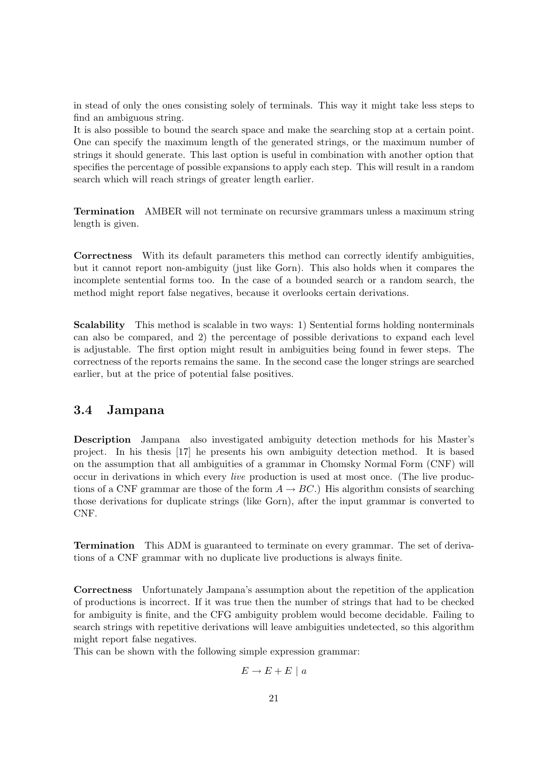in stead of only the ones consisting solely of terminals. This way it might take less steps to find an ambiguous string.

It is also possible to bound the search space and make the searching stop at a certain point. One can specify the maximum length of the generated strings, or the maximum number of strings it should generate. This last option is useful in combination with another option that specifies the percentage of possible expansions to apply each step. This will result in a random search which will reach strings of greater length earlier.

Termination AMBER will not terminate on recursive grammars unless a maximum string length is given.

Correctness With its default parameters this method can correctly identify ambiguities, but it cannot report non-ambiguity (just like Gorn). This also holds when it compares the incomplete sentential forms too. In the case of a bounded search or a random search, the method might report false negatives, because it overlooks certain derivations.

Scalability This method is scalable in two ways: 1) Sentential forms holding nonterminals can also be compared, and 2) the percentage of possible derivations to expand each level is adjustable. The first option might result in ambiguities being found in fewer steps. The correctness of the reports remains the same. In the second case the longer strings are searched earlier, but at the price of potential false positives.

### <span id="page-20-0"></span>3.4 Jampana

Description Jampana also investigated ambiguity detection methods for his Master's project. In his thesis [\[17\]](#page-65-3) he presents his own ambiguity detection method. It is based on the assumption that all ambiguities of a grammar in Chomsky Normal Form (CNF) will occur in derivations in which every live production is used at most once. (The live productions of a CNF grammar are those of the form  $A \to BC$ .) His algorithm consists of searching those derivations for duplicate strings (like Gorn), after the input grammar is converted to CNF.

Termination This ADM is guaranteed to terminate on every grammar. The set of derivations of a CNF grammar with no duplicate live productions is always finite.

Correctness Unfortunately Jampana's assumption about the repetition of the application of productions is incorrect. If it was true then the number of strings that had to be checked for ambiguity is finite, and the CFG ambiguity problem would become decidable. Failing to search strings with repetitive derivations will leave ambiguities undetected, so this algorithm might report false negatives.

This can be shown with the following simple expression grammar:

$$
E \to E + E \mid a
$$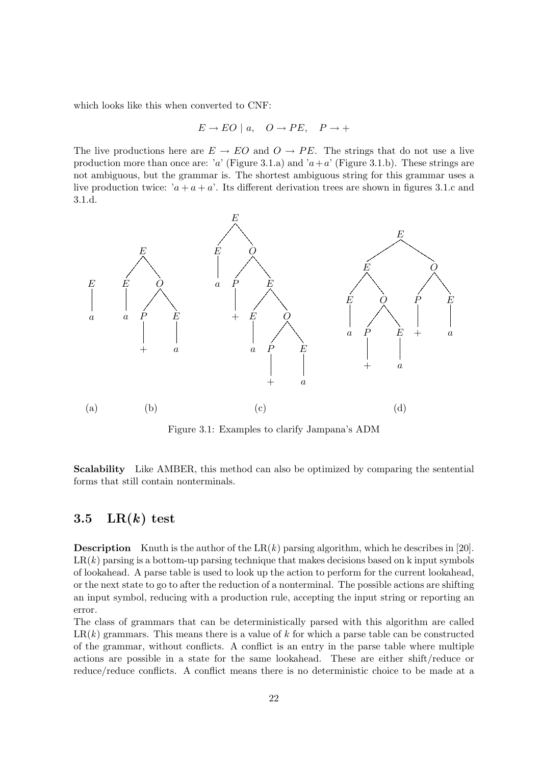which looks like this when converted to CNF:

$$
E \to EO \mid a, \quad O \to PE, \quad P \to +
$$

The live productions here are  $E \to EO$  and  $O \to PE$ . The strings that do not use a live production more than once are: 'a' (Figure [3.1.](#page-21-1)a) and 'a+a' (Figure 3.1.b). These strings are not ambiguous, but the grammar is. The shortest ambiguous string for this grammar uses a live production twice:  $a + a + a'$ . Its different derivation trees are shown in figures [3.1.](#page-21-1)c and [3.1.](#page-21-1)d.



<span id="page-21-1"></span>Figure 3.1: Examples to clarify Jampana's ADM

Scalability Like AMBER, this method can also be optimized by comparing the sentential forms that still contain nonterminals.

#### <span id="page-21-0"></span>3.5  $LR(k)$  test

**Description** Knuth is the author of the  $LR(k)$  parsing algorithm, which he describes in [\[20\]](#page-65-2).  $LR(k)$  parsing is a bottom-up parsing technique that makes decisions based on k input symbols of lookahead. A parse table is used to look up the action to perform for the current lookahead, or the next state to go to after the reduction of a nonterminal. The possible actions are shifting an input symbol, reducing with a production rule, accepting the input string or reporting an error.

The class of grammars that can be deterministically parsed with this algorithm are called  $LR(k)$  grammars. This means there is a value of k for which a parse table can be constructed of the grammar, without conflicts. A conflict is an entry in the parse table where multiple actions are possible in a state for the same lookahead. These are either shift/reduce or reduce/reduce conflicts. A conflict means there is no deterministic choice to be made at a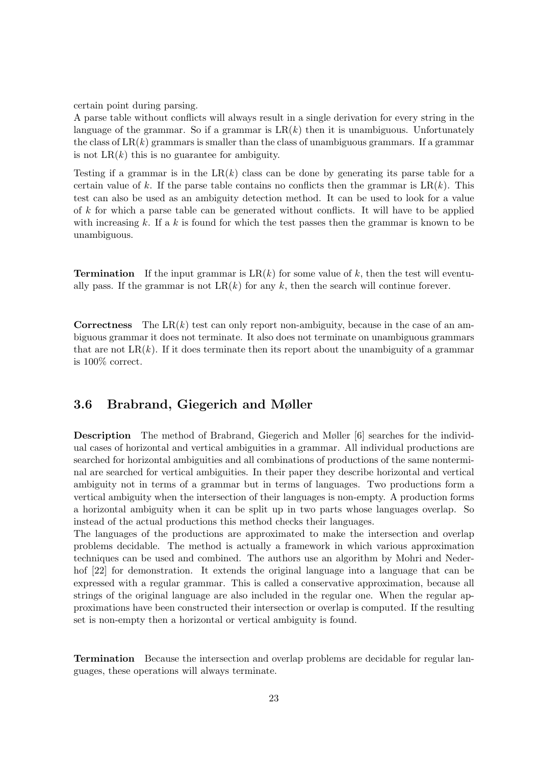certain point during parsing.

A parse table without conflicts will always result in a single derivation for every string in the language of the grammar. So if a grammar is  $LR(k)$  then it is unambiguous. Unfortunately the class of  $LR(k)$  grammars is smaller than the class of unambiguous grammars. If a grammar is not  $LR(k)$  this is no guarantee for ambiguity.

Testing if a grammar is in the  $LR(k)$  class can be done by generating its parse table for a certain value of k. If the parse table contains no conflicts then the grammar is  $LR(k)$ . This test can also be used as an ambiguity detection method. It can be used to look for a value of k for which a parse table can be generated without conflicts. It will have to be applied with increasing  $k$ . If a  $k$  is found for which the test passes then the grammar is known to be unambiguous.

**Termination** If the input grammar is  $LR(k)$  for some value of k, then the test will eventually pass. If the grammar is not  $LR(k)$  for any k, then the search will continue forever.

**Correctness** The  $LR(k)$  test can only report non-ambiguity, because in the case of an ambiguous grammar it does not terminate. It also does not terminate on unambiguous grammars that are not  $LR(k)$ . If it does terminate then its report about the unambiguity of a grammar is 100% correct.

### <span id="page-22-0"></span>3.6 Brabrand, Giegerich and Møller

Description The method of Brabrand, Giegerich and Møller [\[6\]](#page-64-3) searches for the individual cases of horizontal and vertical ambiguities in a grammar. All individual productions are searched for horizontal ambiguities and all combinations of productions of the same nonterminal are searched for vertical ambiguities. In their paper they describe horizontal and vertical ambiguity not in terms of a grammar but in terms of languages. Two productions form a vertical ambiguity when the intersection of their languages is non-empty. A production forms a horizontal ambiguity when it can be split up in two parts whose languages overlap. So instead of the actual productions this method checks their languages.

The languages of the productions are approximated to make the intersection and overlap problems decidable. The method is actually a framework in which various approximation techniques can be used and combined. The authors use an algorithm by Mohri and Nederhof  $[22]$  for demonstration. It extends the original language into a language that can be expressed with a regular grammar. This is called a conservative approximation, because all strings of the original language are also included in the regular one. When the regular approximations have been constructed their intersection or overlap is computed. If the resulting set is non-empty then a horizontal or vertical ambiguity is found.

Termination Because the intersection and overlap problems are decidable for regular languages, these operations will always terminate.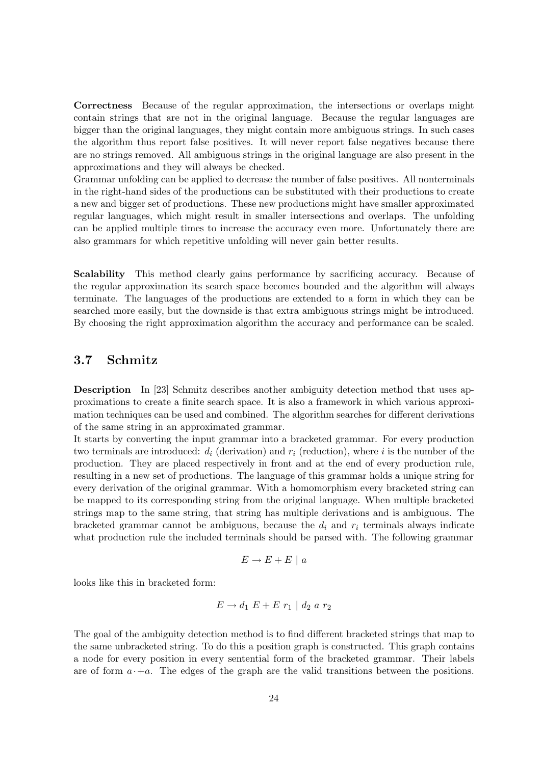Correctness Because of the regular approximation, the intersections or overlaps might contain strings that are not in the original language. Because the regular languages are bigger than the original languages, they might contain more ambiguous strings. In such cases the algorithm thus report false positives. It will never report false negatives because there are no strings removed. All ambiguous strings in the original language are also present in the approximations and they will always be checked.

Grammar unfolding can be applied to decrease the number of false positives. All nonterminals in the right-hand sides of the productions can be substituted with their productions to create a new and bigger set of productions. These new productions might have smaller approximated regular languages, which might result in smaller intersections and overlaps. The unfolding can be applied multiple times to increase the accuracy even more. Unfortunately there are also grammars for which repetitive unfolding will never gain better results.

Scalability This method clearly gains performance by sacrificing accuracy. Because of the regular approximation its search space becomes bounded and the algorithm will always terminate. The languages of the productions are extended to a form in which they can be searched more easily, but the downside is that extra ambiguous strings might be introduced. By choosing the right approximation algorithm the accuracy and performance can be scaled.

#### <span id="page-23-0"></span>3.7 Schmitz

Description In [\[23\]](#page-65-4) Schmitz describes another ambiguity detection method that uses approximations to create a finite search space. It is also a framework in which various approximation techniques can be used and combined. The algorithm searches for different derivations of the same string in an approximated grammar.

It starts by converting the input grammar into a bracketed grammar. For every production two terminals are introduced:  $d_i$  (derivation) and  $r_i$  (reduction), where i is the number of the production. They are placed respectively in front and at the end of every production rule, resulting in a new set of productions. The language of this grammar holds a unique string for every derivation of the original grammar. With a homomorphism every bracketed string can be mapped to its corresponding string from the original language. When multiple bracketed strings map to the same string, that string has multiple derivations and is ambiguous. The bracketed grammar cannot be ambiguous, because the  $d_i$  and  $r_i$  terminals always indicate what production rule the included terminals should be parsed with. The following grammar

$$
E \to E + E \mid a
$$

looks like this in bracketed form:

$$
E \to d_1 \ E + E \ r_1 \mid d_2 \ a \ r_2
$$

The goal of the ambiguity detection method is to find different bracketed strings that map to the same unbracketed string. To do this a position graph is constructed. This graph contains a node for every position in every sentential form of the bracketed grammar. Their labels are of form  $a \cdot +a$ . The edges of the graph are the valid transitions between the positions.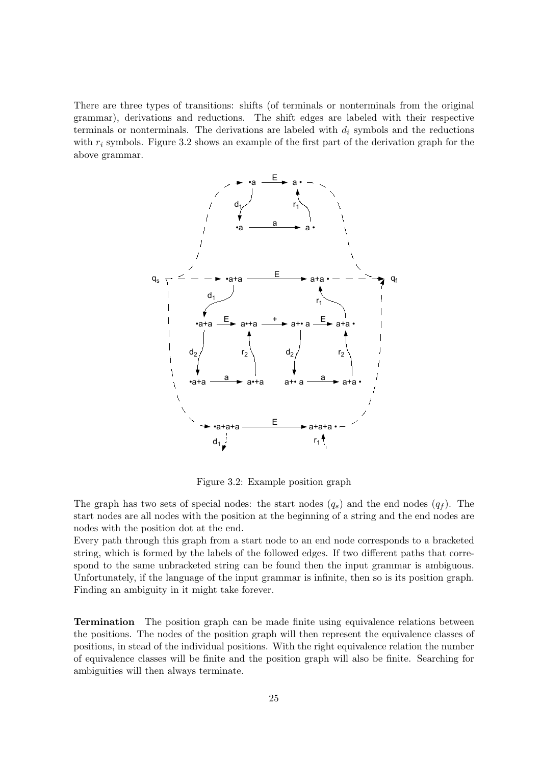There are three types of transitions: shifts (of terminals or nonterminals from the original grammar), derivations and reductions. The shift edges are labeled with their respective terminals or nonterminals. The derivations are labeled with  $d_i$  symbols and the reductions with  $r_i$  symbols. Figure [3.2](#page-24-0) shows an example of the first part of the derivation graph for the above grammar.



<span id="page-24-0"></span>Figure 3.2: Example position graph

The graph has two sets of special nodes: the start nodes  $(q_s)$  and the end nodes  $(q_f)$ . The start nodes are all nodes with the position at the beginning of a string and the end nodes are nodes with the position dot at the end.

Every path through this graph from a start node to an end node corresponds to a bracketed string, which is formed by the labels of the followed edges. If two different paths that correspond to the same unbracketed string can be found then the input grammar is ambiguous. Unfortunately, if the language of the input grammar is infinite, then so is its position graph. Finding an ambiguity in it might take forever.

Termination The position graph can be made finite using equivalence relations between the positions. The nodes of the position graph will then represent the equivalence classes of positions, in stead of the individual positions. With the right equivalence relation the number of equivalence classes will be finite and the position graph will also be finite. Searching for ambiguities will then always terminate.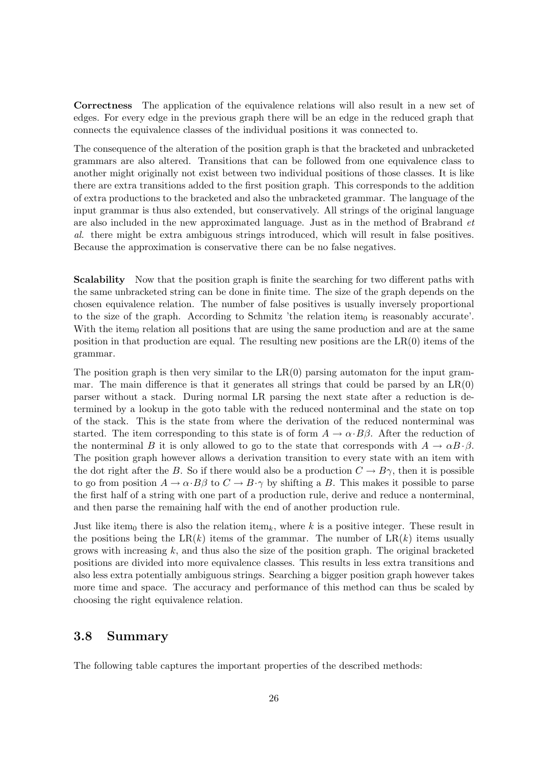Correctness The application of the equivalence relations will also result in a new set of edges. For every edge in the previous graph there will be an edge in the reduced graph that connects the equivalence classes of the individual positions it was connected to.

The consequence of the alteration of the position graph is that the bracketed and unbracketed grammars are also altered. Transitions that can be followed from one equivalence class to another might originally not exist between two individual positions of those classes. It is like there are extra transitions added to the first position graph. This corresponds to the addition of extra productions to the bracketed and also the unbracketed grammar. The language of the input grammar is thus also extended, but conservatively. All strings of the original language are also included in the new approximated language. Just as in the method of Brabrand et al. there might be extra ambiguous strings introduced, which will result in false positives. Because the approximation is conservative there can be no false negatives.

Scalability Now that the position graph is finite the searching for two different paths with the same unbracketed string can be done in finite time. The size of the graph depends on the chosen equivalence relation. The number of false positives is usually inversely proportional to the size of the graph. According to Schmitz 'the relation item $_0$  is reasonably accurate'. With the item<sub>0</sub> relation all positions that are using the same production and are at the same position in that production are equal. The resulting new positions are the  $LR(0)$  items of the grammar.

The position graph is then very similar to the  $LR(0)$  parsing automaton for the input grammar. The main difference is that it generates all strings that could be parsed by an  $LR(0)$ parser without a stack. During normal LR parsing the next state after a reduction is determined by a lookup in the goto table with the reduced nonterminal and the state on top of the stack. This is the state from where the derivation of the reduced nonterminal was started. The item corresponding to this state is of form  $A \to \alpha \cdot B\beta$ . After the reduction of the nonterminal B it is only allowed to go to the state that corresponds with  $A \to \alpha B \cdot \beta$ . The position graph however allows a derivation transition to every state with an item with the dot right after the B. So if there would also be a production  $C \to B\gamma$ , then it is possible to go from position  $A \to \alpha \cdot B\beta$  to  $C \to B \cdot \gamma$  by shifting a B. This makes it possible to parse the first half of a string with one part of a production rule, derive and reduce a nonterminal, and then parse the remaining half with the end of another production rule.

Just like item<sub>0</sub> there is also the relation item<sub>k</sub>, where k is a positive integer. These result in the positions being the LR(k) items of the grammar. The number of  $LR(k)$  items usually grows with increasing  $k$ , and thus also the size of the position graph. The original bracketed positions are divided into more equivalence classes. This results in less extra transitions and also less extra potentially ambiguous strings. Searching a bigger position graph however takes more time and space. The accuracy and performance of this method can thus be scaled by choosing the right equivalence relation.

#### <span id="page-25-0"></span>3.8 Summary

The following table captures the important properties of the described methods: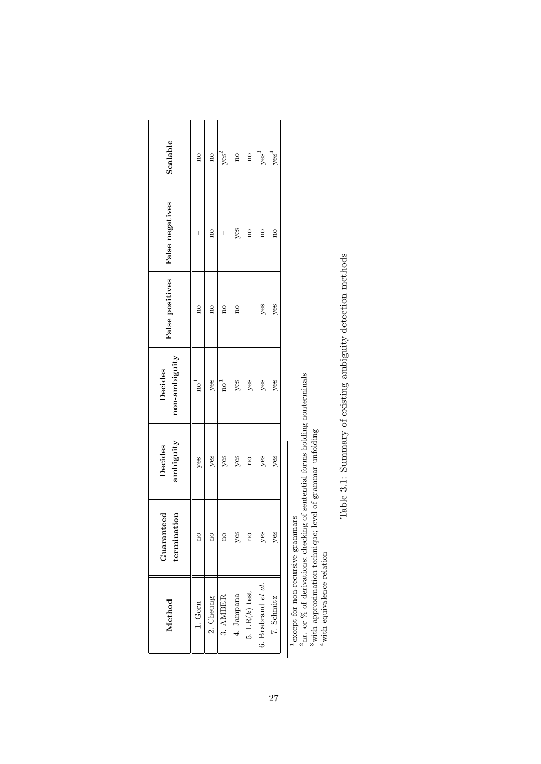| Scalable                      | $\overline{a}$          | $\overline{\rm{no}}$    | yes <sup>2</sup>        | $\overline{\mathrm{a}}$ | $\overline{\mathbf{a}}$ | yes <sup>3</sup>      | yes <sup>4</sup>        |
|-------------------------------|-------------------------|-------------------------|-------------------------|-------------------------|-------------------------|-----------------------|-------------------------|
| False negatives               |                         | $\overline{a}$          | I                       | yes                     | $\frac{1}{2}$           | $\frac{1}{2}$         | $\overline{\mathbf{a}}$ |
| False positives               | $\overline{\mathbf{n}}$ | $\overline{\rm{10}}$    | $\overline{a}$          | $\overline{\mathbf{a}}$ |                         | yes                   | yes                     |
| non-ambiguity<br>Decides      | no <sup>4</sup>         | $y$ es                  | $\mathrm{no}^1$         | $y$ es                  | $y$ es                  | $y$ es                | $y$ es                  |
| ambiguity<br>Decides          | yes                     | yes                     | yes                     | yes                     | $\overline{\mathbf{n}}$ | yes                   | yes                     |
| ion<br>Guaranteed<br>terminat | $\beta$                 | $\overline{\mathrm{a}}$ | $\overline{\mathrm{a}}$ | yes                     | $\overline{\mathrm{a}}$ | yes                   | yes                     |
| Method                        | $1.$ Gorn $\,$          | 2. Cheung               | $3.$ AMBER              | 4. Jampana              | 5. $LR(k)$ test         | 6. Brabrand $et\ al.$ | 7. Schmitz              |

1except for non-recursive grammars  $^2$ nr. or % of derivations; checking of sentential forms holding nonterminals

 $^1$  except for non-recursive grammars<br> $^2$ nr. or % of derivations; checking of sentential forms holding nonterminals<br> $^3$  with approximation technique; level of grammar unfolding<br> $^4$  with equivalence relation 3with approximation technique; level of grammar unfolding

4with equivalence relation

Table 3.1: Summary of existing ambiguity detection methods Table 3.1: Summary of existing ambiguity detection methods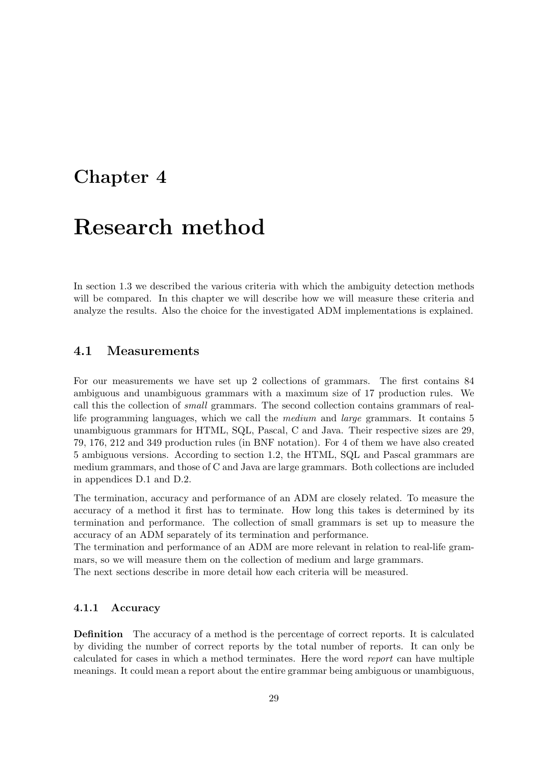## <span id="page-28-0"></span>Chapter 4

# Research method

In section [1.3](#page-10-0) we described the various criteria with which the ambiguity detection methods will be compared. In this chapter we will describe how we will measure these criteria and analyze the results. Also the choice for the investigated ADM implementations is explained.

#### <span id="page-28-1"></span>4.1 Measurements

For our measurements we have set up 2 collections of grammars. The first contains 84 ambiguous and unambiguous grammars with a maximum size of 17 production rules. We call this the collection of small grammars. The second collection contains grammars of reallife programming languages, which we call the medium and large grammars. It contains 5 unambiguous grammars for HTML, SQL, Pascal, C and Java. Their respective sizes are 29, 79, 176, 212 and 349 production rules (in BNF notation). For 4 of them we have also created 5 ambiguous versions. According to section [1.2,](#page-9-0) the HTML, SQL and Pascal grammars are medium grammars, and those of C and Java are large grammars. Both collections are included in appendices [D.1](#page-88-1) and [D.2.](#page-95-0)

The termination, accuracy and performance of an ADM are closely related. To measure the accuracy of a method it first has to terminate. How long this takes is determined by its termination and performance. The collection of small grammars is set up to measure the accuracy of an ADM separately of its termination and performance.

The termination and performance of an ADM are more relevant in relation to real-life grammars, so we will measure them on the collection of medium and large grammars.

The next sections describe in more detail how each criteria will be measured.

#### <span id="page-28-2"></span>4.1.1 Accuracy

Definition The accuracy of a method is the percentage of correct reports. It is calculated by dividing the number of correct reports by the total number of reports. It can only be calculated for cases in which a method terminates. Here the word report can have multiple meanings. It could mean a report about the entire grammar being ambiguous or unambiguous,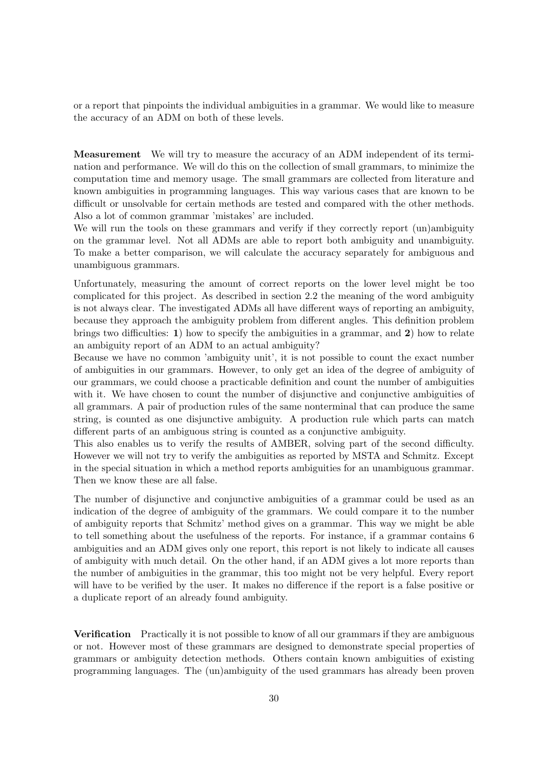or a report that pinpoints the individual ambiguities in a grammar. We would like to measure the accuracy of an ADM on both of these levels.

Measurement We will try to measure the accuracy of an ADM independent of its termination and performance. We will do this on the collection of small grammars, to minimize the computation time and memory usage. The small grammars are collected from literature and known ambiguities in programming languages. This way various cases that are known to be difficult or unsolvable for certain methods are tested and compared with the other methods. Also a lot of common grammar 'mistakes' are included.

We will run the tools on these grammars and verify if they correctly report (un)ambiguity on the grammar level. Not all ADMs are able to report both ambiguity and unambiguity. To make a better comparison, we will calculate the accuracy separately for ambiguous and unambiguous grammars.

Unfortunately, measuring the amount of correct reports on the lower level might be too complicated for this project. As described in section [2.2](#page-15-0) the meaning of the word ambiguity is not always clear. The investigated ADMs all have different ways of reporting an ambiguity, because they approach the ambiguity problem from different angles. This definition problem brings two difficulties: 1) how to specify the ambiguities in a grammar, and 2) how to relate an ambiguity report of an ADM to an actual ambiguity?

Because we have no common 'ambiguity unit', it is not possible to count the exact number of ambiguities in our grammars. However, to only get an idea of the degree of ambiguity of our grammars, we could choose a practicable definition and count the number of ambiguities with it. We have chosen to count the number of disjunctive and conjunctive ambiguities of all grammars. A pair of production rules of the same nonterminal that can produce the same string, is counted as one disjunctive ambiguity. A production rule which parts can match different parts of an ambiguous string is counted as a conjunctive ambiguity.

This also enables us to verify the results of AMBER, solving part of the second difficulty. However we will not try to verify the ambiguities as reported by MSTA and Schmitz. Except in the special situation in which a method reports ambiguities for an unambiguous grammar. Then we know these are all false.

The number of disjunctive and conjunctive ambiguities of a grammar could be used as an indication of the degree of ambiguity of the grammars. We could compare it to the number of ambiguity reports that Schmitz' method gives on a grammar. This way we might be able to tell something about the usefulness of the reports. For instance, if a grammar contains 6 ambiguities and an ADM gives only one report, this report is not likely to indicate all causes of ambiguity with much detail. On the other hand, if an ADM gives a lot more reports than the number of ambiguities in the grammar, this too might not be very helpful. Every report will have to be verified by the user. It makes no difference if the report is a false positive or a duplicate report of an already found ambiguity.

Verification Practically it is not possible to know of all our grammars if they are ambiguous or not. However most of these grammars are designed to demonstrate special properties of grammars or ambiguity detection methods. Others contain known ambiguities of existing programming languages. The (un)ambiguity of the used grammars has already been proven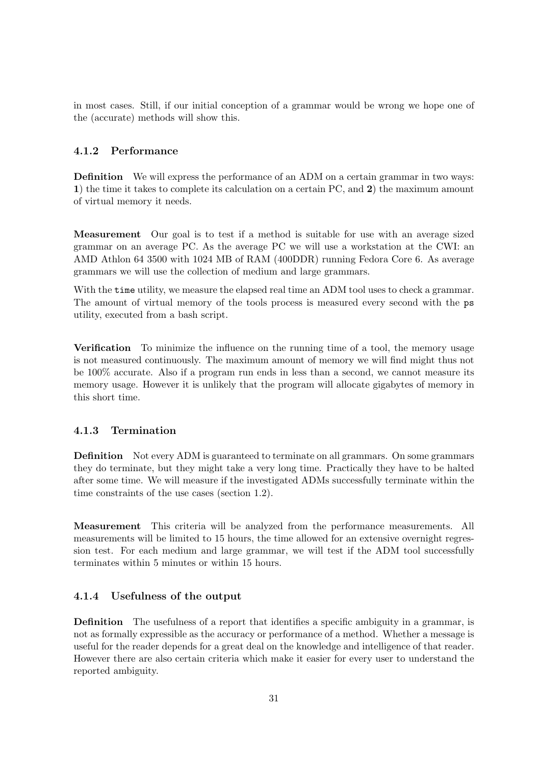in most cases. Still, if our initial conception of a grammar would be wrong we hope one of the (accurate) methods will show this.

#### <span id="page-30-0"></span>4.1.2 Performance

Definition We will express the performance of an ADM on a certain grammar in two ways: 1) the time it takes to complete its calculation on a certain PC, and 2) the maximum amount of virtual memory it needs.

Measurement Our goal is to test if a method is suitable for use with an average sized grammar on an average PC. As the average PC we will use a workstation at the CWI: an AMD Athlon 64 3500 with 1024 MB of RAM (400DDR) running Fedora Core 6. As average grammars we will use the collection of medium and large grammars.

With the **time** utility, we measure the elapsed real time an ADM tool uses to check a grammar. The amount of virtual memory of the tools process is measured every second with the ps utility, executed from a bash script.

Verification To minimize the influence on the running time of a tool, the memory usage is not measured continuously. The maximum amount of memory we will find might thus not be 100% accurate. Also if a program run ends in less than a second, we cannot measure its memory usage. However it is unlikely that the program will allocate gigabytes of memory in this short time.

#### <span id="page-30-1"></span>4.1.3 Termination

Definition Not every ADM is guaranteed to terminate on all grammars. On some grammars they do terminate, but they might take a very long time. Practically they have to be halted after some time. We will measure if the investigated ADMs successfully terminate within the time constraints of the use cases (section [1.2\)](#page-9-0).

Measurement This criteria will be analyzed from the performance measurements. All measurements will be limited to 15 hours, the time allowed for an extensive overnight regression test. For each medium and large grammar, we will test if the ADM tool successfully terminates within 5 minutes or within 15 hours.

#### <span id="page-30-2"></span>4.1.4 Usefulness of the output

Definition The usefulness of a report that identifies a specific ambiguity in a grammar, is not as formally expressible as the accuracy or performance of a method. Whether a message is useful for the reader depends for a great deal on the knowledge and intelligence of that reader. However there are also certain criteria which make it easier for every user to understand the reported ambiguity.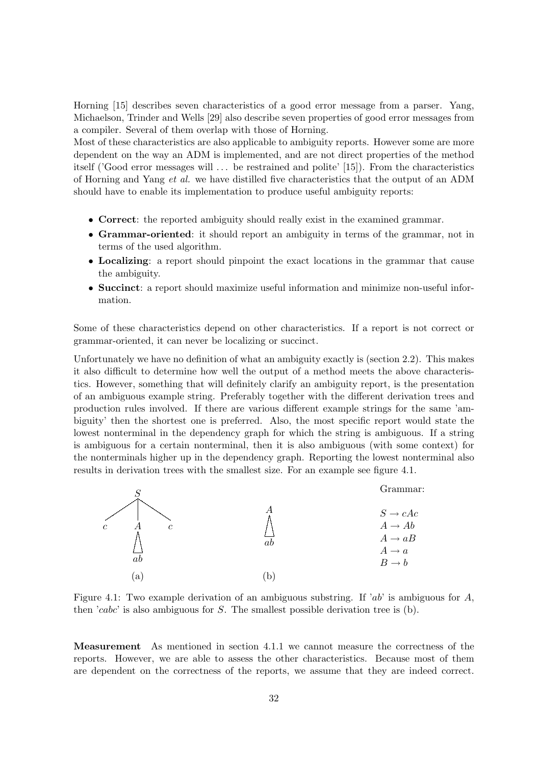Horning [\[15\]](#page-65-7) describes seven characteristics of a good error message from a parser. Yang, Michaelson, Trinder and Wells [\[29\]](#page-66-3) also describe seven properties of good error messages from a compiler. Several of them overlap with those of Horning.

Most of these characteristics are also applicable to ambiguity reports. However some are more dependent on the way an ADM is implemented, and are not direct properties of the method itself ('Good error messages will . . . be restrained and polite' [\[15\]](#page-65-7)). From the characteristics of Horning and Yang et al. we have distilled five characteristics that the output of an ADM should have to enable its implementation to produce useful ambiguity reports:

- Correct: the reported ambiguity should really exist in the examined grammar.
- Grammar-oriented: it should report an ambiguity in terms of the grammar, not in terms of the used algorithm.
- Localizing: a report should pinpoint the exact locations in the grammar that cause the ambiguity.
- Succinct: a report should maximize useful information and minimize non-useful information.

Some of these characteristics depend on other characteristics. If a report is not correct or grammar-oriented, it can never be localizing or succinct.

Unfortunately we have no definition of what an ambiguity exactly is (section [2.2\)](#page-15-0). This makes it also difficult to determine how well the output of a method meets the above characteristics. However, something that will definitely clarify an ambiguity report, is the presentation of an ambiguous example string. Preferably together with the different derivation trees and production rules involved. If there are various different example strings for the same 'ambiguity' then the shortest one is preferred. Also, the most specific report would state the lowest nonterminal in the dependency graph for which the string is ambiguous. If a string is ambiguous for a certain nonterminal, then it is also ambiguous (with some context) for the nonterminals higher up in the dependency graph. Reporting the lowest nonterminal also results in derivation trees with the smallest size. For an example see figure [4.1.](#page-31-0)



<span id="page-31-0"></span>Figure 4.1: Two example derivation of an ambiguous substring. If 'ab' is ambiguous for A, then 'cabc' is also ambiguous for  $S$ . The smallest possible derivation tree is (b).

Measurement As mentioned in section [4.1.1](#page-28-2) we cannot measure the correctness of the reports. However, we are able to assess the other characteristics. Because most of them are dependent on the correctness of the reports, we assume that they are indeed correct.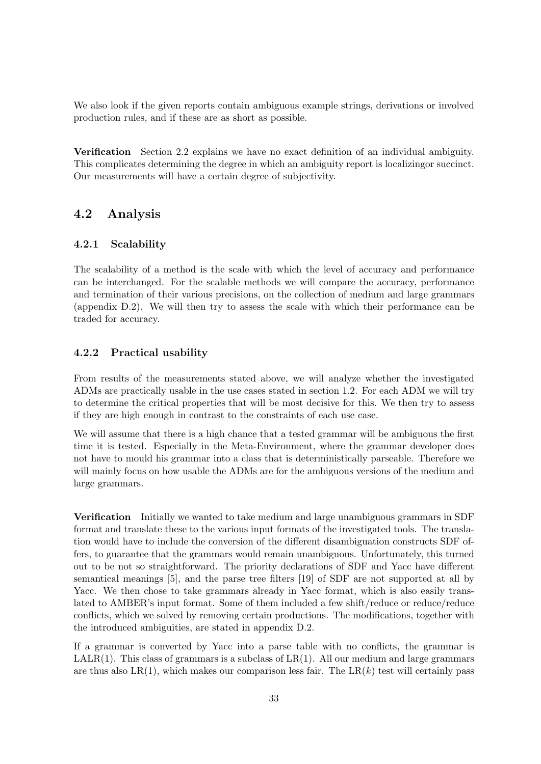We also look if the given reports contain ambiguous example strings, derivations or involved production rules, and if these are as short as possible.

Verification Section [2.2](#page-15-0) explains we have no exact definition of an individual ambiguity. This complicates determining the degree in which an ambiguity report is localizingor succinct. Our measurements will have a certain degree of subjectivity.

## <span id="page-32-0"></span>4.2 Analysis

#### <span id="page-32-1"></span>4.2.1 Scalability

The scalability of a method is the scale with which the level of accuracy and performance can be interchanged. For the scalable methods we will compare the accuracy, performance and termination of their various precisions, on the collection of medium and large grammars (appendix [D.2\)](#page-95-0). We will then try to assess the scale with which their performance can be traded for accuracy.

#### <span id="page-32-2"></span>4.2.2 Practical usability

From results of the measurements stated above, we will analyze whether the investigated ADMs are practically usable in the use cases stated in section [1.2.](#page-9-0) For each ADM we will try to determine the critical properties that will be most decisive for this. We then try to assess if they are high enough in contrast to the constraints of each use case.

We will assume that there is a high chance that a tested grammar will be ambiguous the first time it is tested. Especially in the Meta-Environment, where the grammar developer does not have to mould his grammar into a class that is deterministically parseable. Therefore we will mainly focus on how usable the ADMs are for the ambiguous versions of the medium and large grammars.

Verification Initially we wanted to take medium and large unambiguous grammars in SDF format and translate these to the various input formats of the investigated tools. The translation would have to include the conversion of the different disambiguation constructs SDF offers, to guarantee that the grammars would remain unambiguous. Unfortunately, this turned out to be not so straightforward. The priority declarations of SDF and Yacc have different semantical meanings [\[5\]](#page-64-7), and the parse tree filters [\[19\]](#page-65-8) of SDF are not supported at all by Yacc. We then chose to take grammars already in Yacc format, which is also easily translated to AMBER's input format. Some of them included a few shift/reduce or reduce/reduce conflicts, which we solved by removing certain productions. The modifications, together with the introduced ambiguities, are stated in appendix [D.2.](#page-95-0)

If a grammar is converted by Yacc into a parse table with no conflicts, the grammar is  $LALR(1)$ . This class of grammars is a subclass of  $LR(1)$ . All our medium and large grammars are thus also  $LR(1)$ , which makes our comparison less fair. The  $LR(k)$  test will certainly pass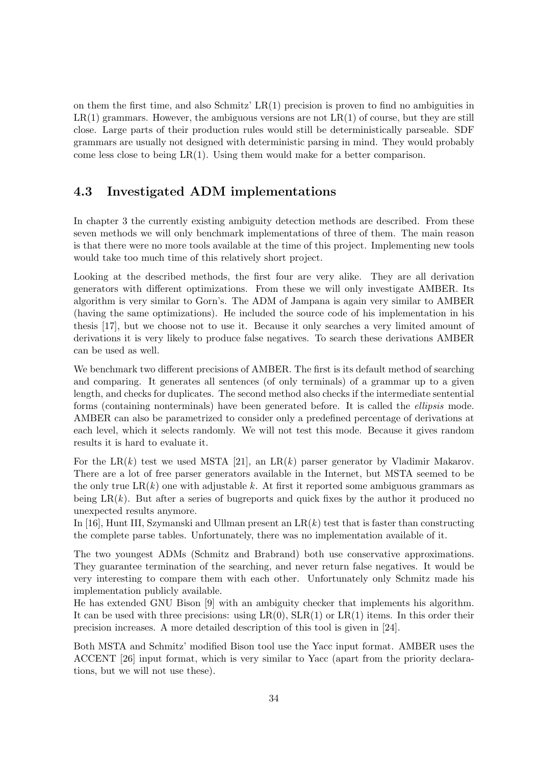on them the first time, and also Schmitz'  $LR(1)$  precision is proven to find no ambiguities in  $LR(1)$  grammars. However, the ambiguous versions are not  $LR(1)$  of course, but they are still close. Large parts of their production rules would still be deterministically parseable. SDF grammars are usually not designed with deterministic parsing in mind. They would probably come less close to being  $LR(1)$ . Using them would make for a better comparison.

### <span id="page-33-0"></span>4.3 Investigated ADM implementations

In chapter [3](#page-18-0) the currently existing ambiguity detection methods are described. From these seven methods we will only benchmark implementations of three of them. The main reason is that there were no more tools available at the time of this project. Implementing new tools would take too much time of this relatively short project.

Looking at the described methods, the first four are very alike. They are all derivation generators with different optimizations. From these we will only investigate AMBER. Its algorithm is very similar to Gorn's. The ADM of Jampana is again very similar to AMBER (having the same optimizations). He included the source code of his implementation in his thesis [\[17\]](#page-65-3), but we choose not to use it. Because it only searches a very limited amount of derivations it is very likely to produce false negatives. To search these derivations AMBER can be used as well.

We benchmark two different precisions of AMBER. The first is its default method of searching and comparing. It generates all sentences (of only terminals) of a grammar up to a given length, and checks for duplicates. The second method also checks if the intermediate sentential forms (containing nonterminals) have been generated before. It is called the ellipsis mode. AMBER can also be parametrized to consider only a predefined percentage of derivations at each level, which it selects randomly. We will not test this mode. Because it gives random results it is hard to evaluate it.

For the LR(k) test we used MSTA [\[21\]](#page-65-9), an LR(k) parser generator by Vladimir Makarov. There are a lot of free parser generators available in the Internet, but MSTA seemed to be the only true  $LR(k)$  one with adjustable k. At first it reported some ambiguous grammars as being  $LR(k)$ . But after a series of bugreports and quick fixes by the author it produced no unexpected results anymore.

In [\[16\]](#page-65-10), Hunt III, Szymanski and Ullman present an  $LR(k)$  test that is faster than constructing the complete parse tables. Unfortunately, there was no implementation available of it.

The two youngest ADMs (Schmitz and Brabrand) both use conservative approximations. They guarantee termination of the searching, and never return false negatives. It would be very interesting to compare them with each other. Unfortunately only Schmitz made his implementation publicly available.

He has extended GNU Bison [\[9\]](#page-64-8) with an ambiguity checker that implements his algorithm. It can be used with three precisions: using  $LR(0)$ ,  $SLR(1)$  or  $LR(1)$  items. In this order their precision increases. A more detailed description of this tool is given in [\[24\]](#page-65-11).

Both MSTA and Schmitz' modified Bison tool use the Yacc input format. AMBER uses the ACCENT [\[26\]](#page-66-2) input format, which is very similar to Yacc (apart from the priority declarations, but we will not use these).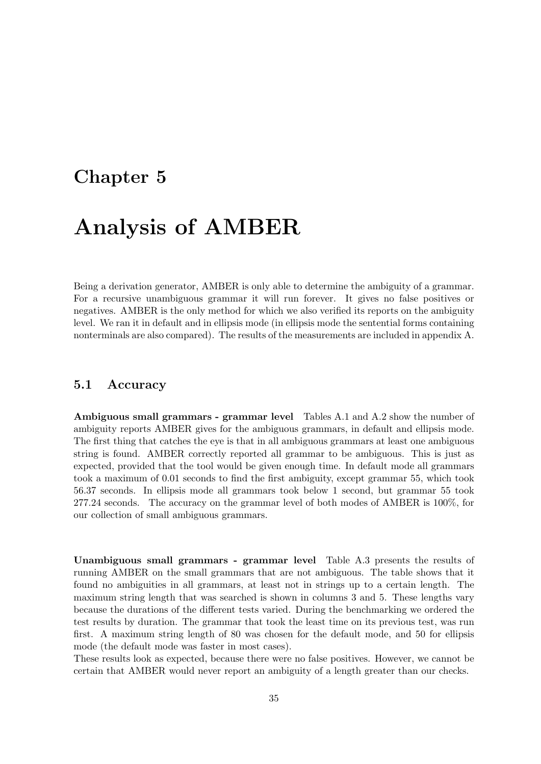# <span id="page-34-0"></span>Chapter 5

# Analysis of AMBER

Being a derivation generator, AMBER is only able to determine the ambiguity of a grammar. For a recursive unambiguous grammar it will run forever. It gives no false positives or negatives. AMBER is the only method for which we also verified its reports on the ambiguity level. We ran it in default and in ellipsis mode (in ellipsis mode the sentential forms containing nonterminals are also compared). The results of the measurements are included in appendix [A.](#page-68-0)

#### <span id="page-34-1"></span>5.1 Accuracy

Ambiguous small grammars - grammar level Tables [A.1](#page-68-2) and [A.2](#page-69-0) show the number of ambiguity reports AMBER gives for the ambiguous grammars, in default and ellipsis mode. The first thing that catches the eye is that in all ambiguous grammars at least one ambiguous string is found. AMBER correctly reported all grammar to be ambiguous. This is just as expected, provided that the tool would be given enough time. In default mode all grammars took a maximum of 0.01 seconds to find the first ambiguity, except grammar 55, which took 56.37 seconds. In ellipsis mode all grammars took below 1 second, but grammar 55 took 277.24 seconds. The accuracy on the grammar level of both modes of AMBER is 100%, for our collection of small ambiguous grammars.

Unambiguous small grammars - grammar level Table [A.3](#page-70-0) presents the results of running AMBER on the small grammars that are not ambiguous. The table shows that it found no ambiguities in all grammars, at least not in strings up to a certain length. The maximum string length that was searched is shown in columns 3 and 5. These lengths vary because the durations of the different tests varied. During the benchmarking we ordered the test results by duration. The grammar that took the least time on its previous test, was run first. A maximum string length of 80 was chosen for the default mode, and 50 for ellipsis mode (the default mode was faster in most cases).

These results look as expected, because there were no false positives. However, we cannot be certain that AMBER would never report an ambiguity of a length greater than our checks.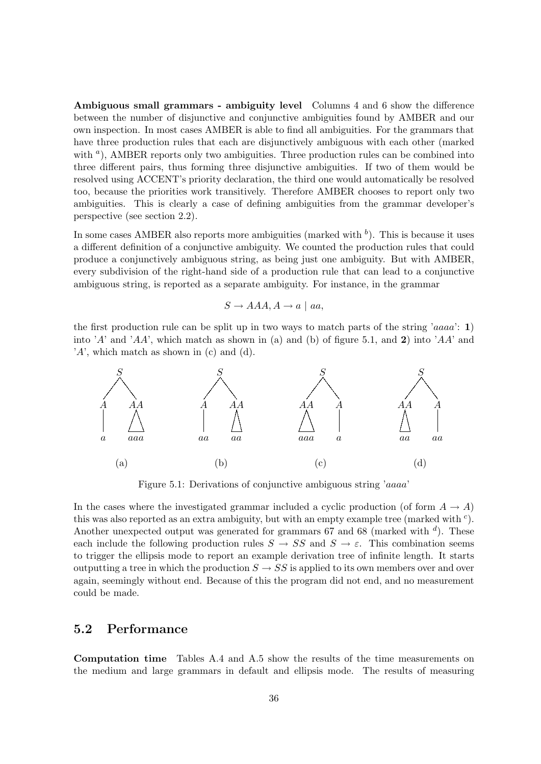Ambiguous small grammars - ambiguity level Columns 4 and 6 show the difference between the number of disjunctive and conjunctive ambiguities found by AMBER and our own inspection. In most cases AMBER is able to find all ambiguities. For the grammars that have three production rules that each are disjunctively ambiguous with each other (marked with <sup>a</sup>), AMBER reports only two ambiguities. Three production rules can be combined into three different pairs, thus forming three disjunctive ambiguities. If two of them would be resolved using ACCENT's priority declaration, the third one would automatically be resolved too, because the priorities work transitively. Therefore AMBER chooses to report only two ambiguities. This is clearly a case of defining ambiguities from the grammar developer's perspective (see section [2.2\)](#page-15-0).

In some cases AMBER also reports more ambiguities (marked with  $\bar{b}$ ). This is because it uses a different definition of a conjunctive ambiguity. We counted the production rules that could produce a conjunctively ambiguous string, as being just one ambiguity. But with AMBER, every subdivision of the right-hand side of a production rule that can lead to a conjunctive ambiguous string, is reported as a separate ambiguity. For instance, in the grammar

$$
S \rightarrow AAA, A \rightarrow a \mid aa,
$$

the first production rule can be split up in two ways to match parts of the string 'aaaa':  $1$ ) into 'A' and 'AA', which match as shown in (a) and (b) of figure [5.1,](#page-35-1) and 2) into 'AA' and  $'A'$ , which match as shown in (c) and (d).



<span id="page-35-1"></span>Figure 5.1: Derivations of conjunctive ambiguous string 'aaaa'

In the cases where the investigated grammar included a cyclic production (of form  $A \to A$ ) this was also reported as an extra ambiguity, but with an empty example tree (marked with  $c$ ). Another unexpected output was generated for grammars 67 and 68 (marked with  $d$ ). These each include the following production rules  $S \to SS$  and  $S \to \varepsilon$ . This combination seems to trigger the ellipsis mode to report an example derivation tree of infinite length. It starts outputting a tree in which the production  $S \to SS$  is applied to its own members over and over again, seemingly without end. Because of this the program did not end, and no measurement could be made.

#### <span id="page-35-0"></span>5.2 Performance

Computation time Tables [A.4](#page-72-0) and [A.5](#page-73-0) show the results of the time measurements on the medium and large grammars in default and ellipsis mode. The results of measuring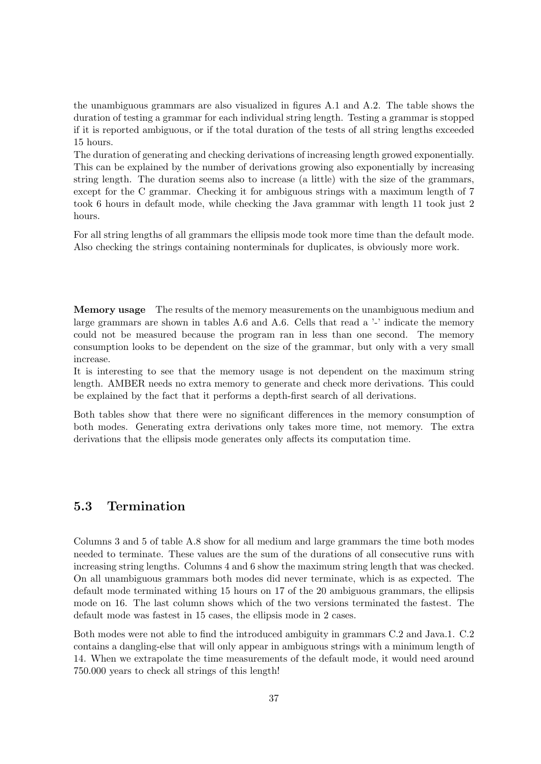the unambiguous grammars are also visualized in figures [A.1](#page-71-0) and [A.2.](#page-71-1) The table shows the duration of testing a grammar for each individual string length. Testing a grammar is stopped if it is reported ambiguous, or if the total duration of the tests of all string lengths exceeded 15 hours.

The duration of generating and checking derivations of increasing length growed exponentially. This can be explained by the number of derivations growing also exponentially by increasing string length. The duration seems also to increase (a little) with the size of the grammars, except for the C grammar. Checking it for ambiguous strings with a maximum length of 7 took 6 hours in default mode, while checking the Java grammar with length 11 took just 2 hours.

For all string lengths of all grammars the ellipsis mode took more time than the default mode. Also checking the strings containing nonterminals for duplicates, is obviously more work.

Memory usage The results of the memory measurements on the unambiguous medium and large grammars are shown in tables [A.6](#page-74-0) and [A.6.](#page-74-0) Cells that read a '-' indicate the memory could not be measured because the program ran in less than one second. The memory consumption looks to be dependent on the size of the grammar, but only with a very small increase.

It is interesting to see that the memory usage is not dependent on the maximum string length. AMBER needs no extra memory to generate and check more derivations. This could be explained by the fact that it performs a depth-first search of all derivations.

Both tables show that there were no significant differences in the memory consumption of both modes. Generating extra derivations only takes more time, not memory. The extra derivations that the ellipsis mode generates only affects its computation time.

#### 5.3 Termination

Columns 3 and 5 of table [A.8](#page-76-0) show for all medium and large grammars the time both modes needed to terminate. These values are the sum of the durations of all consecutive runs with increasing string lengths. Columns 4 and 6 show the maximum string length that was checked. On all unambiguous grammars both modes did never terminate, which is as expected. The default mode terminated withing 15 hours on 17 of the 20 ambiguous grammars, the ellipsis mode on 16. The last column shows which of the two versions terminated the fastest. The default mode was fastest in 15 cases, the ellipsis mode in 2 cases.

Both modes were not able to find the introduced ambiguity in grammars C.2 and Java.1. C.2 contains a dangling-else that will only appear in ambiguous strings with a minimum length of 14. When we extrapolate the time measurements of the default mode, it would need around 750.000 years to check all strings of this length!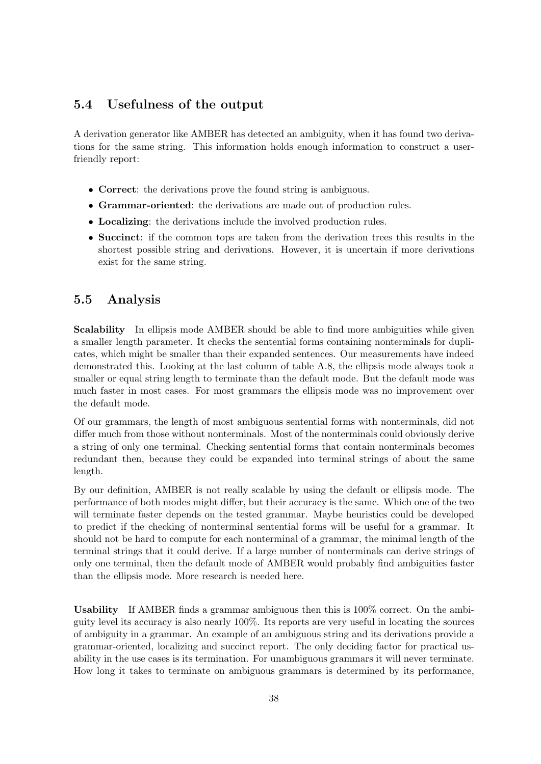#### 5.4 Usefulness of the output

A derivation generator like AMBER has detected an ambiguity, when it has found two derivations for the same string. This information holds enough information to construct a userfriendly report:

- Correct: the derivations prove the found string is ambiguous.
- Grammar-oriented: the derivations are made out of production rules.
- Localizing: the derivations include the involved production rules.
- Succinct: if the common tops are taken from the derivation trees this results in the shortest possible string and derivations. However, it is uncertain if more derivations exist for the same string.

#### 5.5 Analysis

**Scalability** In ellipsis mode AMBER should be able to find more ambiguities while given a smaller length parameter. It checks the sentential forms containing nonterminals for duplicates, which might be smaller than their expanded sentences. Our measurements have indeed demonstrated this. Looking at the last column of table [A.8,](#page-76-0) the ellipsis mode always took a smaller or equal string length to terminate than the default mode. But the default mode was much faster in most cases. For most grammars the ellipsis mode was no improvement over the default mode.

Of our grammars, the length of most ambiguous sentential forms with nonterminals, did not differ much from those without nonterminals. Most of the nonterminals could obviously derive a string of only one terminal. Checking sentential forms that contain nonterminals becomes redundant then, because they could be expanded into terminal strings of about the same length.

By our definition, AMBER is not really scalable by using the default or ellipsis mode. The performance of both modes might differ, but their accuracy is the same. Which one of the two will terminate faster depends on the tested grammar. Maybe heuristics could be developed to predict if the checking of nonterminal sentential forms will be useful for a grammar. It should not be hard to compute for each nonterminal of a grammar, the minimal length of the terminal strings that it could derive. If a large number of nonterminals can derive strings of only one terminal, then the default mode of AMBER would probably find ambiguities faster than the ellipsis mode. More research is needed here.

Usability If AMBER finds a grammar ambiguous then this is 100% correct. On the ambiguity level its accuracy is also nearly 100%. Its reports are very useful in locating the sources of ambiguity in a grammar. An example of an ambiguous string and its derivations provide a grammar-oriented, localizing and succinct report. The only deciding factor for practical usability in the use cases is its termination. For unambiguous grammars it will never terminate. How long it takes to terminate on ambiguous grammars is determined by its performance,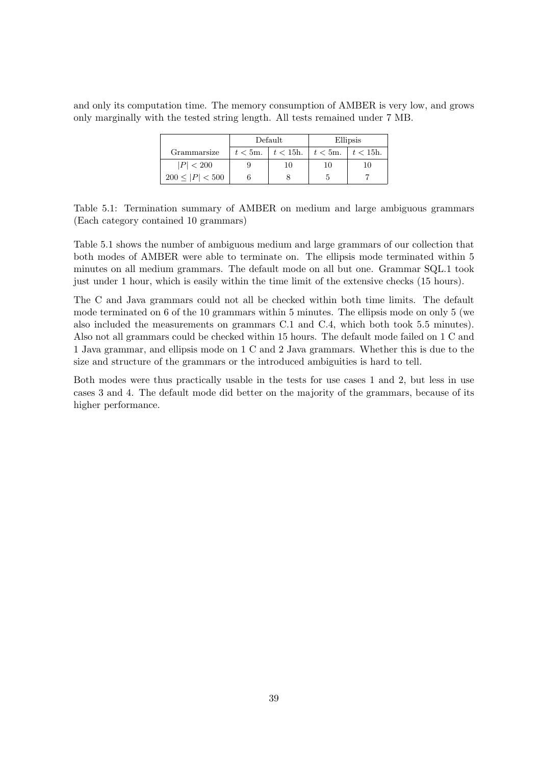and only its computation time. The memory consumption of AMBER is very low, and grows only marginally with the tested string length. All tests remained under 7 MB.

|                      | Default                | Ellipsis |                        |  |
|----------------------|------------------------|----------|------------------------|--|
| Grammarsize          | $t < 5m$ . $t < 15h$ . |          | $t < 5m$ . $t < 15h$ . |  |
| P  < 200             | 10                     | 10       | 10                     |  |
| $200 \leq  P  < 500$ |                        |          |                        |  |

<span id="page-38-0"></span>Table 5.1: Termination summary of AMBER on medium and large ambiguous grammars (Each category contained 10 grammars)

Table [5.1](#page-38-0) shows the number of ambiguous medium and large grammars of our collection that both modes of AMBER were able to terminate on. The ellipsis mode terminated within 5 minutes on all medium grammars. The default mode on all but one. Grammar SQL.1 took just under 1 hour, which is easily within the time limit of the extensive checks (15 hours).

The C and Java grammars could not all be checked within both time limits. The default mode terminated on 6 of the 10 grammars within 5 minutes. The ellipsis mode on only 5 (we also included the measurements on grammars C.1 and C.4, which both took 5.5 minutes). Also not all grammars could be checked within 15 hours. The default mode failed on 1 C and 1 Java grammar, and ellipsis mode on 1 C and 2 Java grammars. Whether this is due to the size and structure of the grammars or the introduced ambiguities is hard to tell.

Both modes were thus practically usable in the tests for use cases 1 and 2, but less in use cases 3 and 4. The default mode did better on the majority of the grammars, because of its higher performance.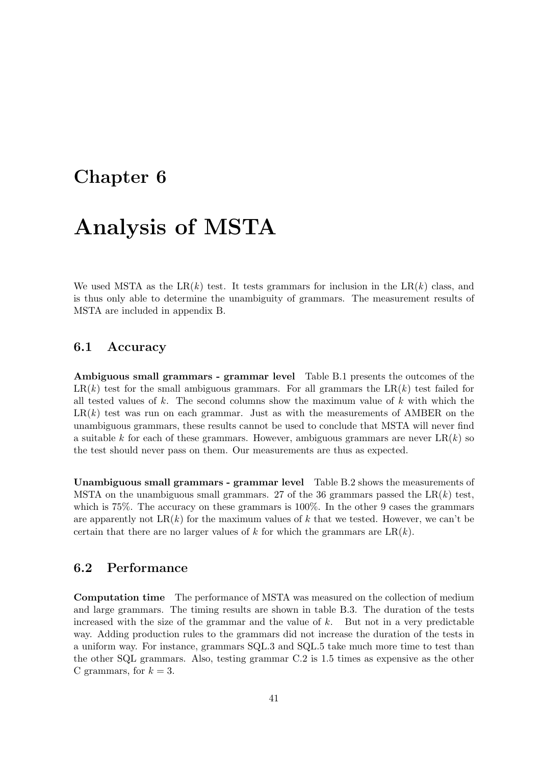### <span id="page-40-0"></span>Chapter 6

# Analysis of MSTA

We used MSTA as the LR $(k)$  test. It tests grammars for inclusion in the LR $(k)$  class, and is thus only able to determine the unambiguity of grammars. The measurement results of MSTA are included in appendix [B.](#page-78-0)

#### 6.1 Accuracy

Ambiguous small grammars - grammar level Table [B.1](#page-78-1) presents the outcomes of the  $LR(k)$  test for the small ambiguous grammars. For all grammars the  $LR(k)$  test failed for all tested values of  $k$ . The second columns show the maximum value of  $k$  with which the  $LR(k)$  test was run on each grammar. Just as with the measurements of AMBER on the unambiguous grammars, these results cannot be used to conclude that MSTA will never find a suitable k for each of these grammars. However, ambiguous grammars are never  $LR(k)$  so the test should never pass on them. Our measurements are thus as expected.

Unambiguous small grammars - grammar level Table [B.2](#page-79-0) shows the measurements of MSTA on the unambiguous small grammars. 27 of the 36 grammars passed the  $LR(k)$  test, which is 75%. The accuracy on these grammars is 100%. In the other 9 cases the grammars are apparently not  $LR(k)$  for the maximum values of k that we tested. However, we can't be certain that there are no larger values of k for which the grammars are  $LR(k)$ .

#### 6.2 Performance

Computation time The performance of MSTA was measured on the collection of medium and large grammars. The timing results are shown in table [B.3.](#page-80-0) The duration of the tests increased with the size of the grammar and the value of  $k$ . But not in a very predictable way. Adding production rules to the grammars did not increase the duration of the tests in a uniform way. For instance, grammars SQL.3 and SQL.5 take much more time to test than the other SQL grammars. Also, testing grammar C.2 is 1.5 times as expensive as the other C grammars, for  $k = 3$ .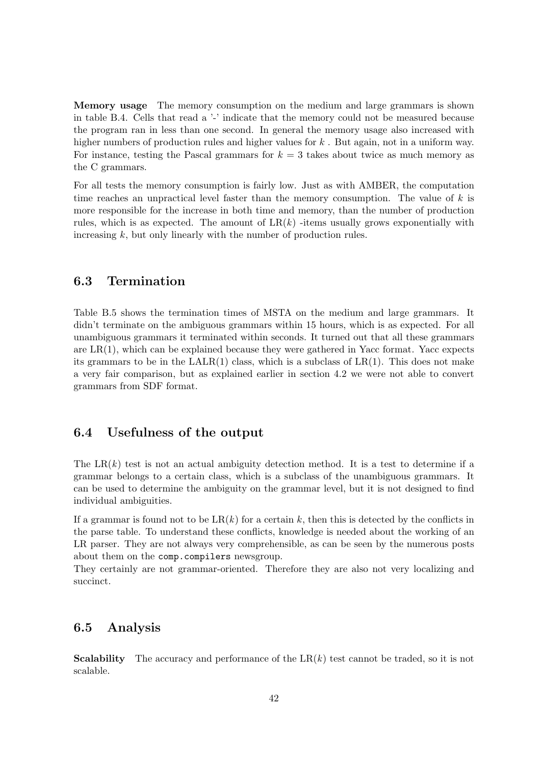Memory usage The memory consumption on the medium and large grammars is shown in table [B.4.](#page-81-0) Cells that read a '-' indicate that the memory could not be measured because the program ran in less than one second. In general the memory usage also increased with higher numbers of production rules and higher values for  $k$ . But again, not in a uniform way. For instance, testing the Pascal grammars for  $k = 3$  takes about twice as much memory as the C grammars.

For all tests the memory consumption is fairly low. Just as with AMBER, the computation time reaches an unpractical level faster than the memory consumption. The value of  $k$  is more responsible for the increase in both time and memory, than the number of production rules, which is as expected. The amount of  $LR(k)$  -items usually grows exponentially with increasing k, but only linearly with the number of production rules.

#### 6.3 Termination

Table [B.5](#page-82-0) shows the termination times of MSTA on the medium and large grammars. It didn't terminate on the ambiguous grammars within 15 hours, which is as expected. For all unambiguous grammars it terminated within seconds. It turned out that all these grammars are  $LR(1)$ , which can be explained because they were gathered in Yacc format. Yacc expects its grammars to be in the  $\text{LALR}(1)$  class, which is a subclass of  $\text{LR}(1)$ . This does not make a very fair comparison, but as explained earlier in section [4.2](#page-32-0) we were not able to convert grammars from SDF format.

#### 6.4 Usefulness of the output

The  $LR(k)$  test is not an actual ambiguity detection method. It is a test to determine if a grammar belongs to a certain class, which is a subclass of the unambiguous grammars. It can be used to determine the ambiguity on the grammar level, but it is not designed to find individual ambiguities.

If a grammar is found not to be  $LR(k)$  for a certain k, then this is detected by the conflicts in the parse table. To understand these conflicts, knowledge is needed about the working of an LR parser. They are not always very comprehensible, as can be seen by the numerous posts about them on the comp.compilers newsgroup.

They certainly are not grammar-oriented. Therefore they are also not very localizing and succinct.

#### 6.5 Analysis

**Scalability** The accuracy and performance of the  $LR(k)$  test cannot be traded, so it is not scalable.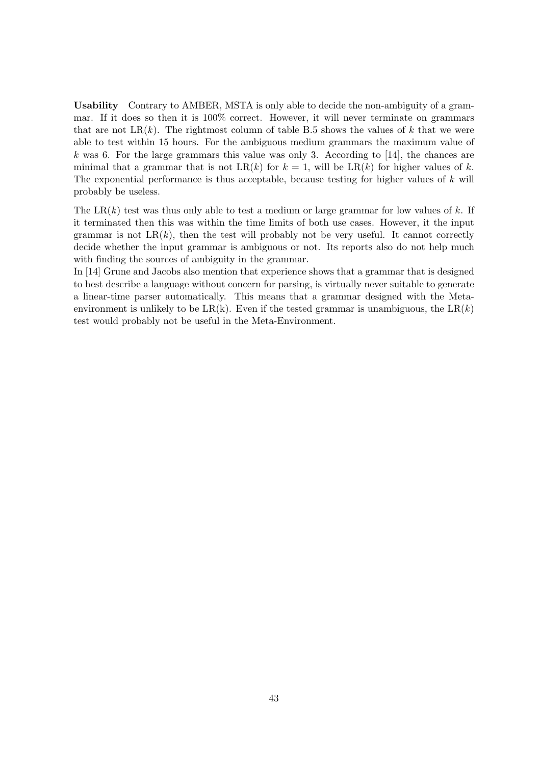Usability Contrary to AMBER, MSTA is only able to decide the non-ambiguity of a grammar. If it does so then it is 100% correct. However, it will never terminate on grammars that are not  $LR(k)$ . The rightmost column of table [B.5](#page-82-0) shows the values of k that we were able to test within 15 hours. For the ambiguous medium grammars the maximum value of k was 6. For the large grammars this value was only 3. According to [\[14\]](#page-65-0), the chances are minimal that a grammar that is not  $LR(k)$  for  $k = 1$ , will be  $LR(k)$  for higher values of k. The exponential performance is thus acceptable, because testing for higher values of k will probably be useless.

The LR $(k)$  test was thus only able to test a medium or large grammar for low values of k. If it terminated then this was within the time limits of both use cases. However, it the input grammar is not  $LR(k)$ , then the test will probably not be very useful. It cannot correctly decide whether the input grammar is ambiguous or not. Its reports also do not help much with finding the sources of ambiguity in the grammar.

In [\[14\]](#page-65-0) Grune and Jacobs also mention that experience shows that a grammar that is designed to best describe a language without concern for parsing, is virtually never suitable to generate a linear-time parser automatically. This means that a grammar designed with the Metaenvironment is unlikely to be  $LR(k)$ . Even if the tested grammar is unambiguous, the  $LR(k)$ test would probably not be useful in the Meta-Environment.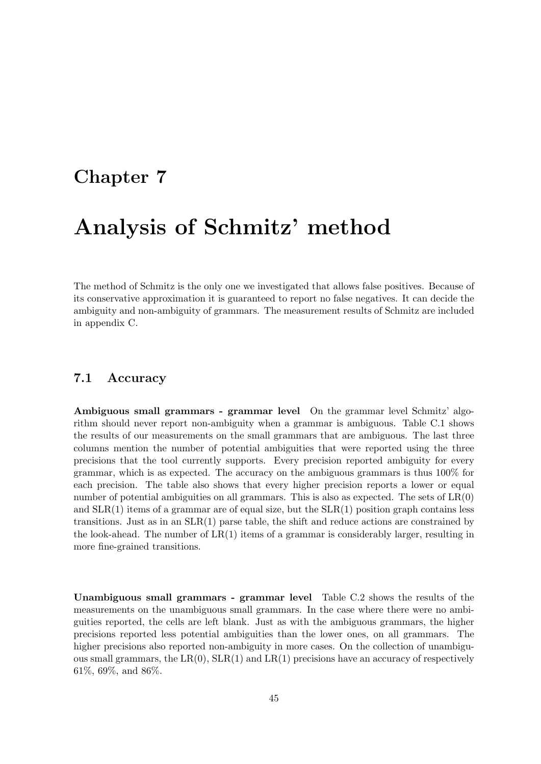### <span id="page-44-0"></span>Chapter 7

# Analysis of Schmitz' method

The method of Schmitz is the only one we investigated that allows false positives. Because of its conservative approximation it is guaranteed to report no false negatives. It can decide the ambiguity and non-ambiguity of grammars. The measurement results of Schmitz are included in appendix [C.](#page-84-0)

#### 7.1 Accuracy

Ambiguous small grammars - grammar level On the grammar level Schmitz' algorithm should never report non-ambiguity when a grammar is ambiguous. Table [C.1](#page-84-1) shows the results of our measurements on the small grammars that are ambiguous. The last three columns mention the number of potential ambiguities that were reported using the three precisions that the tool currently supports. Every precision reported ambiguity for every grammar, which is as expected. The accuracy on the ambiguous grammars is thus 100% for each precision. The table also shows that every higher precision reports a lower or equal number of potential ambiguities on all grammars. This is also as expected. The sets of  $LR(0)$ and  $SLR(1)$  items of a grammar are of equal size, but the  $SLR(1)$  position graph contains less transitions. Just as in an  $SLR(1)$  parse table, the shift and reduce actions are constrained by the look-ahead. The number of  $LR(1)$  items of a grammar is considerably larger, resulting in more fine-grained transitions.

Unambiguous small grammars - grammar level Table [C.2](#page-85-0) shows the results of the measurements on the unambiguous small grammars. In the case where there were no ambiguities reported, the cells are left blank. Just as with the ambiguous grammars, the higher precisions reported less potential ambiguities than the lower ones, on all grammars. The higher precisions also reported non-ambiguity in more cases. On the collection of unambiguous small grammars, the  $LR(0)$ ,  $SLR(1)$  and  $LR(1)$  precisions have an accuracy of respectively 61%, 69%, and 86%.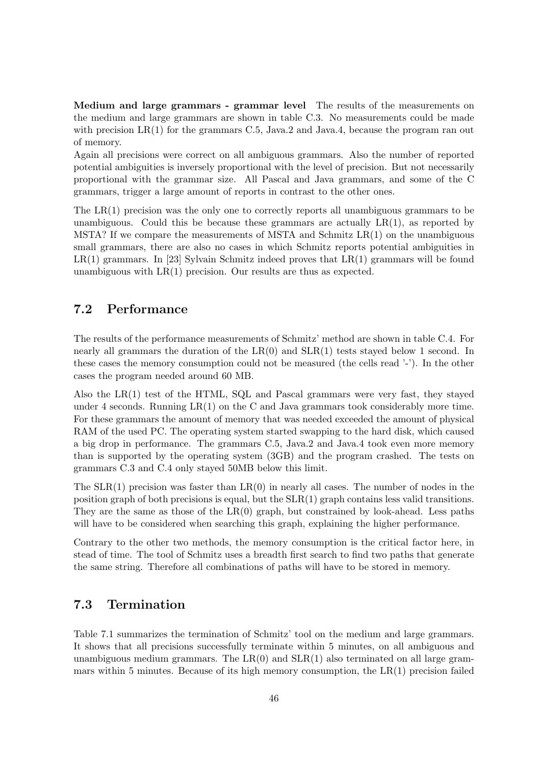Medium and large grammars - grammar level The results of the measurements on the medium and large grammars are shown in table [C.3.](#page-86-0) No measurements could be made with precision  $LR(1)$  for the grammars C.5, Java.2 and Java.4, because the program ran out of memory.

Again all precisions were correct on all ambiguous grammars. Also the number of reported potential ambiguities is inversely proportional with the level of precision. But not necessarily proportional with the grammar size. All Pascal and Java grammars, and some of the C grammars, trigger a large amount of reports in contrast to the other ones.

The LR(1) precision was the only one to correctly reports all unambiguous grammars to be unambiguous. Could this be because these grammars are actually  $LR(1)$ , as reported by MSTA? If we compare the measurements of MSTA and Schmitz  $LR(1)$  on the unambiguous small grammars, there are also no cases in which Schmitz reports potential ambiguities in  $LR(1)$  grammars. In [\[23\]](#page-65-1) Sylvain Schmitz indeed proves that  $LR(1)$  grammars will be found unambiguous with  $LR(1)$  precision. Our results are thus as expected.

#### <span id="page-45-0"></span>7.2 Performance

The results of the performance measurements of Schmitz' method are shown in table [C.4.](#page-87-0) For nearly all grammars the duration of the  $LR(0)$  and  $SLR(1)$  tests stayed below 1 second. In these cases the memory consumption could not be measured (the cells read '-'). In the other cases the program needed around 60 MB.

Also the LR(1) test of the HTML, SQL and Pascal grammars were very fast, they stayed under 4 seconds. Running  $LR(1)$  on the C and Java grammars took considerably more time. For these grammars the amount of memory that was needed exceeded the amount of physical RAM of the used PC. The operating system started swapping to the hard disk, which caused a big drop in performance. The grammars C.5, Java.2 and Java.4 took even more memory than is supported by the operating system (3GB) and the program crashed. The tests on grammars C.3 and C.4 only stayed 50MB below this limit.

The  $SLR(1)$  precision was faster than  $LR(0)$  in nearly all cases. The number of nodes in the position graph of both precisions is equal, but the SLR(1) graph contains less valid transitions. They are the same as those of the  $LR(0)$  graph, but constrained by look-ahead. Less paths will have to be considered when searching this graph, explaining the higher performance.

Contrary to the other two methods, the memory consumption is the critical factor here, in stead of time. The tool of Schmitz uses a breadth first search to find two paths that generate the same string. Therefore all combinations of paths will have to be stored in memory.

#### 7.3 Termination

Table [7.1](#page-46-0) summarizes the termination of Schmitz' tool on the medium and large grammars. It shows that all precisions successfully terminate within 5 minutes, on all ambiguous and unambiguous medium grammars. The  $LR(0)$  and  $SLR(1)$  also terminated on all large grammars within 5 minutes. Because of its high memory consumption, the  $LR(1)$  precision failed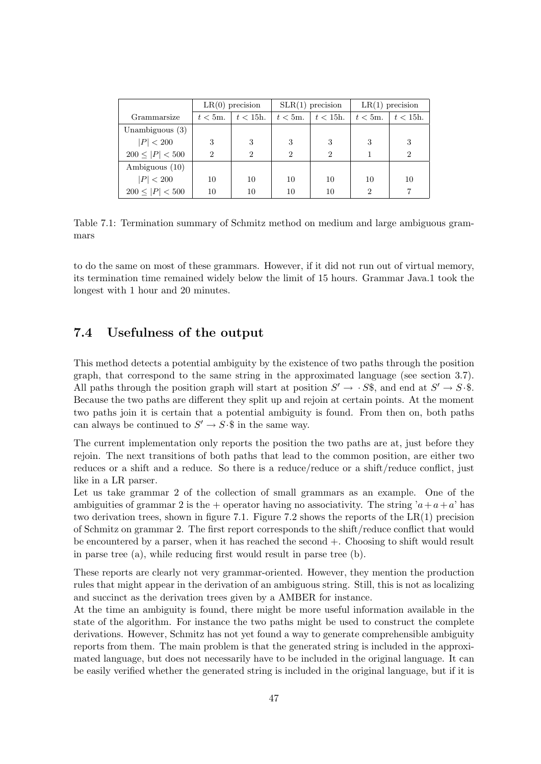|                      |                | $LR(0)$ precision |                | $SLR(1)$ precision | $LR(1)$ precision |                |
|----------------------|----------------|-------------------|----------------|--------------------|-------------------|----------------|
| Grammarsize          | $t < 5m$ .     | $t < 15$ h.       | $t<5$ m.       | $t < 15$ h.        | $t < 5m$ .        | $t < 15$ h.    |
| Unambiguous $(3)$    |                |                   |                |                    |                   |                |
| P  < 200             | 3              | 3                 | 3              | 3                  | 3                 | 3              |
| $200 \leq  P  < 500$ | $\overline{2}$ | $\overline{2}$    | $\mathfrak{D}$ | 2                  |                   | $\overline{2}$ |
| Ambiguous (10)       |                |                   |                |                    |                   |                |
| P  < 200             | 10             | 10                | 10             | 10                 | 10                | 10             |
| $200 \leq  P  < 500$ | 10             | 10                | 10             | 10                 | $\overline{2}$    |                |

<span id="page-46-0"></span>Table 7.1: Termination summary of Schmitz method on medium and large ambiguous grammars

to do the same on most of these grammars. However, if it did not run out of virtual memory, its termination time remained widely below the limit of 15 hours. Grammar Java.1 took the longest with 1 hour and 20 minutes.

#### 7.4 Usefulness of the output

This method detects a potential ambiguity by the existence of two paths through the position graph, that correspond to the same string in the approximated language (see section [3.7\)](#page-23-0). All paths through the position graph will start at position  $S' \to S\$ , and end at  $S' \to S\$ . Because the two paths are different they split up and rejoin at certain points. At the moment two paths join it is certain that a potential ambiguity is found. From then on, both paths can always be continued to  $S' \to S \cdot \$  in the same way.

The current implementation only reports the position the two paths are at, just before they rejoin. The next transitions of both paths that lead to the common position, are either two reduces or a shift and a reduce. So there is a reduce/reduce or a shift/reduce conflict, just like in a LR parser.

Let us take grammar 2 of the collection of small grammars as an example. One of the ambiguities of grammar 2 is the + operator having no associativity. The string  $a+a+a'$  has two derivation trees, shown in figure [7.1.](#page-47-0) Figure [7.2](#page-47-1) shows the reports of the  $LR(1)$  precision of Schmitz on grammar 2. The first report corresponds to the shift/reduce conflict that would be encountered by a parser, when it has reached the second +. Choosing to shift would result in parse tree (a), while reducing first would result in parse tree (b).

These reports are clearly not very grammar-oriented. However, they mention the production rules that might appear in the derivation of an ambiguous string. Still, this is not as localizing and succinct as the derivation trees given by a AMBER for instance.

At the time an ambiguity is found, there might be more useful information available in the state of the algorithm. For instance the two paths might be used to construct the complete derivations. However, Schmitz has not yet found a way to generate comprehensible ambiguity reports from them. The main problem is that the generated string is included in the approximated language, but does not necessarily have to be included in the original language. It can be easily verified whether the generated string is included in the original language, but if it is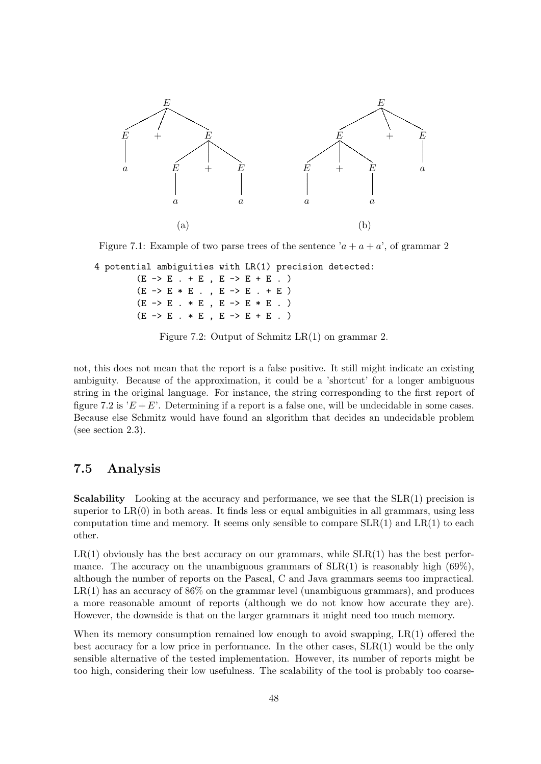

Figure 7.1: Example of two parse trees of the sentence ' $a + a + a$ ', of grammar 2

4 potential ambiguities with LR(1) precision detected:

<span id="page-47-0"></span> $(E -> E + E, E -> E + E . )$  $(E \rightarrow E * E , , E \rightarrow E * E , + E )$  $(E -> E . * E , E -> E * E . )$  $(E \rightarrow E : * E , E \rightarrow E + E . )$ 

<span id="page-47-1"></span>Figure 7.2: Output of Schmitz LR(1) on grammar 2.

not, this does not mean that the report is a false positive. It still might indicate an existing ambiguity. Because of the approximation, it could be a 'shortcut' for a longer ambiguous string in the original language. For instance, the string corresponding to the first report of figure [7.2](#page-47-1) is ' $E + E$ '. Determining if a report is a false one, will be undecidable in some cases. Because else Schmitz would have found an algorithm that decides an undecidable problem (see section [2.3\)](#page-17-0).

#### 7.5 Analysis

**Scalability** Looking at the accuracy and performance, we see that the  $SLR(1)$  precision is superior to  $LR(0)$  in both areas. It finds less or equal ambiguities in all grammars, using less computation time and memory. It seems only sensible to compare  $SLR(1)$  and  $LR(1)$  to each other.

 $LR(1)$  obviously has the best accuracy on our grammars, while  $SLR(1)$  has the best performance. The accuracy on the unambiguous grammars of  $SLR(1)$  is reasonably high (69%), although the number of reports on the Pascal, C and Java grammars seems too impractical.  $LR(1)$  has an accuracy of 86% on the grammar level (unambiguous grammars), and produces a more reasonable amount of reports (although we do not know how accurate they are). However, the downside is that on the larger grammars it might need too much memory.

When its memory consumption remained low enough to avoid swapping,  $LR(1)$  offered the best accuracy for a low price in performance. In the other cases, SLR(1) would be the only sensible alternative of the tested implementation. However, its number of reports might be too high, considering their low usefulness. The scalability of the tool is probably too coarse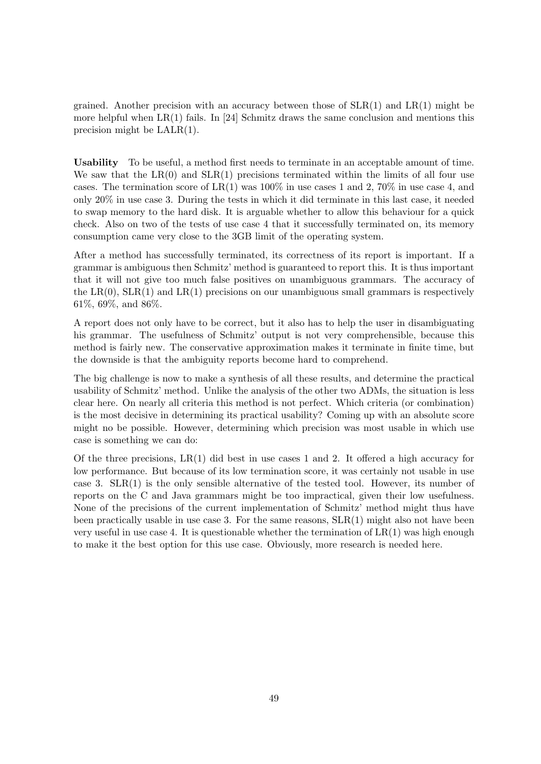grained. Another precision with an accuracy between those of  $SLR(1)$  and  $LR(1)$  might be more helpful when  $LR(1)$  fails. In [\[24\]](#page-65-2) Schmitz draws the same conclusion and mentions this precision might be LALR(1).

Usability To be useful, a method first needs to terminate in an acceptable amount of time. We saw that the  $LR(0)$  and  $SLR(1)$  precisions terminated within the limits of all four use cases. The termination score of  $LR(1)$  was  $100\%$  in use cases 1 and 2, 70% in use case 4, and only 20% in use case 3. During the tests in which it did terminate in this last case, it needed to swap memory to the hard disk. It is arguable whether to allow this behaviour for a quick check. Also on two of the tests of use case 4 that it successfully terminated on, its memory consumption came very close to the 3GB limit of the operating system.

After a method has successfully terminated, its correctness of its report is important. If a grammar is ambiguous then Schmitz' method is guaranteed to report this. It is thus important that it will not give too much false positives on unambiguous grammars. The accuracy of the  $LR(0)$ ,  $SLR(1)$  and  $LR(1)$  precisions on our unambiguous small grammars is respectively 61%, 69%, and 86%.

A report does not only have to be correct, but it also has to help the user in disambiguating his grammar. The usefulness of Schmitz' output is not very comprehensible, because this method is fairly new. The conservative approximation makes it terminate in finite time, but the downside is that the ambiguity reports become hard to comprehend.

The big challenge is now to make a synthesis of all these results, and determine the practical usability of Schmitz' method. Unlike the analysis of the other two ADMs, the situation is less clear here. On nearly all criteria this method is not perfect. Which criteria (or combination) is the most decisive in determining its practical usability? Coming up with an absolute score might no be possible. However, determining which precision was most usable in which use case is something we can do:

Of the three precisions,  $LR(1)$  did best in use cases 1 and 2. It offered a high accuracy for low performance. But because of its low termination score, it was certainly not usable in use case 3.  $SLR(1)$  is the only sensible alternative of the tested tool. However, its number of reports on the C and Java grammars might be too impractical, given their low usefulness. None of the precisions of the current implementation of Schmitz' method might thus have been practically usable in use case 3. For the same reasons,  $SLR(1)$  might also not have been very useful in use case 4. It is questionable whether the termination of  $LR(1)$  was high enough to make it the best option for this use case. Obviously, more research is needed here.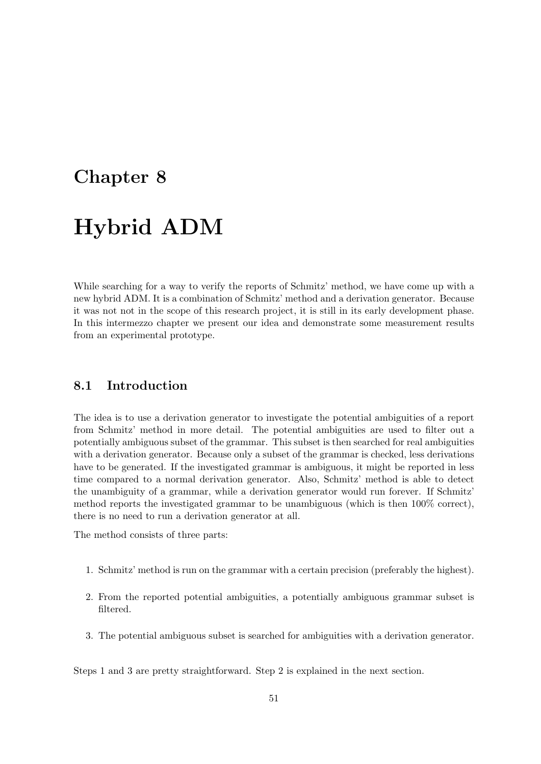### <span id="page-50-0"></span>Chapter 8

# Hybrid ADM

While searching for a way to verify the reports of Schmitz' method, we have come up with a new hybrid ADM. It is a combination of Schmitz' method and a derivation generator. Because it was not not in the scope of this research project, it is still in its early development phase. In this intermezzo chapter we present our idea and demonstrate some measurement results from an experimental prototype.

#### 8.1 Introduction

The idea is to use a derivation generator to investigate the potential ambiguities of a report from Schmitz' method in more detail. The potential ambiguities are used to filter out a potentially ambiguous subset of the grammar. This subset is then searched for real ambiguities with a derivation generator. Because only a subset of the grammar is checked, less derivations have to be generated. If the investigated grammar is ambiguous, it might be reported in less time compared to a normal derivation generator. Also, Schmitz' method is able to detect the unambiguity of a grammar, while a derivation generator would run forever. If Schmitz' method reports the investigated grammar to be unambiguous (which is then 100% correct), there is no need to run a derivation generator at all.

The method consists of three parts:

- 1. Schmitz' method is run on the grammar with a certain precision (preferably the highest).
- 2. From the reported potential ambiguities, a potentially ambiguous grammar subset is filtered.
- 3. The potential ambiguous subset is searched for ambiguities with a derivation generator.

Steps 1 and 3 are pretty straightforward. Step 2 is explained in the next section.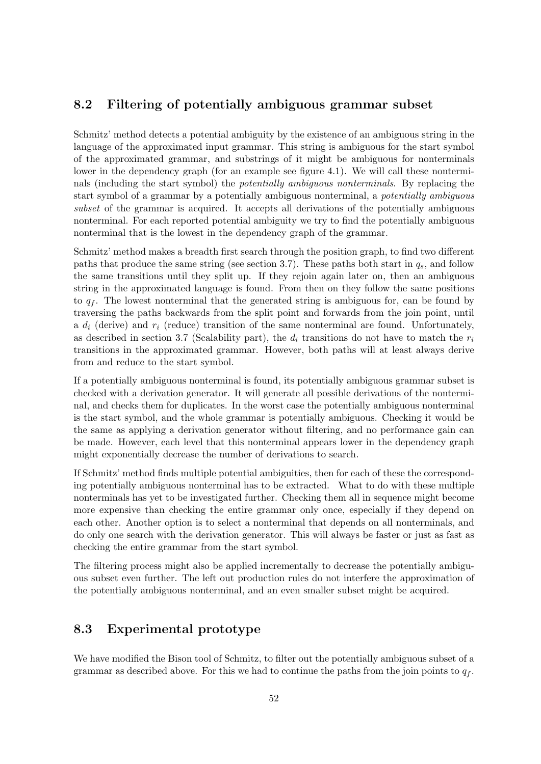#### 8.2 Filtering of potentially ambiguous grammar subset

Schmitz' method detects a potential ambiguity by the existence of an ambiguous string in the language of the approximated input grammar. This string is ambiguous for the start symbol of the approximated grammar, and substrings of it might be ambiguous for nonterminals lower in the dependency graph (for an example see figure [4.1\)](#page-31-0). We will call these nonterminals (including the start symbol) the potentially ambiguous nonterminals. By replacing the start symbol of a grammar by a potentially ambiguous nonterminal, a potentially ambiguous subset of the grammar is acquired. It accepts all derivations of the potentially ambiguous nonterminal. For each reported potential ambiguity we try to find the potentially ambiguous nonterminal that is the lowest in the dependency graph of the grammar.

Schmitz' method makes a breadth first search through the position graph, to find two different paths that produce the same string (see section [3.7\)](#page-23-0). These paths both start in  $q_s$ , and follow the same transitions until they split up. If they rejoin again later on, then an ambiguous string in the approximated language is found. From then on they follow the same positions to  $q_f$ . The lowest nonterminal that the generated string is ambiguous for, can be found by traversing the paths backwards from the split point and forwards from the join point, until a  $d_i$  (derive) and  $r_i$  (reduce) transition of the same nonterminal are found. Unfortunately, as described in section [3.7](#page-23-0) (Scalability part), the  $d_i$  transitions do not have to match the  $r_i$ transitions in the approximated grammar. However, both paths will at least always derive from and reduce to the start symbol.

If a potentially ambiguous nonterminal is found, its potentially ambiguous grammar subset is checked with a derivation generator. It will generate all possible derivations of the nonterminal, and checks them for duplicates. In the worst case the potentially ambiguous nonterminal is the start symbol, and the whole grammar is potentially ambiguous. Checking it would be the same as applying a derivation generator without filtering, and no performance gain can be made. However, each level that this nonterminal appears lower in the dependency graph might exponentially decrease the number of derivations to search.

If Schmitz' method finds multiple potential ambiguities, then for each of these the corresponding potentially ambiguous nonterminal has to be extracted. What to do with these multiple nonterminals has yet to be investigated further. Checking them all in sequence might become more expensive than checking the entire grammar only once, especially if they depend on each other. Another option is to select a nonterminal that depends on all nonterminals, and do only one search with the derivation generator. This will always be faster or just as fast as checking the entire grammar from the start symbol.

The filtering process might also be applied incrementally to decrease the potentially ambiguous subset even further. The left out production rules do not interfere the approximation of the potentially ambiguous nonterminal, and an even smaller subset might be acquired.

#### 8.3 Experimental prototype

We have modified the Bison tool of Schmitz, to filter out the potentially ambiguous subset of a grammar as described above. For this we had to continue the paths from the join points to  $q_f$ .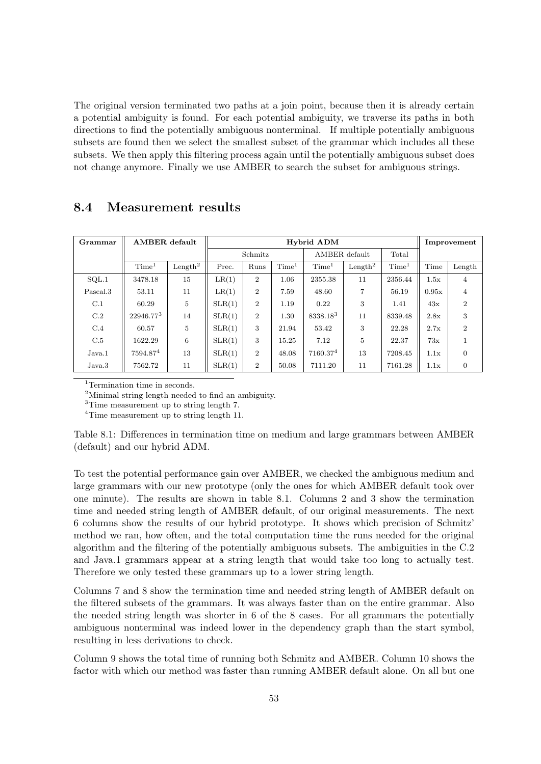The original version terminated two paths at a join point, because then it is already certain a potential ambiguity is found. For each potential ambiguity, we traverse its paths in both directions to find the potentially ambiguous nonterminal. If multiple potentially ambiguous subsets are found then we select the smallest subset of the grammar which includes all these subsets. We then apply this filtering process again until the potentially ambiguous subset does not change anymore. Finally we use AMBER to search the subset for ambiguous strings.

| Grammar  | AMBER default     |                     | Hybrid ADM |                |                   |                   |                     |                   | Improvement |                |
|----------|-------------------|---------------------|------------|----------------|-------------------|-------------------|---------------------|-------------------|-------------|----------------|
|          |                   |                     | Schmitz    |                | AMBER default     |                   | Total               |                   |             |                |
|          | Time <sup>1</sup> | Length <sup>2</sup> | Prec.      | Runs           | Time <sup>1</sup> | Time <sup>1</sup> | Length <sup>2</sup> | Time <sup>1</sup> | Time        | Length         |
| SOL.1    | 3478.18           | 15                  | LR(1)      | $\overline{2}$ | 1.06              | 2355.38           | 11                  | 2356.44           | 1.5x        | 4              |
| Pascal.3 | 53.11             | 11                  | LR(1)      | $\mathbf{2}$   | 7.59              | 48.60             | 7                   | 56.19             | 0.95x       | $\overline{4}$ |
| C.1      | 60.29             | 5                   | SLR(1)     | $\mathbf{2}$   | 1.19              | 0.22              | 3                   | 1.41              | 43x         | $\overline{2}$ |
| C.2      | 22946.773         | 14                  | SLR(1)     | $\overline{2}$ | 1.30              | 8338.183          | 11                  | 8339.48           | 2.8x        | 3              |
| C.4      | 60.57             | 5                   | SLR(1)     | 3              | 21.94             | 53.42             | 3                   | 22.28             | 2.7x        | $\overline{2}$ |
| C.5      | 1622.29           | 6                   | SLR(1)     | 3              | 15.25             | 7.12              | 5                   | 22.37             | 73x         |                |
| Java.1   | 7594.874          | 13                  | SLR(1)     | $\mathbf{2}$   | 48.08             | 7160.374          | 13                  | 7208.45           | 1.1x        | $\theta$       |
| Java.3   | 7562.72           | 11                  | SLR(1)     | $\overline{2}$ | 50.08             | 7111.20           | 11                  | 7161.28           | 1.1x        | $\theta$       |

#### 8.4 Measurement results

<sup>1</sup>Termination time in seconds.

<sup>2</sup>Minimal string length needed to find an ambiguity.

<sup>3</sup>Time measurement up to string length 7.

<span id="page-52-0"></span><sup>4</sup>Time measurement up to string length 11.

Table 8.1: Differences in termination time on medium and large grammars between AMBER (default) and our hybrid ADM.

To test the potential performance gain over AMBER, we checked the ambiguous medium and large grammars with our new prototype (only the ones for which AMBER default took over one minute). The results are shown in table [8.1.](#page-52-0) Columns 2 and 3 show the termination time and needed string length of AMBER default, of our original measurements. The next 6 columns show the results of our hybrid prototype. It shows which precision of Schmitz' method we ran, how often, and the total computation time the runs needed for the original algorithm and the filtering of the potentially ambiguous subsets. The ambiguities in the C.2 and Java.1 grammars appear at a string length that would take too long to actually test. Therefore we only tested these grammars up to a lower string length.

Columns 7 and 8 show the termination time and needed string length of AMBER default on the filtered subsets of the grammars. It was always faster than on the entire grammar. Also the needed string length was shorter in 6 of the 8 cases. For all grammars the potentially ambiguous nonterminal was indeed lower in the dependency graph than the start symbol, resulting in less derivations to check.

Column 9 shows the total time of running both Schmitz and AMBER. Column 10 shows the factor with which our method was faster than running AMBER default alone. On all but one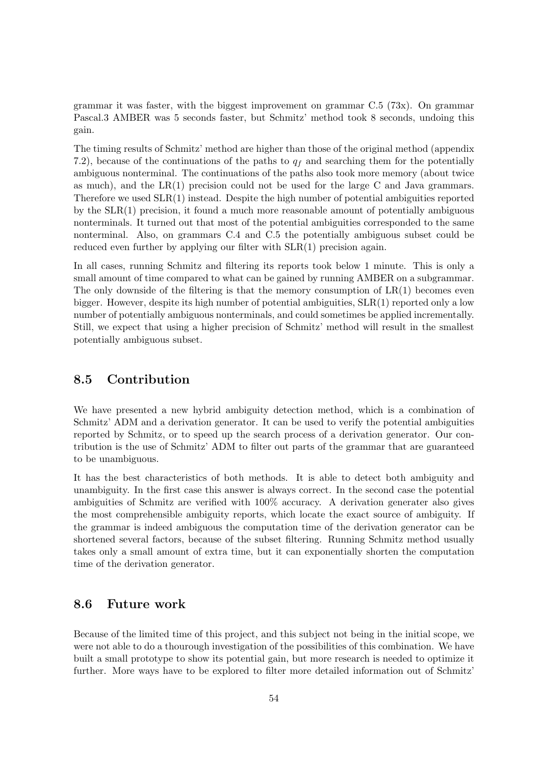grammar it was faster, with the biggest improvement on grammar C.5 (73x). On grammar Pascal.3 AMBER was 5 seconds faster, but Schmitz' method took 8 seconds, undoing this gain.

The timing results of Schmitz' method are higher than those of the original method (appendix [7.2\)](#page-45-0), because of the continuations of the paths to  $q_f$  and searching them for the potentially ambiguous nonterminal. The continuations of the paths also took more memory (about twice as much), and the  $LR(1)$  precision could not be used for the large C and Java grammars. Therefore we used SLR(1) instead. Despite the high number of potential ambiguities reported by the SLR(1) precision, it found a much more reasonable amount of potentially ambiguous nonterminals. It turned out that most of the potential ambiguities corresponded to the same nonterminal. Also, on grammars C.4 and C.5 the potentially ambiguous subset could be reduced even further by applying our filter with SLR(1) precision again.

In all cases, running Schmitz and filtering its reports took below 1 minute. This is only a small amount of time compared to what can be gained by running AMBER on a subgrammar. The only downside of the filtering is that the memory consumption of  $LR(1)$  becomes even bigger. However, despite its high number of potential ambiguities, SLR(1) reported only a low number of potentially ambiguous nonterminals, and could sometimes be applied incrementally. Still, we expect that using a higher precision of Schmitz' method will result in the smallest potentially ambiguous subset.

#### 8.5 Contribution

We have presented a new hybrid ambiguity detection method, which is a combination of Schmitz' ADM and a derivation generator. It can be used to verify the potential ambiguities reported by Schmitz, or to speed up the search process of a derivation generator. Our contribution is the use of Schmitz' ADM to filter out parts of the grammar that are guaranteed to be unambiguous.

It has the best characteristics of both methods. It is able to detect both ambiguity and unambiguity. In the first case this answer is always correct. In the second case the potential ambiguities of Schmitz are verified with 100% accuracy. A derivation generater also gives the most comprehensible ambiguity reports, which locate the exact source of ambiguity. If the grammar is indeed ambiguous the computation time of the derivation generator can be shortened several factors, because of the subset filtering. Running Schmitz method usually takes only a small amount of extra time, but it can exponentially shorten the computation time of the derivation generator.

#### 8.6 Future work

Because of the limited time of this project, and this subject not being in the initial scope, we were not able to do a thourough investigation of the possibilities of this combination. We have built a small prototype to show its potential gain, but more research is needed to optimize it further. More ways have to be explored to filter more detailed information out of Schmitz'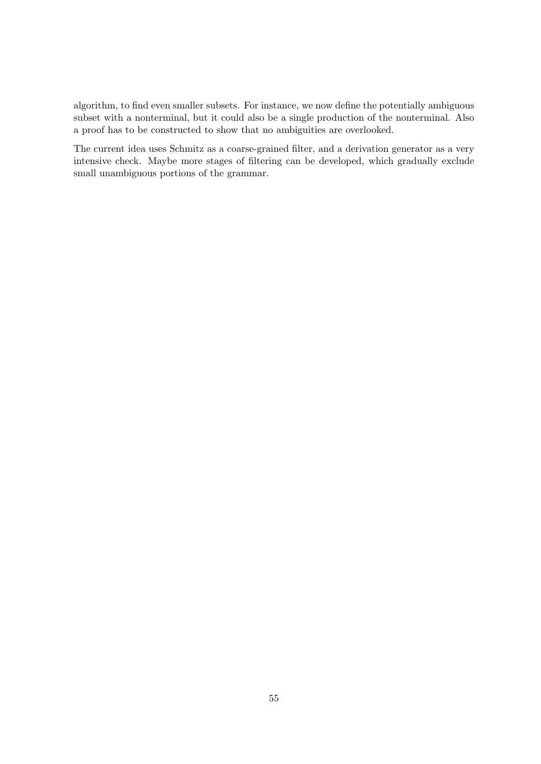algorithm, to find even smaller subsets. For instance, we now define the potentially ambiguous subset with a nonterminal, but it could also be a single production of the nonterminal. Also a proof has to be constructed to show that no ambiguities are overlooked.

The current idea uses Schmitz as a coarse-grained filter, and a derivation generator as a very intensive check. Maybe more stages of filtering can be developed, which gradually exclude small unambiguous portions of the grammar.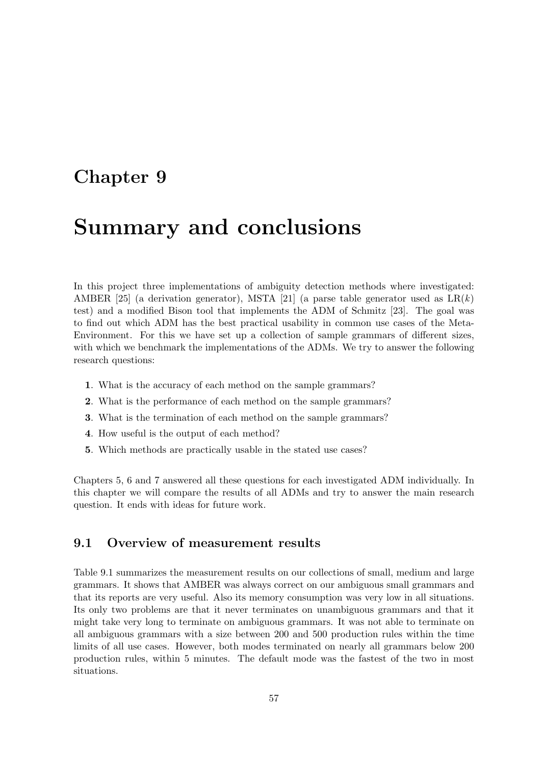### Chapter 9

## Summary and conclusions

In this project three implementations of ambiguity detection methods where investigated: AMBER [\[25\]](#page-66-0) (a derivation generator), MSTA [\[21\]](#page-65-3) (a parse table generator used as  $LR(k)$ test) and a modified Bison tool that implements the ADM of Schmitz [\[23\]](#page-65-1). The goal was to find out which ADM has the best practical usability in common use cases of the Meta-Environment. For this we have set up a collection of sample grammars of different sizes, with which we benchmark the implementations of the ADMs. We try to answer the following research questions:

- 1. What is the accuracy of each method on the sample grammars?
- 2. What is the performance of each method on the sample grammars?
- 3. What is the termination of each method on the sample grammars?
- 4. How useful is the output of each method?
- 5. Which methods are practically usable in the stated use cases?

Chapters [5,](#page-34-0) [6](#page-40-0) and [7](#page-44-0) answered all these questions for each investigated ADM individually. In this chapter we will compare the results of all ADMs and try to answer the main research question. It ends with ideas for future work.

#### 9.1 Overview of measurement results

Table [9.1](#page-57-0) summarizes the measurement results on our collections of small, medium and large grammars. It shows that AMBER was always correct on our ambiguous small grammars and that its reports are very useful. Also its memory consumption was very low in all situations. Its only two problems are that it never terminates on unambiguous grammars and that it might take very long to terminate on ambiguous grammars. It was not able to terminate on all ambiguous grammars with a size between 200 and 500 production rules within the time limits of all use cases. However, both modes terminated on nearly all grammars below 200 production rules, within 5 minutes. The default mode was the fastest of the two in most situations.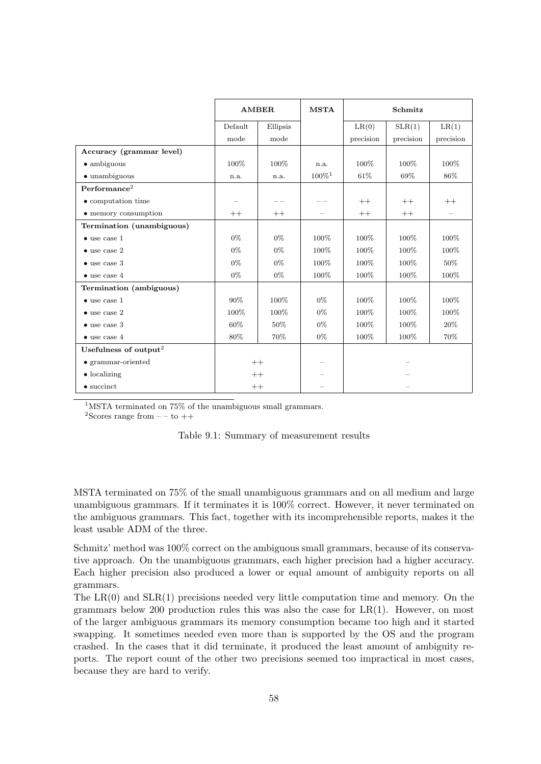|                                   | <b>AMBER</b> |          | <b>MSTA</b>              | Schmitz   |           |           |
|-----------------------------------|--------------|----------|--------------------------|-----------|-----------|-----------|
|                                   | Default      | Ellipsis |                          | LR(0)     | SLR(1)    | LR(1)     |
|                                   | mode         | mode     |                          | precision | precision | precision |
| Accuracy (grammar level)          |              |          |                          |           |           |           |
| $\bullet$ ambiguous               | 100%         | 100%     | n.a.                     | 100%      | 100%      | 100%      |
| $\bullet$ unambiguous             | n.a.         | n.a.     | $100\%$ <sup>1</sup>     | 61%       | 69%       | 86%       |
| Performance <sup>2</sup>          |              |          |                          |           |           |           |
| • computation time                |              |          |                          | $++$      | $++$      | $++$      |
| • memory consumption              | $++$         | $++$     |                          | $++$      | $++$      |           |
| Termination (unambiguous)         |              |          |                          |           |           |           |
| $\bullet$ use case 1              | $0\%$        | $0\%$    | 100%                     | 100%      | 100%      | 100%      |
| $\bullet$ use case 2              | $0\%$        | $0\%$    | 100%                     | 100%      | 100%      | 100%      |
| $\bullet$ use case 3              | $0\%$        | $0\%$    | 100%                     | 100%      | 100%      | 50%       |
| $\bullet$ use case 4              | $0\%$        | $0\%$    | 100%                     | 100%      | 100%      | 100%      |
| Termination (ambiguous)           |              |          |                          |           |           |           |
| $\bullet$ use case 1              | 90%          | 100\%    | $0\%$                    | 100%      | 100%      | 100%      |
| $\bullet$ use case 2              | 100%         | 100%     | 0%                       | 100%      | 100%      | 100%      |
| $\bullet$ use case 3              | 60%          | 50%      | $0\%$                    | 100%      | 100%      | 20%       |
| $\bullet$ use case 4              | 80%          | 70%      | $0\%$                    | 100%      | 100%      | 70%       |
| Usefulness of output <sup>2</sup> |              |          |                          |           |           |           |
| $\bullet$ grammar-oriented        |              | $++$     |                          |           |           |           |
| $\bullet$ localizing              | $++$         |          | $\overline{\phantom{0}}$ |           |           |           |
| $\bullet$ succinct                |              | $++$     |                          |           |           |           |

<sup>1</sup>MSTA terminated on 75% of the unambiguous small grammars.

<sup>2</sup>Scores range from  $-$  – to  $++$ 

<span id="page-57-0"></span>

| Table 9.1: Summary of measurement results |  |  |  |
|-------------------------------------------|--|--|--|
|-------------------------------------------|--|--|--|

MSTA terminated on 75% of the small unambiguous grammars and on all medium and large unambiguous grammars. If it terminates it is 100% correct. However, it never terminated on the ambiguous grammars. This fact, together with its incomprehensible reports, makes it the least usable ADM of the three.

Schmitz' method was 100% correct on the ambiguous small grammars, because of its conservative approach. On the unambiguous grammars, each higher precision had a higher accuracy. Each higher precision also produced a lower or equal amount of ambiguity reports on all grammars.

The  $LR(0)$  and  $SLR(1)$  precisions needed very little computation time and memory. On the grammars below 200 production rules this was also the case for  $LR(1)$ . However, on most of the larger ambiguous grammars its memory consumption became too high and it started swapping. It sometimes needed even more than is supported by the OS and the program crashed. In the cases that it did terminate, it produced the least amount of ambiguity reports. The report count of the other two precisions seemed too impractical in most cases, because they are hard to verify.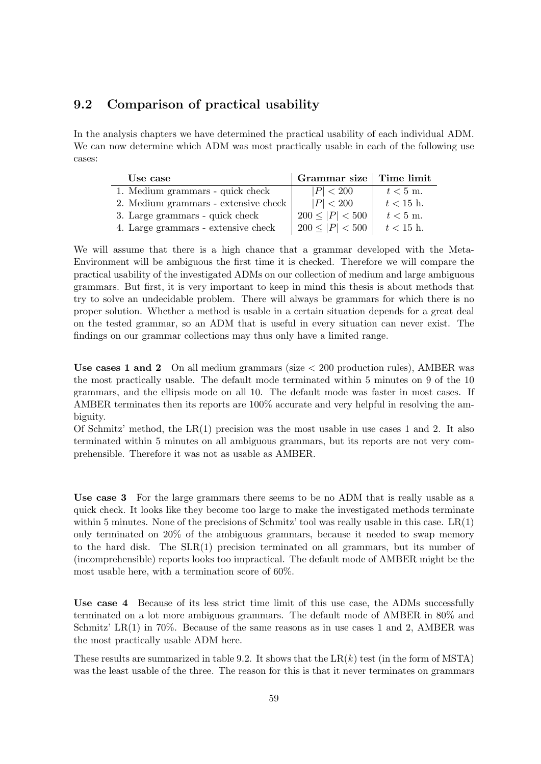#### 9.2 Comparison of practical usability

In the analysis chapters we have determined the practical usability of each individual ADM. We can now determine which ADM was most practically usable in each of the following use cases:

| Use case                             | $\mid$ Grammar size $\mid$ Time limit |             |
|--------------------------------------|---------------------------------------|-------------|
| 1. Medium grammars - quick check     | P  < 200                              | $t < 5$ m.  |
| 2. Medium grammars - extensive check | P  < 200                              | $t < 15$ h. |
| 3. Large grammars - quick check      | $200 \leq  P  < 500$                  | $t < 5$ m.  |
| 4. Large grammars - extensive check  | $200 \leq  P  < 500$                  | $t < 15$ h. |

We will assume that there is a high chance that a grammar developed with the Meta-Environment will be ambiguous the first time it is checked. Therefore we will compare the practical usability of the investigated ADMs on our collection of medium and large ambiguous grammars. But first, it is very important to keep in mind this thesis is about methods that try to solve an undecidable problem. There will always be grammars for which there is no proper solution. Whether a method is usable in a certain situation depends for a great deal on the tested grammar, so an ADM that is useful in every situation can never exist. The findings on our grammar collections may thus only have a limited range.

Use cases 1 and 2 On all medium grammars (size  $<$  200 production rules), AMBER was the most practically usable. The default mode terminated within 5 minutes on 9 of the 10 grammars, and the ellipsis mode on all 10. The default mode was faster in most cases. If AMBER terminates then its reports are 100% accurate and very helpful in resolving the ambiguity.

Of Schmitz' method, the  $LR(1)$  precision was the most usable in use cases 1 and 2. It also terminated within 5 minutes on all ambiguous grammars, but its reports are not very comprehensible. Therefore it was not as usable as AMBER.

Use case 3 For the large grammars there seems to be no ADM that is really usable as a quick check. It looks like they become too large to make the investigated methods terminate within 5 minutes. None of the precisions of Schmitz' tool was really usable in this case. LR(1) only terminated on 20% of the ambiguous grammars, because it needed to swap memory to the hard disk. The SLR(1) precision terminated on all grammars, but its number of (incomprehensible) reports looks too impractical. The default mode of AMBER might be the most usable here, with a termination score of 60%.

Use case 4 Because of its less strict time limit of this use case, the ADMs successfully terminated on a lot more ambiguous grammars. The default mode of AMBER in 80% and Schmitz' LR $(1)$  in 70%. Because of the same reasons as in use cases 1 and 2, AMBER was the most practically usable ADM here.

These results are summarized in table [9.2.](#page-60-0) It shows that the  $LR(k)$  test (in the form of MSTA) was the least usable of the three. The reason for this is that it never terminates on grammars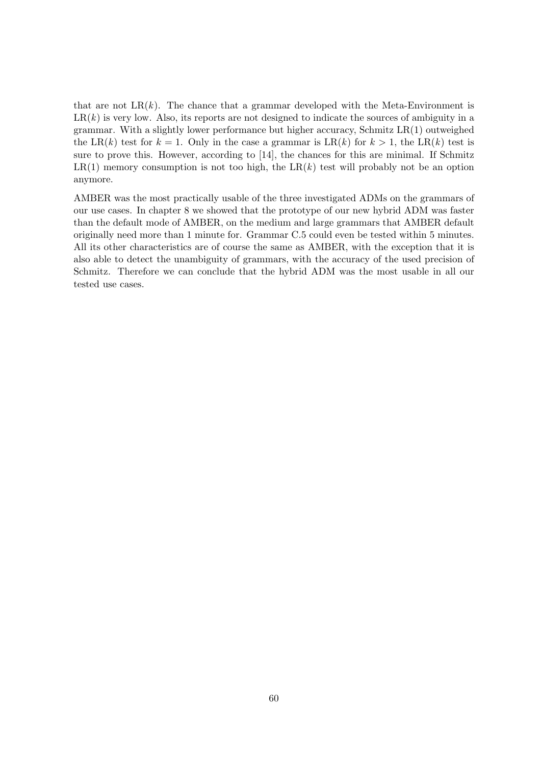that are not  $LR(k)$ . The chance that a grammar developed with the Meta-Environment is  $LR(k)$  is very low. Also, its reports are not designed to indicate the sources of ambiguity in a grammar. With a slightly lower performance but higher accuracy, Schmitz LR(1) outweighed the LR(k) test for  $k = 1$ . Only in the case a grammar is LR(k) for  $k > 1$ , the LR(k) test is sure to prove this. However, according to [\[14\]](#page-65-0), the chances for this are minimal. If Schmitz  $LR(1)$  memory consumption is not too high, the  $LR(k)$  test will probably not be an option anymore.

AMBER was the most practically usable of the three investigated ADMs on the grammars of our use cases. In chapter [8](#page-50-0) we showed that the prototype of our new hybrid ADM was faster than the default mode of AMBER, on the medium and large grammars that AMBER default originally need more than 1 minute for. Grammar C.5 could even be tested within 5 minutes. All its other characteristics are of course the same as AMBER, with the exception that it is also able to detect the unambiguity of grammars, with the accuracy of the used precision of Schmitz. Therefore we can conclude that the hybrid ADM was the most usable in all our tested use cases.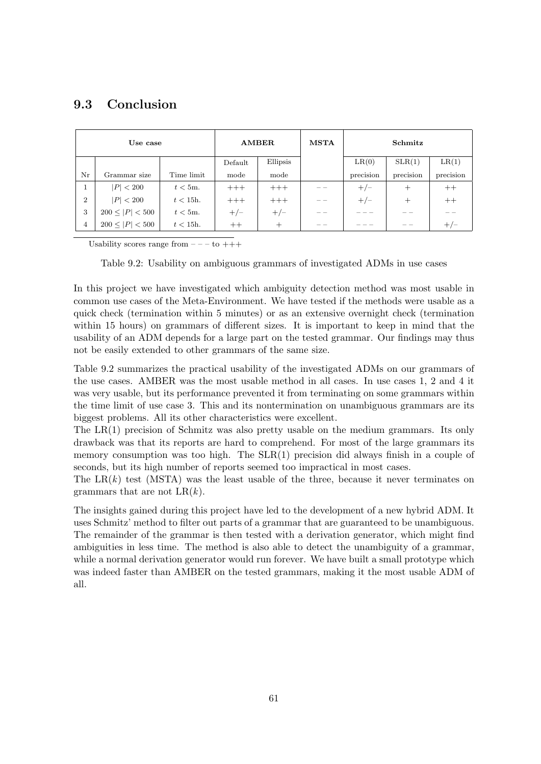#### 9.3 Conclusion

| Use case       |                      | <b>AMBER</b> |         | <b>MSTA</b> | Schmitz |           |           |           |
|----------------|----------------------|--------------|---------|-------------|---------|-----------|-----------|-----------|
|                |                      |              | Default | Ellipsis    |         | LR(0)     | SLR(1)    | LR(1)     |
| Nr             | Grammar size         | Time limit   | mode    | mode        |         | precision | precision | precision |
|                | P  < 200             | $t < 5m$ .   | $+++$   | $+++$       |         | $+/-$     | $^{+}$    | $++$      |
| $\overline{2}$ | P  < 200             | $t < 15h$ .  | $+++$   | $+++$       |         | $+/-$     | $^{+}$    | $++$      |
| 3              | $200 \leq  P  < 500$ | $t < 5m$ .   | $+/-$   | $+/-$       |         |           |           |           |
| 4              | $200 \leq  P  < 500$ | $t < 15h$ .  | $++$    | $^{+}$      |         |           |           | $+/-$     |

Usability scores range from  $---$  to  $+++$ 

<span id="page-60-0"></span>Table 9.2: Usability on ambiguous grammars of investigated ADMs in use cases

In this project we have investigated which ambiguity detection method was most usable in common use cases of the Meta-Environment. We have tested if the methods were usable as a quick check (termination within 5 minutes) or as an extensive overnight check (termination within 15 hours) on grammars of different sizes. It is important to keep in mind that the usability of an ADM depends for a large part on the tested grammar. Our findings may thus not be easily extended to other grammars of the same size.

Table [9.2](#page-60-0) summarizes the practical usability of the investigated ADMs on our grammars of the use cases. AMBER was the most usable method in all cases. In use cases 1, 2 and 4 it was very usable, but its performance prevented it from terminating on some grammars within the time limit of use case 3. This and its nontermination on unambiguous grammars are its biggest problems. All its other characteristics were excellent.

The LR(1) precision of Schmitz was also pretty usable on the medium grammars. Its only drawback was that its reports are hard to comprehend. For most of the large grammars its memory consumption was too high. The SLR(1) precision did always finish in a couple of seconds, but its high number of reports seemed too impractical in most cases.

The  $LR(k)$  test (MSTA) was the least usable of the three, because it never terminates on grammars that are not  $LR(k)$ .

The insights gained during this project have led to the development of a new hybrid ADM. It uses Schmitz' method to filter out parts of a grammar that are guaranteed to be unambiguous. The remainder of the grammar is then tested with a derivation generator, which might find ambiguities in less time. The method is also able to detect the unambiguity of a grammar, while a normal derivation generator would run forever. We have built a small prototype which was indeed faster than AMBER on the tested grammars, making it the most usable ADM of all.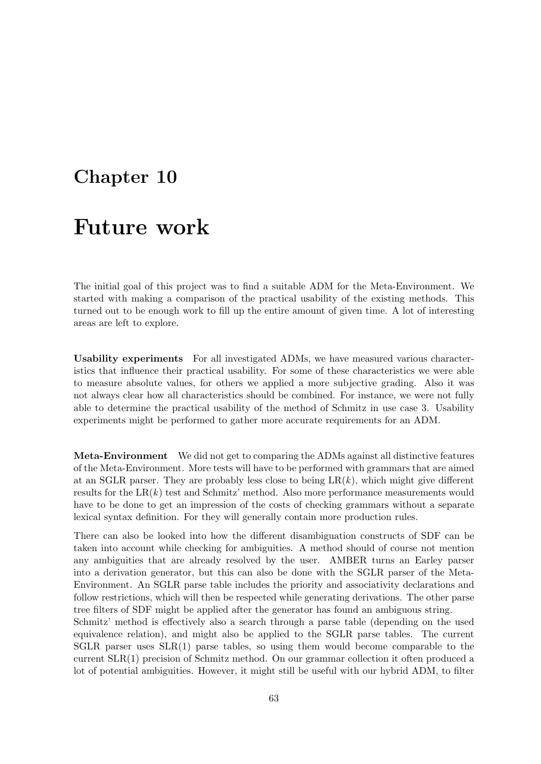### Chapter 10

## Future work

The initial goal of this project was to find a suitable ADM for the Meta-Environment. We started with making a comparison of the practical usability of the existing methods. This turned out to be enough work to fill up the entire amount of given time. A lot of interesting areas are left to explore.

Usability experiments For all investigated ADMs, we have measured various characteristics that influence their practical usability. For some of these characteristics we were able to measure absolute values, for others we applied a more subjective grading. Also it was not always clear how all characteristics should be combined. For instance, we were not fully able to determine the practical usability of the method of Schmitz in use case 3. Usability experiments might be performed to gather more accurate requirements for an ADM.

Meta-Environment We did not get to comparing the ADMs against all distinctive features of the Meta-Environment. More tests will have to be performed with grammars that are aimed at an SGLR parser. They are probably less close to being  $LR(k)$ , which might give different results for the  $LR(k)$  test and Schmitz' method. Also more performance measurements would have to be done to get an impression of the costs of checking grammars without a separate lexical syntax definition. For they will generally contain more production rules.

There can also be looked into how the different disambiguation constructs of SDF can be taken into account while checking for ambiguities. A method should of course not mention any ambiguities that are already resolved by the user. AMBER turns an Earley parser into a derivation generator, but this can also be done with the SGLR parser of the Meta-Environment. An SGLR parse table includes the priority and associativity declarations and follow restrictions, which will then be respected while generating derivations. The other parse tree filters of SDF might be applied after the generator has found an ambiguous string.

Schmitz' method is effectively also a search through a parse table (depending on the used equivalence relation), and might also be applied to the SGLR parse tables. The current  $SGLR$  parser uses  $SLR(1)$  parse tables, so using them would become comparable to the current SLR(1) precision of Schmitz method. On our grammar collection it often produced a lot of potential ambiguities. However, it might still be useful with our hybrid ADM, to filter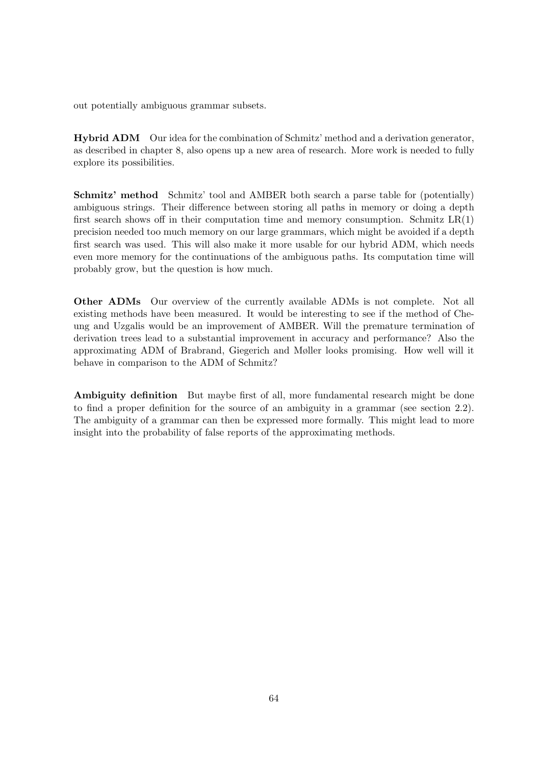out potentially ambiguous grammar subsets.

Hybrid ADM Our idea for the combination of Schmitz' method and a derivation generator, as described in chapter [8,](#page-50-0) also opens up a new area of research. More work is needed to fully explore its possibilities.

Schmitz' method Schmitz' tool and AMBER both search a parse table for (potentially) ambiguous strings. Their difference between storing all paths in memory or doing a depth first search shows off in their computation time and memory consumption. Schmitz  $LR(1)$ precision needed too much memory on our large grammars, which might be avoided if a depth first search was used. This will also make it more usable for our hybrid ADM, which needs even more memory for the continuations of the ambiguous paths. Its computation time will probably grow, but the question is how much.

Other ADMs Our overview of the currently available ADMs is not complete. Not all existing methods have been measured. It would be interesting to see if the method of Cheung and Uzgalis would be an improvement of AMBER. Will the premature termination of derivation trees lead to a substantial improvement in accuracy and performance? Also the approximating ADM of Brabrand, Giegerich and Møller looks promising. How well will it behave in comparison to the ADM of Schmitz?

Ambiguity definition But maybe first of all, more fundamental research might be done to find a proper definition for the source of an ambiguity in a grammar (see section [2.2\)](#page-15-0). The ambiguity of a grammar can then be expressed more formally. This might lead to more insight into the probability of false reports of the approximating methods.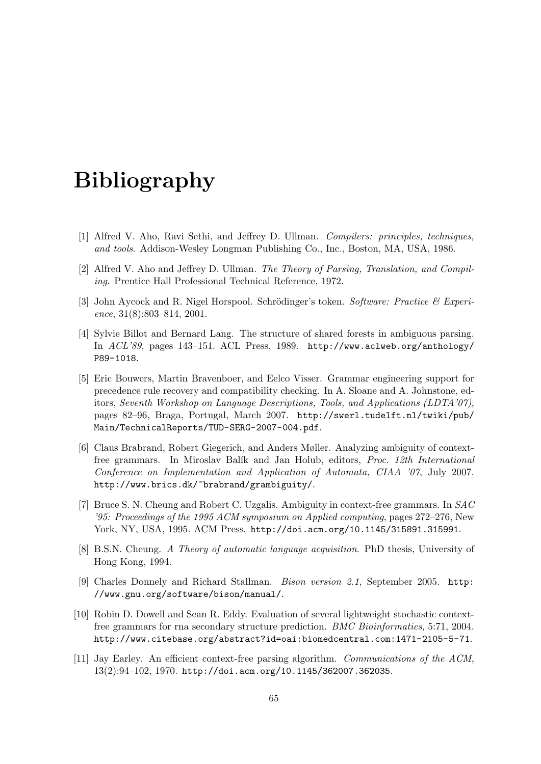# Bibliography

- [1] Alfred V. Aho, Ravi Sethi, and Jeffrey D. Ullman. Compilers: principles, techniques, and tools. Addison-Wesley Longman Publishing Co., Inc., Boston, MA, USA, 1986.
- [2] Alfred V. Aho and Jeffrey D. Ullman. The Theory of Parsing, Translation, and Compiling. Prentice Hall Professional Technical Reference, 1972.
- [3] John Aycock and R. Nigel Horspool. Schrödinger's token. Software: Practice  $\mathcal C$  Experience, 31(8):803–814, 2001.
- [4] Sylvie Billot and Bernard Lang. The structure of shared forests in ambiguous parsing. In ACL'89, pages 143–151. ACL Press, 1989. [http://www.aclweb.org/anthology/](http://www.aclweb.org/anthology/P89-1018) [P89-1018](http://www.aclweb.org/anthology/P89-1018).
- [5] Eric Bouwers, Martin Bravenboer, and Eelco Visser. Grammar engineering support for precedence rule recovery and compatibility checking. In A. Sloane and A. Johnstone, editors, Seventh Workshop on Language Descriptions, Tools, and Applications (LDTA'07), pages 82–96, Braga, Portugal, March 2007. [http://swerl.tudelft.nl/twiki/pub/](http://swerl.tudelft.nl/twiki/pub/Main/TechnicalReports/TUD-SERG-2007-004.pdf) [Main/TechnicalReports/TUD-SERG-2007-004.pdf](http://swerl.tudelft.nl/twiki/pub/Main/TechnicalReports/TUD-SERG-2007-004.pdf).
- [6] Claus Brabrand, Robert Giegerich, and Anders Møller. Analyzing ambiguity of contextfree grammars. In Miroslav Balík and Jan Holub, editors, *Proc. 12th International* Conference on Implementation and Application of Automata, CIAA '07, July 2007. <http://www.brics.dk/~brabrand/grambiguity/>.
- [7] Bruce S. N. Cheung and Robert C. Uzgalis. Ambiguity in context-free grammars. In SAC '95: Proceedings of the 1995 ACM symposium on Applied computing, pages 272–276, New York, NY, USA, 1995. ACM Press. <http://doi.acm.org/10.1145/315891.315991>.
- [8] B.S.N. Cheung. A Theory of automatic language acquisition. PhD thesis, University of Hong Kong, 1994.
- [9] Charles Donnely and Richard Stallman. Bison version 2.1, September 2005. [http:](http://www.gnu.org/software/bison/manual/) [//www.gnu.org/software/bison/manual/](http://www.gnu.org/software/bison/manual/).
- [10] Robin D. Dowell and Sean R. Eddy. Evaluation of several lightweight stochastic contextfree grammars for rna secondary structure prediction. BMC Bioinformatics, 5:71, 2004. <http://www.citebase.org/abstract?id=oai:biomedcentral.com:1471-2105-5-71>.
- [11] Jay Earley. An efficient context-free parsing algorithm. Communications of the ACM, 13(2):94–102, 1970. <http://doi.acm.org/10.1145/362007.362035>.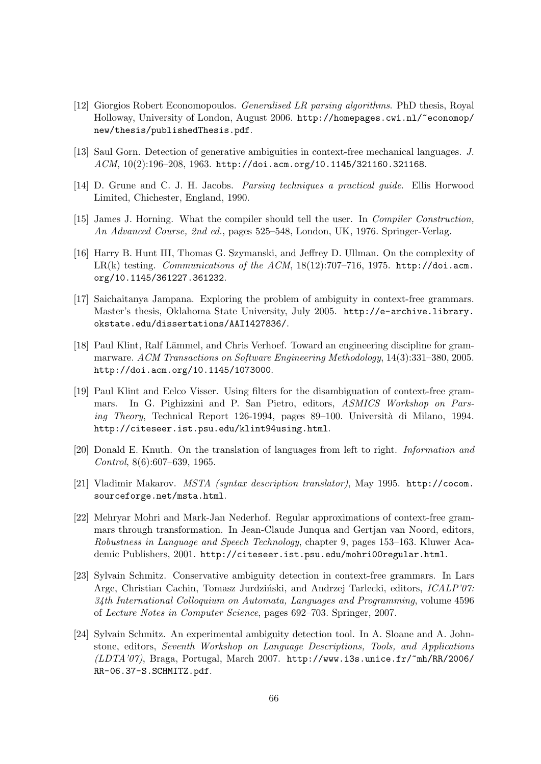- [12] Giorgios Robert Economopoulos. Generalised LR parsing algorithms. PhD thesis, Royal Holloway, University of London, August 2006. [http://homepages.cwi.nl/~economop/](http://homepages.cwi.nl/~economop/new/thesis/publishedThesis.pdf) [new/thesis/publishedThesis.pdf](http://homepages.cwi.nl/~economop/new/thesis/publishedThesis.pdf).
- [13] Saul Gorn. Detection of generative ambiguities in context-free mechanical languages. J. ACM, 10(2):196–208, 1963. <http://doi.acm.org/10.1145/321160.321168>.
- <span id="page-65-0"></span>[14] D. Grune and C. J. H. Jacobs. Parsing techniques a practical guide. Ellis Horwood Limited, Chichester, England, 1990.
- [15] James J. Horning. What the compiler should tell the user. In Compiler Construction, An Advanced Course, 2nd ed., pages 525–548, London, UK, 1976. Springer-Verlag.
- [16] Harry B. Hunt III, Thomas G. Szymanski, and Jeffrey D. Ullman. On the complexity of LR(k) testing. Communications of the ACM,  $18(12):707-716$ , 1975. [http://doi.acm.](http://doi.acm.org/10.1145/361227.361232) [org/10.1145/361227.361232](http://doi.acm.org/10.1145/361227.361232).
- [17] Saichaitanya Jampana. Exploring the problem of ambiguity in context-free grammars. Master's thesis, Oklahoma State University, July 2005. [http://e-archive.library.](http://e-archive.library.okstate.edu/dissertations/AAI1427836/) [okstate.edu/dissertations/AAI1427836/](http://e-archive.library.okstate.edu/dissertations/AAI1427836/).
- [18] Paul Klint, Ralf Lämmel, and Chris Verhoef. Toward an engineering discipline for grammarware. ACM Transactions on Software Engineering Methodology, 14(3):331–380, 2005. <http://doi.acm.org/10.1145/1073000>.
- [19] Paul Klint and Eelco Visser. Using filters for the disambiguation of context-free grammars. In G. Pighizzini and P. San Pietro, editors, ASMICS Workshop on Parsing Theory, Technical Report 126-1994, pages 89-100. Università di Milano, 1994. <http://citeseer.ist.psu.edu/klint94using.html>.
- [20] Donald E. Knuth. On the translation of languages from left to right. Information and Control, 8(6):607–639, 1965.
- <span id="page-65-3"></span>[21] Vladimir Makarov. MSTA (syntax description translator), May 1995. [http://cocom.](http://cocom.sourceforge.net/msta.html) [sourceforge.net/msta.html](http://cocom.sourceforge.net/msta.html).
- [22] Mehryar Mohri and Mark-Jan Nederhof. Regular approximations of context-free grammars through transformation. In Jean-Claude Junqua and Gertjan van Noord, editors, Robustness in Language and Speech Technology, chapter 9, pages 153–163. Kluwer Academic Publishers, 2001. <http://citeseer.ist.psu.edu/mohri00regular.html>.
- <span id="page-65-1"></span>[23] Sylvain Schmitz. Conservative ambiguity detection in context-free grammars. In Lars Arge, Christian Cachin, Tomasz Jurdziński, and Andrzej Tarlecki, editors, *ICALP'07:* 34th International Colloquium on Automata, Languages and Programming, volume 4596 of Lecture Notes in Computer Science, pages 692–703. Springer, 2007.
- <span id="page-65-2"></span>[24] Sylvain Schmitz. An experimental ambiguity detection tool. In A. Sloane and A. Johnstone, editors, Seventh Workshop on Language Descriptions, Tools, and Applications (LDTA'07), Braga, Portugal, March 2007. [http://www.i3s.unice.fr/~mh/RR/2006/](http://www.i3s.unice.fr/~mh/RR/2006/RR-06.37-S.SCHMITZ.pdf) [RR-06.37-S.SCHMITZ.pdf](http://www.i3s.unice.fr/~mh/RR/2006/RR-06.37-S.SCHMITZ.pdf).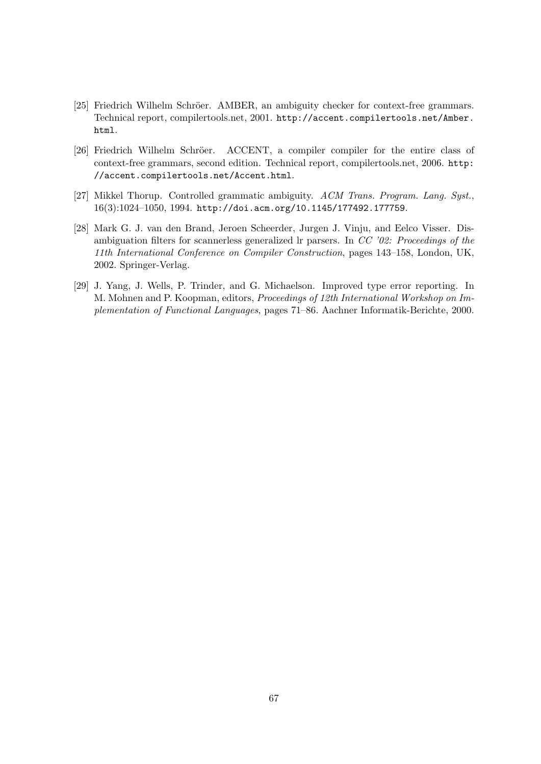- <span id="page-66-0"></span>[25] Friedrich Wilhelm Schröer. AMBER, an ambiguity checker for context-free grammars. Technical report, compilertools.net, 2001. [http://accent.compilertools.net/Amber.](http://accent.compilertools.net/Amber.html) [html](http://accent.compilertools.net/Amber.html).
- [26] Friedrich Wilhelm Schröer. ACCENT, a compiler compiler for the entire class of context-free grammars, second edition. Technical report, compilertools.net, 2006. [http:](http://accent.compilertools.net/Accent.html) [//accent.compilertools.net/Accent.html](http://accent.compilertools.net/Accent.html).
- [27] Mikkel Thorup. Controlled grammatic ambiguity. ACM Trans. Program. Lang. Syst., 16(3):1024–1050, 1994. <http://doi.acm.org/10.1145/177492.177759>.
- [28] Mark G. J. van den Brand, Jeroen Scheerder, Jurgen J. Vinju, and Eelco Visser. Disambiguation filters for scannerless generalized lr parsers. In CC '02: Proceedings of the 11th International Conference on Compiler Construction, pages 143–158, London, UK, 2002. Springer-Verlag.
- [29] J. Yang, J. Wells, P. Trinder, and G. Michaelson. Improved type error reporting. In M. Mohnen and P. Koopman, editors, Proceedings of 12th International Workshop on Implementation of Functional Languages, pages 71–86. Aachner Informatik-Berichte, 2000.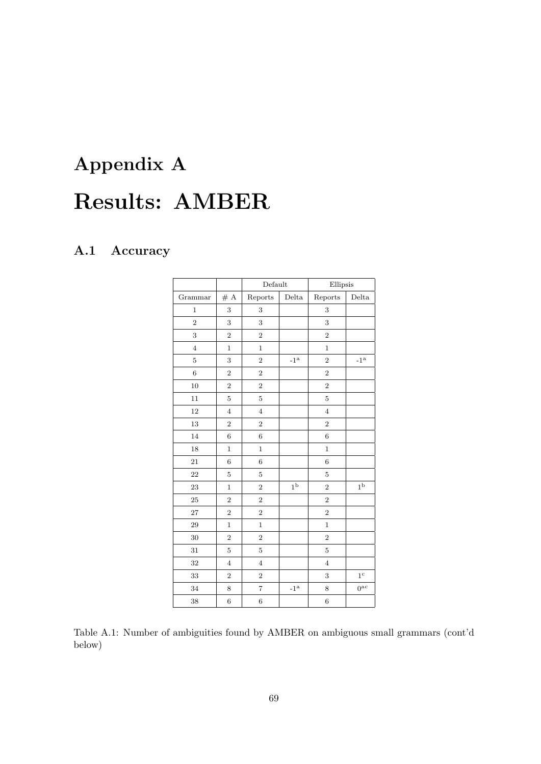# Appendix A Results: AMBER

#### A.1 Accuracy

|                |                | Default          |                            | Ellipsis       |                        |
|----------------|----------------|------------------|----------------------------|----------------|------------------------|
| Grammar        | # A            | Reports          | Delta                      | Reports        | Delta                  |
| $\mathbf{1}$   | 3              | $\,3$            |                            | 3              |                        |
| $\sqrt{2}$     | 3              | 3                |                            | 3              |                        |
| 3              | $\overline{2}$ | $\overline{2}$   |                            | $\overline{2}$ |                        |
| $\overline{4}$ | $\mathbf{1}$   | $\mathbf{1}$     |                            | $\mathbf{1}$   |                        |
| $\bf 5$        | 3              | $\overline{2}$   | $-1^{\rm a}$               | $\overline{2}$ | $\mbox{-}1^{\mbox{a}}$ |
| $\overline{6}$ | $\overline{2}$ | $\overline{2}$   |                            | $\overline{2}$ |                        |
| 10             | $\overline{2}$ | $\overline{2}$   |                            | $\overline{2}$ |                        |
| 11             | $\overline{5}$ | 5                |                            | $\overline{5}$ |                        |
| 12             | $\overline{4}$ | $\overline{4}$   |                            | $\overline{4}$ |                        |
| $13\,$         | $\overline{2}$ | $\overline{2}$   |                            | $\overline{2}$ |                        |
| 14             | 6              | 6                |                            | 6              |                        |
| 18             | $\mathbf{1}$   | $\,1$            |                            | $\mathbf 1$    |                        |
| 21             | 6              | $6\phantom{1}6$  |                            | 6              |                        |
| 22             | $\overline{5}$ | $\overline{5}$   |                            | $\overline{5}$ |                        |
| 23             | $\mathbf{1}$   | $\overline{2}$   | 1 <sup>b</sup>             | $\overline{2}$ | 1 <sup>b</sup>         |
| 25             | $\overline{2}$ | $\overline{2}$   |                            | $\overline{2}$ |                        |
| $27\,$         | $\overline{2}$ | $\overline{2}$   |                            | $\overline{2}$ |                        |
| 29             | $\mathbf{1}$   | $\mathbf{1}$     |                            | $\mathbf{1}$   |                        |
| $30\,$         | $\overline{2}$ | $\overline{2}$   |                            | $\overline{2}$ |                        |
| 31             | $\overline{5}$ | $\overline{5}$   |                            | $\overline{5}$ |                        |
| 32             | $\overline{4}$ | $\overline{4}$   |                            | $\overline{4}$ |                        |
| $33\,$         | $\overline{2}$ | $\boldsymbol{2}$ |                            | 3              | 1 <sup>c</sup>         |
| 34             | 8              | $\overline{7}$   | $\mathbf{-1}^{\mathrm{a}}$ | 8              | 0 <sup>ac</sup>        |
| 38             | 6              | $\boldsymbol{6}$ |                            | $\sqrt{6}$     |                        |

Table A.1: Number of ambiguities found by AMBER on ambiguous small grammars (cont'd below)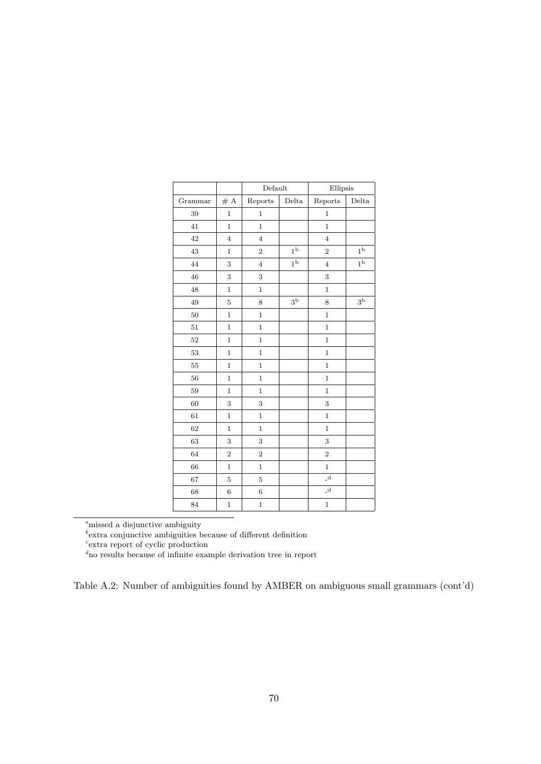|         |                  | Default        |                | Ellipsis              |                |
|---------|------------------|----------------|----------------|-----------------------|----------------|
| Grammar | $\#$ A           | Reports        | Delta          | Reports               | Delta          |
| 39      | $\mathbf 1$      | $\mathbf{1}$   |                | $\mathbf{1}$          |                |
| 41      | $\mathbf{1}$     | $\mathbf{1}$   |                | $\mathbf{1}$          |                |
| 42      | $\overline{4}$   | $\overline{4}$ |                | $\overline{4}$        |                |
| 43      | $\mathbf 1$      | $\overline{2}$ | 1 <sup>b</sup> | $\overline{2}$        | 1 <sup>b</sup> |
| 44      | 3                | $\overline{4}$ | $1^{\rm b}$    | $\overline{4}$        | $1^{\rm b}$    |
| 46      | 3                | 3              |                | 3                     |                |
| 48      | $\mathbf{1}$     | $\mathbf{1}$   |                | $\mathbf{1}$          |                |
| 49      | $\overline{5}$   | 8              | 3 <sup>b</sup> | 8                     | 3 <sup>b</sup> |
| 50      | $\overline{1}$   | $\mathbf{1}$   |                | $\mathbf{1}$          |                |
| $51\,$  | $\overline{1}$   | $\mathbf{1}$   |                | $\mathbf{1}$          |                |
| 52      | $\mathbf{1}$     | $\mathbf{1}$   |                | $\mathbf{1}$          |                |
| 53      | $\mathbf{1}$     | $\mathbf 1$    |                | $\mathbf 1$           |                |
| 55      | $\mathbf{1}$     | $\mathbf{1}$   |                | $\mathbf{1}$          |                |
| 56      | $\overline{1}$   | $\mathbf{1}$   |                | $\mathbf{1}$          |                |
| $59\,$  | $\mathbf 1$      | $\mathbf{1}$   |                | $\mathbf{1}$          |                |
| 60      | 3                | 3              |                | 3                     |                |
| $61\,$  | $\mathbf{1}$     | $\mathbf{1}$   |                | $\mathbf{1}$          |                |
| 62      | $\mathbf{1}$     | $\mathbf{1}$   |                | $\mathbf{1}$          |                |
| $63\,$  | 3                | 3              |                | 3                     |                |
| 64      | $\overline{2}$   | $\overline{2}$ |                | $\overline{2}$        |                |
| 66      | $\mathbf{1}$     | $\mathbf{1}$   |                | $\mathbf{1}$          |                |
| 67      | $\overline{5}$   | $\bf 5$        |                | $\char`_{\mathbf{d}}$ |                |
| 68      | $\boldsymbol{6}$ | $\,$ 6 $\,$    |                | $\mathbf{d}$          |                |
| 84      | $\overline{1}$   | $\,1$          |                | $\,1$                 |                |

 $a<sup>a</sup>$ missed a disjunctive ambiguity

 $b$ <sup>b</sup> extra conjunctive ambiguities because of different definition  $c$ <sup>o</sup> extra report of cyclic production

<sup>d</sup>no results because of infinite example derivation tree in report

Table A.2: Number of ambiguities found by AMBER on ambiguous small grammars (cont'd)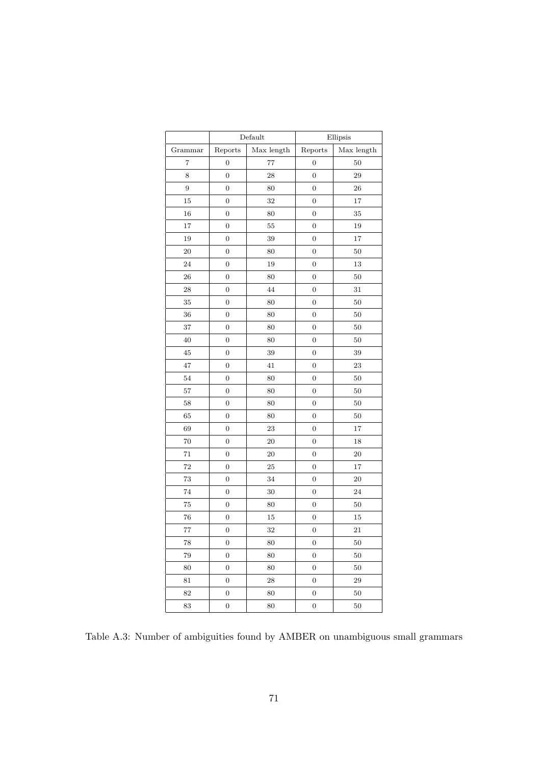|                  | Default          |            | Ellipsis         |            |  |
|------------------|------------------|------------|------------------|------------|--|
| Grammar          | Reports          | Max length | Reports          | Max length |  |
| $\overline{7}$   | $\overline{0}$   | 77         | $\boldsymbol{0}$ | 50         |  |
| 8                | $\boldsymbol{0}$ | 28         | $\boldsymbol{0}$ | 29         |  |
| $\boldsymbol{9}$ | $\boldsymbol{0}$ | 80         | $\boldsymbol{0}$ | 26         |  |
| 15               | $\boldsymbol{0}$ | 32         | $\boldsymbol{0}$ | 17         |  |
| 16               | $\boldsymbol{0}$ | 80         | $\boldsymbol{0}$ | $35\,$     |  |
| 17               | $\boldsymbol{0}$ | 55         | $\boldsymbol{0}$ | 19         |  |
| 19               | $\boldsymbol{0}$ | 39         | $\overline{0}$   | 17         |  |
| 20               | $\boldsymbol{0}$ | 80         | $\boldsymbol{0}$ | 50         |  |
| 24               | $\boldsymbol{0}$ | 19         | $\boldsymbol{0}$ | $13\,$     |  |
| 26               | $\boldsymbol{0}$ | 80         | $\boldsymbol{0}$ | $50\,$     |  |
| 28               | $\boldsymbol{0}$ | 44         | $\boldsymbol{0}$ | $31\,$     |  |
| 35               | $\boldsymbol{0}$ | 80         | $\boldsymbol{0}$ | 50         |  |
| 36               | $\boldsymbol{0}$ | 80         | $\boldsymbol{0}$ | 50         |  |
| 37               | $\overline{0}$   | 80         | $\boldsymbol{0}$ | 50         |  |
| 40               | $\boldsymbol{0}$ | 80         | $\boldsymbol{0}$ | 50         |  |
| 45               | $\boldsymbol{0}$ | 39         | $\boldsymbol{0}$ | 39         |  |
| 47               | $\boldsymbol{0}$ | 41         | $\boldsymbol{0}$ | 23         |  |
| 54               | $\boldsymbol{0}$ | 80         | $\boldsymbol{0}$ | 50         |  |
| 57               | $\boldsymbol{0}$ | 80         | $\boldsymbol{0}$ | 50         |  |
| 58               | $\overline{0}$   | 80         | $\overline{0}$   | $50\,$     |  |
| 65               | $\boldsymbol{0}$ | 80         | $\boldsymbol{0}$ | 50         |  |
| 69               | $\boldsymbol{0}$ | 23         | $\boldsymbol{0}$ | 17         |  |
| 70               | $\boldsymbol{0}$ | 20         | $\overline{0}$   | 18         |  |
| 71               | $\boldsymbol{0}$ | 20         | $\boldsymbol{0}$ | 20         |  |
| 72               | $\boldsymbol{0}$ | 25         | $\boldsymbol{0}$ | 17         |  |
| 73               | $\overline{0}$   | 34         | $\boldsymbol{0}$ | 20         |  |
| 74               | $\boldsymbol{0}$ | 30         | $\boldsymbol{0}$ | 24         |  |
| 75               | $\boldsymbol{0}$ | 80         | $\boldsymbol{0}$ | 50         |  |
| 76               | $\boldsymbol{0}$ | 15         | $\boldsymbol{0}$ | 15         |  |
| 77               | $\mathbf{0}$     | 32         | $\boldsymbol{0}$ | 21         |  |
| 78               | $\boldsymbol{0}$ | 80         | $\boldsymbol{0}$ | 50         |  |
| 79               | $\boldsymbol{0}$ | 80         | $\boldsymbol{0}$ | $50\,$     |  |
| 80               | $\boldsymbol{0}$ | 80         | $\boldsymbol{0}$ | $50\,$     |  |
| 81               | $\boldsymbol{0}$ | 28         | $\boldsymbol{0}$ | 29         |  |
| 82               | $\boldsymbol{0}$ | 80         | $\boldsymbol{0}$ | 50         |  |
| 83               | $\boldsymbol{0}$ | 80         | $\boldsymbol{0}$ | $50\,$     |  |

Table A.3: Number of ambiguities found by AMBER on unambiguous small grammars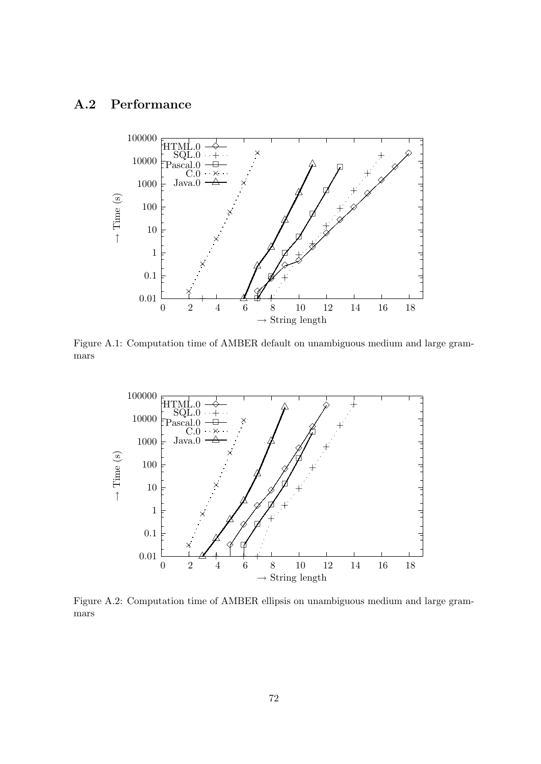#### A.2 Performance



Figure A.1: Computation time of AMBER default on unambiguous medium and large grammars

<span id="page-71-0"></span>

<span id="page-71-1"></span>Figure A.2: Computation time of AMBER ellipsis on unambiguous medium and large grammars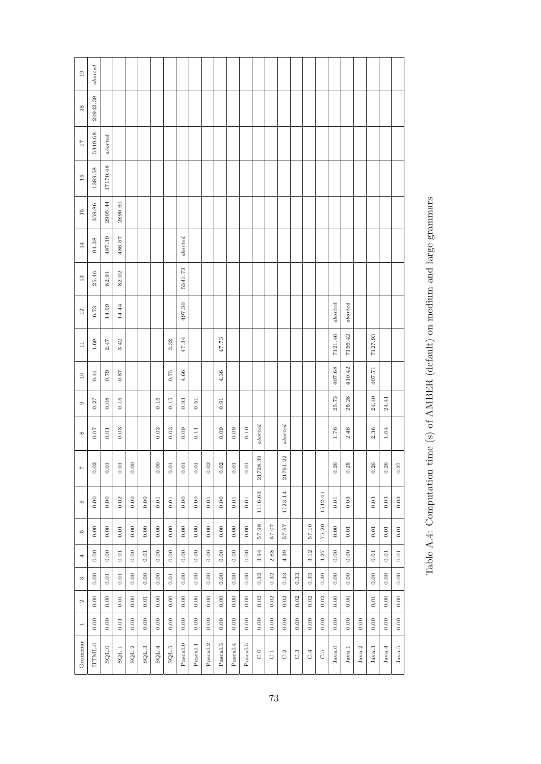| 19                | aborted  |          |                |           |          |          |          |          |          |          |          |          |          |              |           |              |                  |       |         |                 |          |        |                 |          |          |
|-------------------|----------|----------|----------------|-----------|----------|----------|----------|----------|----------|----------|----------|----------|----------|--------------|-----------|--------------|------------------|-------|---------|-----------------|----------|--------|-----------------|----------|----------|
| $18$              | 20942.39 |          |                |           |          |          |          |          |          |          |          |          |          |              |           |              |                  |       |         |                 |          |        |                 |          |          |
| 17                | 5349.68  | aborted  |                |           |          |          |          |          |          |          |          |          |          |              |           |              |                  |       |         |                 |          |        |                 |          |          |
| 16                | 1389.58  | 17170.48 |                |           |          |          |          |          |          |          |          |          |          |              |           |              |                  |       |         |                 |          |        |                 |          |          |
| $\frac{15}{2}$    | 359.86   | 2905.44  | 2890.60        |           |          |          |          |          |          |          |          |          |          |              |           |              |                  |       |         |                 |          |        |                 |          |          |
| 14                | 94.38    | 487.39   | 486.57         |           |          |          |          | aborted  |          |          |          |          |          |              |           |              |                  |       |         |                 |          |        |                 |          |          |
| 13                | 25.46    | 82.91    | 82.02          |           |          |          |          | 5341.73  |          |          |          |          |          |              |           |              |                  |       |         |                 |          |        |                 |          |          |
| 12                | 6.73     | 14.69    | 14.44          |           |          |          |          | 497.30   |          |          |          |          |          |              |           |              |                  |       |         | $_{aborted}$    | aborted  |        |                 |          |          |
| $\Box$            | 1.69     | 2.47     | 3.42           |           |          |          | 3.32     | 47.34    |          |          | 47.73    |          |          |              |           |              |                  |       |         | 7121.46         | 7156.42  |        | 7127.93         |          |          |
| $\overline{10}$   | 0.44     | 0.79     | 0.87           |           |          |          | $0.75$   | 4.66     |          |          | 4.36     |          |          |              |           |              |                  |       |         | 407.68          | 410.42   |        | 407.71          |          |          |
| $\circ$           | 0.27     | 0.08     | 0.15           |           |          | 0.15     | 0.15     | 0.93     | 0.51     |          | 0.91     |          |          |              |           |              |                  |       |         | 25.73           | 25.28    |        | 24.40           | 24.41    |          |
| ${}^{\circ}$      | $0.07$   | $0.01\,$ | 0.03           |           |          | 0.03     | 0.03     | 0.09     | 0.11     |          | 0.09     | 0.09     | 0.10     | aborted      |           | $_{aborted}$ |                  |       |         | $1.76\,$        | 2.46     |        | 2.36            | 1.64     |          |
| $\overline{z}$    | 0.02     | $0.01\,$ | $0.01$         | 0.00      |          | 0.00     | $0.01$   | $0.01$   | $0.01$   | 0.02     | 0.02     | $0.01\,$ | $0.01$   | 39<br>21728. |           | 22<br>21761  |                  |       |         | 0.26            | 0.25     |        | 0.26            | 0.26     | 0.27     |
| $\circ$           | 0.00     | $0.00$   | 0.02           | 0.00      | 0.00     | $0.01\,$ | $0.01\,$ | 0.00     | 0.00     | $0.01\,$ | 0.00     | $0.01\,$ | $0.01\,$ | 1116.63      |           | 1123.14      |                  |       | 1542.41 | $0.01\,$        | $0.03$   |        | 0.03            | $0.03$   | $0.03\,$ |
| <b>LO</b>         | 0.00     | 0.00     | $0.01\,$       | 0.00      | 0.00     | 0.00     | 0.00     | 0.00     | 0.00     | 0.00     | 0.00     | 0.00     | 0.00     | 57.98        | 57.07     | 57.67        |                  | 57.10 | 75.20   | 0.00            | $0.01\,$ |        | $0.01$          | $0.01\,$ | $0.01\,$ |
| 4                 | 0.00     | 0.00     | 0.01           | 0.00      | $0.01\,$ | 0.00     | 0.00     | 0.00     | 0.00     | 0.00     | 0.00     | 0.00     | 0.00     | 3.94         | 2.88      | 4.39         |                  | 3.12  | 4.27    | 0.00            | 0.00     |        | $0.01$          | $0.01\,$ | $0.01\,$ |
| S                 | $0.00$   | $0.01\,$ | $0.01\,$       | $_{0.00}$ | 0.00     | 0.00     | $0.01$   | 0.00     | 0.00     | $0.00$   | 0.00     | 0.00     | 0.00     | 0.32         | 0.32      | 0.33         | 0.33             | 0.33  | 0.39    | $0.00$          | 0.00     |        | 0.00            | $0.00$   | $0.00$   |
| $\mathbf{\Omega}$ | 0.00     | 0.00     | $0.01\,$       | 0.00      | $0.01\,$ | 0.00     | 0.00     | 0.00     | 0.00     | 0.00     | 0.00     | 0.00     | 0.00     | 0.02         | 0.02      | 0.02         | 0.02             | 0.02  | 0.02    | 0.00            | 0.00     |        | $0.01\,$        | 0.00     | 0.00     |
| $\overline{ }$    | 0.00     | 0.00     | $0.01\,$       | 0.00      | 0.00     | $0.00$   | 0.00     | 0.00     | $0.00$   | 0.00     | 0.00     | 0.00     | 0.00     | 0.00         | 0.00      | $0.00$       | 0.00             | 0.00  | 0.00    | 0.00            | 0.00     | 0.00   | 0.00            | 0.00     | 0.00     |
| Grammar           | HTML.0   | SGL.0    | $_{\rm SQL.1}$ | $SGL.2$   | SGL.3    | SGL.4    | SGL.5    | Pascal.0 | Pascal.1 | Pascal.2 | Pascal.3 | Pascal.4 | Pascal.5 | C.0          | $\rm C.1$ | C.2          | $C.\overline{3}$ | C.4   | c.5     | $_{\rm Java.0}$ | Java.1   | Java.2 | $_{\rm Java.3}$ | Java.4   | Java.5   |

Table A.4: Computation time (s) of AMBER (default) on medium and large grammars Table A.4: Computation time (s) of AMBER (default) on medium and large grammars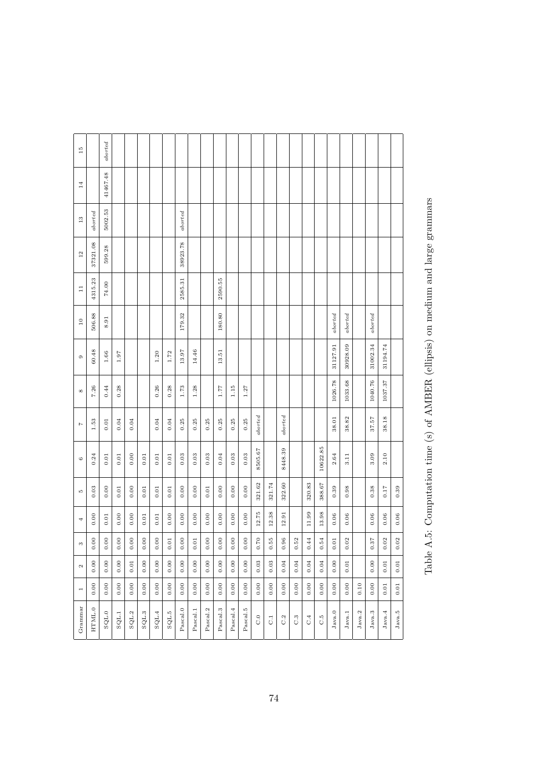| Ξ                        |              | aborted        |          |           |       |          |                |              |          |          |           |          |          |              |           |                  |                  |           |          |                                   |                 |        |          |          |          |
|--------------------------|--------------|----------------|----------|-----------|-------|----------|----------------|--------------|----------|----------|-----------|----------|----------|--------------|-----------|------------------|------------------|-----------|----------|-----------------------------------|-----------------|--------|----------|----------|----------|
| 14                       |              | 41467.48       |          |           |       |          |                |              |          |          |           |          |          |              |           |                  |                  |           |          |                                   |                 |        |          |          |          |
| 13                       | $_{abotted}$ | 5002.53        |          |           |       |          |                | $_{aborted}$ |          |          |           |          |          |              |           |                  |                  |           |          |                                   |                 |        |          |          |          |
| 12                       | 37321.08     | 599.28         |          |           |       |          |                | 38923.78     |          |          |           |          |          |              |           |                  |                  |           |          |                                   |                 |        |          |          |          |
| $\Xi$                    | 4315.23      | 74.00          |          |           |       |          |                | 2585.31      |          |          | 2590.55   |          |          |              |           |                  |                  |           |          |                                   |                 |        |          |          |          |
| $\overline{10}$          | 506.88       | 8.91           |          |           |       |          |                | 179.32       |          |          | 180.80    |          |          |              |           |                  |                  |           |          | aborted                           | aborted         |        | aborted  |          |          |
| $\circ$                  | 60.48        | $1.66\,$       | 1.97     |           |       | 1.20     | 1.72           | 13.97        | 14.46    |          | 13.51     |          |          |              |           |                  |                  |           |          | 31127.91                          | 30928.09        |        | 31002.34 | 31194.74 |          |
| ${}^{\circ}$             | 7.26         | 0.44           | 0.28     |           |       | 0.26     | 0.28           | 1.73         | 1.28     |          | 1.77      | 1.15     | 1.27     |              |           |                  |                  |           |          | 1026.78                           | 1033.68         |        | 1040.76  | 1037.37  |          |
| $\overline{1}$           | 1.53         | $0.01\,$       | 0.04     | 0.04      |       | 0.04     | 0.04           | 0.25         | 0.25     | 0.25     | 0.25      | $0.25\,$ | 0.25     | $_{aborted}$ |           | aborted          |                  |           |          | 38.01                             | 38.82           |        | 37.57    | 38.18    |          |
| $\circ$                  | 0.24         | 0.01           | $0.01\,$ | 0.00      | 0.01  | $\!0.01$ | 0.01           | 0.03         | 0.03     | 0.03     | $0.04\,$  | 0.03     | 0.03     | 8505.67      |           | 8448.39          |                  |           | 10622.85 | 2.64                              | 3.11            |        | 3.09     | 2.10     |          |
| <b>LO</b>                | 0.03         | 0.00           | $0.01\,$ | 0.00      | 0.01  | $0.01$   | 0.01           | 0.00         | 0.00     | 0.01     | 0.00      | 0.00     | 0.00     | 321.62       | 321.74    | 322.60           |                  | 320.83    | 388.67   | 0.39                              | 0.98            |        | 0.38     | $0.17$   | 0.39     |
| 4                        | 0.00         | 0.01           | 0.00     | 0.00      | 0.01  | $0.01\,$ | 0.00           | 0.00         | 0.00     | 0.00     | 0.00      | 0.00     | 0.00     | 12.75        | 12.38     | 12.91            |                  | 11.99     | 13.98    | 0.06                              | 0.06            |        | 0.06     | $0.06$   | $0.06$   |
| $\infty$                 | $0.00\,$     | $0.00\,$       | 0.00     | $_{0.00}$ | 0.00  | $0.00\,$ | $0.01\,$       | 0.00         | $0.01\,$ | 0.00     | $_{0.00}$ | 0.00     | 0.00     | $0.70\,$     | $0.55\,$  | $\bf{0.96}$      | $\,0.52$         | 0.44      | 0.54     | $\rightarrow$<br>$\overline{0}$ . | 0.02            |        | $0.37\,$ | $0.02\,$ | 0.02     |
| $\boldsymbol{\omega}$    | 0.00         | 0.00           | 0.00     | $0.01\,$  | 0.00  | 0.00     | 0.00           | 0.00         | 0.00     | 0.00     | 0.00      | 0.00     | 0.00     | 0.03         | 0.03      | 0.04             | 0.04             | $0.04$    | 0.04     | 0.00                              | 0.01            |        | 0.00     | $0.01$   | $0.01$   |
| $\overline{\phantom{a}}$ | 0.00         | 0.00           | 0.00     | 0.00      | 0.00  | 0.00     | 0.00           | 0.00         | 0.00     | 0.00     | 0.00      | 0.00     | 0.00     | 0.00         | 0.00      | 0.00             | 0.00             | 0.00      | 0.00     | 0.00                              | 0.00            | 0.10   | 0.00     | 0.01     | $0.01\,$ |
| Grammar                  | HTML.0       | $\text{SQL}.0$ | SQL.1    | SQL.2     | SQL.3 | SQL.4    | $\text{SQL}.5$ | Pascal.0     | Pascal.1 | Pascal.2 | Pascal.3  | Pascal.4 | Pascal.5 | $_{\rm C.0}$ | $\vec{C}$ | $C.\overline{2}$ | $C.\overline{3}$ | $\rm C.4$ | C.5      | $_{\rm Java.0}$                   | $_{\rm Java.1}$ | Java.2 | Java.3   | Java.4   | Java.5   |

Table A.5: Computation time (s) of AMBER (ellipsis) on medium and large grammars Table A.5: Computation time (s) of AMBER (ellipsis) on medium and large grammars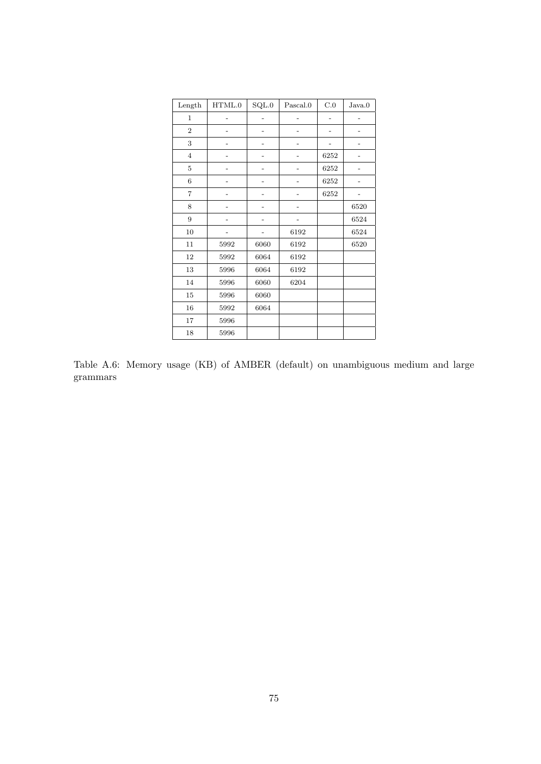| Length          | HTML.0 | $\mathrm{SQL.0}$ | Pascal.0 | $\rm C.0$ | Java.0 |
|-----------------|--------|------------------|----------|-----------|--------|
| $\mathbf 1$     |        |                  |          |           |        |
| $\,2$           |        |                  |          |           |        |
| 3               |        |                  |          |           |        |
| $\overline{4}$  |        |                  |          | 6252      |        |
| $\overline{5}$  |        |                  |          | 6252      |        |
| $6\phantom{1}6$ |        |                  |          | 6252      |        |
| $\overline{7}$  |        |                  |          | 6252      |        |
| $\,$ 8 $\,$     |        |                  |          |           | 6520   |
| 9               |        |                  |          |           | 6524   |
| $10\,$          |        |                  | 6192     |           | 6524   |
| 11              | 5992   | 6060             | 6192     |           | 6520   |
| 12              | 5992   | 6064             | 6192     |           |        |
| 13              | 5996   | 6064             | 6192     |           |        |
| 14              | 5996   | 6060             | 6204     |           |        |
| $15\,$          | 5996   | 6060             |          |           |        |
| $16\,$          | 5992   | 6064             |          |           |        |
| 17              | 5996   |                  |          |           |        |
| 18              | 5996   |                  |          |           |        |

Table A.6: Memory usage (KB) of AMBER (default) on unambiguous medium and large grammars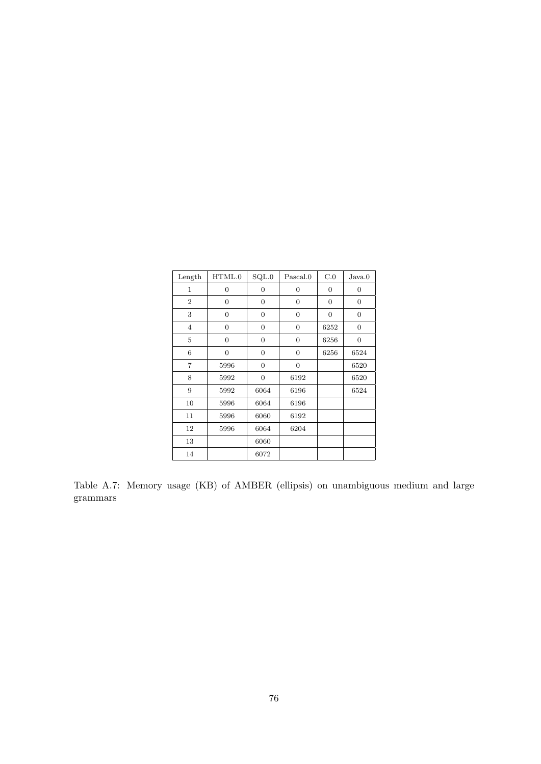| Length         | HTML.0           | SQL.0            | Pascal.0         | C.0              | Java.0           |
|----------------|------------------|------------------|------------------|------------------|------------------|
| $\mathbf{1}$   | $\boldsymbol{0}$ | $\overline{0}$   | $\boldsymbol{0}$ | 0                | $\boldsymbol{0}$ |
| $\overline{2}$ | $\mathbf{0}$     | $\overline{0}$   | $\boldsymbol{0}$ | $\boldsymbol{0}$ | $\boldsymbol{0}$ |
| 3              | $\boldsymbol{0}$ | $\overline{0}$   | $\overline{0}$   | $\boldsymbol{0}$ | $\boldsymbol{0}$ |
| $\overline{4}$ | $\mathbf{0}$     | $\overline{0}$   | $\boldsymbol{0}$ | 6252             | $\overline{0}$   |
| 5              | $\boldsymbol{0}$ | $\boldsymbol{0}$ | $\overline{0}$   | 6256             | $\boldsymbol{0}$ |
| 6              | $\mathbf{0}$     | $\boldsymbol{0}$ | $\boldsymbol{0}$ | 6256             | 6524             |
| $\overline{7}$ | 5996             | $\boldsymbol{0}$ | $\boldsymbol{0}$ |                  | 6520             |
| 8              | 5992             | $\boldsymbol{0}$ | 6192             |                  | 6520             |
| 9              | 5992             | 6064             | 6196             |                  | 6524             |
| 10             | 5996             | 6064             | 6196             |                  |                  |
| 11             | 5996             | 6060             | 6192             |                  |                  |
| 12             | 5996             | 6064             | 6204             |                  |                  |
| 13             |                  | 6060             |                  |                  |                  |
| 14             |                  | 6072             |                  |                  |                  |

Table A.7: Memory usage (KB) of AMBER (ellipsis) on unambiguous medium and large grammars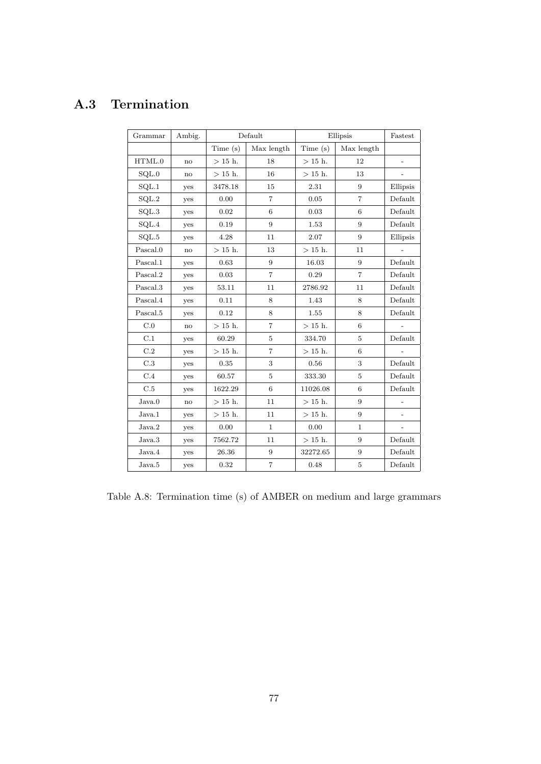## A.3 Termination

| Grammar          | Ambig.        |           | Default        | Ellipsis  | Fastest        |                          |
|------------------|---------------|-----------|----------------|-----------|----------------|--------------------------|
|                  |               | Time(s)   | Max length     | Time(s)   | Max length     |                          |
| HTML.0           | no            | $>15$ h.  | 18             | $>$ 15 h. | 12             | $\overline{\phantom{a}}$ |
| SQL.0            | no            | $>$ 15 h. | 16             | $>$ 15 h. | 13             |                          |
| SQL.1            | yes           | 3478.18   | 15             | 2.31      | 9              | Ellipsis                 |
| $\mathrm{SQL.2}$ | yes           | 0.00      | $\overline{7}$ | 0.05      | $\overline{7}$ | Default                  |
| SQL.3            | yes           | 0.02      | 6              | 0.03      | 6              | Default                  |
| SQL.4            | yes           | 0.19      | 9              | 1.53      | 9              | Default                  |
| SQL.5            | yes           | 4.28      | 11             | 2.07      | 9              | Ellipsis                 |
| Pascal.0         | no            | $>$ 15 h. | 13             | $>15$ h.  | 11             |                          |
| Pascal.1         | yes           | 0.63      | 9              | 16.03     | 9              | Default                  |
| Pascal.2         | yes           | 0.03      | $\overline{7}$ | 0.29      | $\overline{7}$ | Default                  |
| Pascal.3         | yes           | 53.11     | 11             | 2786.92   | 11             | Default                  |
| Pascal.4         | yes           | 0.11      | 8              | 1.43      | 8              | Default                  |
| Pascal.5         | yes           | 0.12      | 8              | 1.55      | 8              | Default                  |
| C.0              | $\mathbf{no}$ | $>15$ h.  | $\overline{7}$ | $>15$ h.  | $6\phantom{1}$ |                          |
| C.1              | yes           | 60.29     | $\overline{5}$ | 334.70    | 5              | Default                  |
| C.2              | yes           | $>15$ h.  | $\overline{7}$ | $>$ 15 h. | 6              |                          |
| C.3              | yes           | 0.35      | 3              | 0.56      | 3              | Default                  |
| C.4              | yes           | 60.57     | 5              | 333.30    | 5              | Default                  |
| C.5              | yes           | 1622.29   | 6              | 11026.08  | 6              | Default                  |
| Java.0           | no            | $>15$ h.  | 11             | $>15$ h.  | 9              |                          |
| Java.1           | yes           | $>15$ h.  | 11             | $>15$ h.  | 9              | $\overline{\phantom{0}}$ |
| Java.2           | yes           | 0.00      | $\mathbf{1}$   | 0.00      | $\mathbf{1}$   | $\overline{a}$           |
| Java.3           | yes           | 7562.72   | 11             | $>15$ h.  | 9              | Default                  |
| Java.4           | yes           | 26.36     | $\overline{9}$ | 32272.65  | 9              | Default                  |
| Java.5           | yes           | 0.32      | $\overline{7}$ | 0.48      | 5              | Default                  |

Table A.8: Termination time (s) of AMBER on medium and large grammars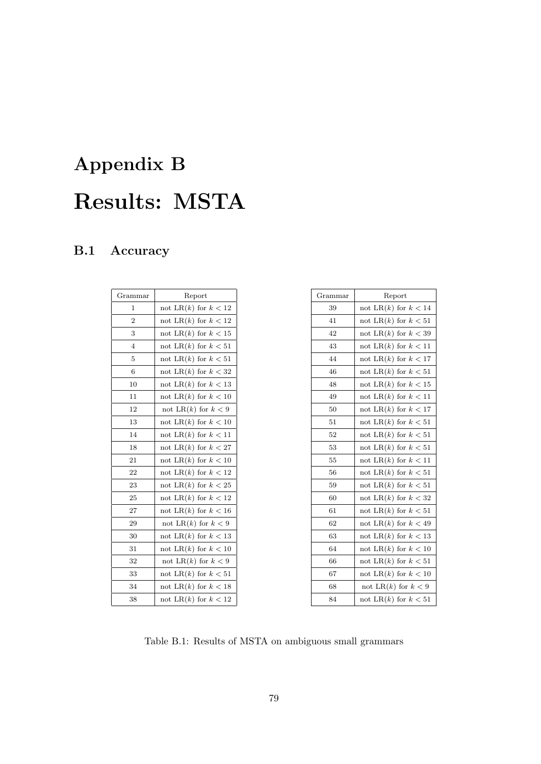# Appendix B Results: MSTA

### B.1 Accuracy

| Grammar        | Report                    |
|----------------|---------------------------|
| $\mathbf{1}$   | not LR(k) for $k < 12$    |
| $\overline{2}$ | not LR $(k)$ for $k < 12$ |
| 3              | not LR $(k)$ for $k < 15$ |
| $\overline{4}$ | not LR $(k)$ for $k < 51$ |
| 5              | not LR $(k)$ for $k < 51$ |
| 6              | not LR(k) for $k < 32$    |
| 10             | not LR $(k)$ for $k < 13$ |
| 11             | not LR $(k)$ for $k < 10$ |
| 12             | not LR(k) for $k < 9$     |
| 13             | not LR $(k)$ for $k < 10$ |
| 14             | not LR $(k)$ for $k < 11$ |
| 18             | not LR(k) for $k < 27$    |
| 21             | not LR $(k)$ for $k < 10$ |
| 22             | not LR(k) for $k < 12$    |
| 23             | not LR $(k)$ for $k < 25$ |
| 25             | not LR(k) for $k < 12$    |
| 27             | not LR $(k)$ for $k < 16$ |
| 29             | not LR $(k)$ for $k < 9$  |
| 30             | not LR $(k)$ for $k < 13$ |
| 31             | not LR $(k)$ for $k < 10$ |
| 32             | not LR(k) for $k < 9$     |
| 33             | not LR $(k)$ for $k < 51$ |
| 34             | not LR $(k)$ for $k < 18$ |
| 38             | not LR $(k)$ for $k < 12$ |

| Grammar | Report                    |
|---------|---------------------------|
| 39      | not LR $(k)$ for $k < 14$ |
| 41      | not LR $(k)$ for $k < 51$ |
| 42      | not LR $(k)$ for $k < 39$ |
| 43      | not LR $(k)$ for $k < 11$ |
| 44      | not LR $(k)$ for $k < 17$ |
| 46      | not LR $(k)$ for $k < 51$ |
| 48      | not LR $(k)$ for $k < 15$ |
| 49      | not LR $(k)$ for $k < 11$ |
| 50      | not LR $(k)$ for $k < 17$ |
| 51      | not LR(k) for $k < 51$    |
| 52      | not LR $(k)$ for $k < 51$ |
| 53      | not LR $(k)$ for $k < 51$ |
| 55      | not LR $(k)$ for $k < 11$ |
| 56      | not LR $(k)$ for $k < 51$ |
| 59      | not LR $(k)$ for $k < 51$ |
| 60      | not LR $(k)$ for $k < 32$ |
| 61      | not LR $(k)$ for $k < 51$ |
| 62      | not LR $(k)$ for $k < 49$ |
| 63      | not LR $(k)$ for $k < 13$ |
| 64      | not LR(k) for $k < 10$    |
| 66      | not LR $(k)$ for $k < 51$ |
| 67      | not LR $(k)$ for $k < 10$ |
| 68      | not LR(k) for $k < 9$     |
| 84      | not LR $(k)$ for $k < 51$ |

Table B.1: Results of MSTA on ambiguous small grammars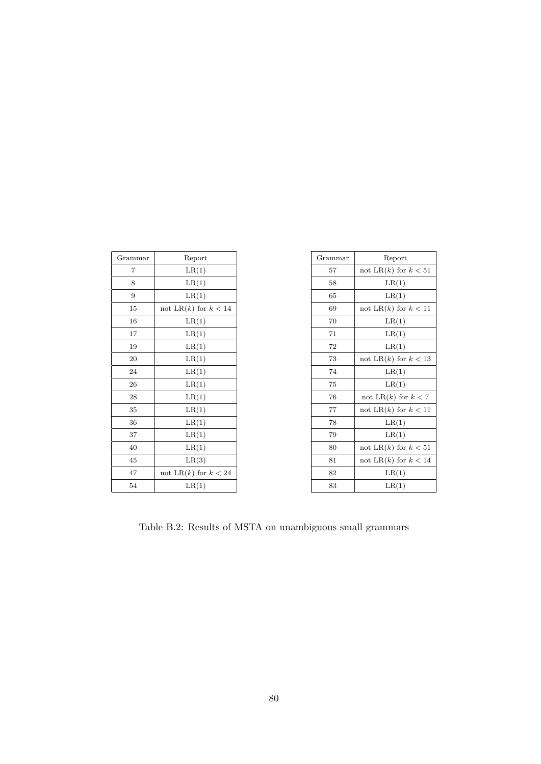| Grammar | Report                 |
|---------|------------------------|
| 7       | LR(1)                  |
| 8       | LR(1)                  |
| 9       | LR(1)                  |
| 15      | not LR(k) for $k < 14$ |
| 16      | LR(1)                  |
| 17      | LR(1)                  |
| 19      | LR(1)                  |
| 20      | LR(1)                  |
| 24      | LR(1)                  |
| 26      | LR(1)                  |
| 28      | LR(1)                  |
| 35      | LR(1)                  |
| 36      | LR(1)                  |
| 37      | LR(1)                  |
| 40      | LR(1)                  |
| 45      | LR(3)                  |
| 47      | not LR(k) for $k < 24$ |
| 54      | LR(1)                  |

÷.

| Grammar | Report                    |
|---------|---------------------------|
| 57      | not LR $(k)$ for $k < 51$ |
| 58      | LR(1)                     |
| 65      | LR(1)                     |
| 69      | not LR(k) for $k < 11$    |
| 70      | LR(1)                     |
| 71      | LR(1)                     |
| 72      | LR(1)                     |
| 73      | not LR $(k)$ for $k < 13$ |
| 74      | LR(1)                     |
| 75      | LR(1)                     |
| 76      | not LR $(k)$ for $k < 7$  |
| 77      | not LR $(k)$ for $k < 11$ |
| 78      | LR(1)                     |
| 79      | LR(1)                     |
| 80      | not LR(k) for $k < 51$    |
| 81      | not LR $(k)$ for $k < 14$ |
| 82      | LR(1)                     |
| 83      | LR(1)                     |

Table B.2: Results of MSTA on unambiguous small grammars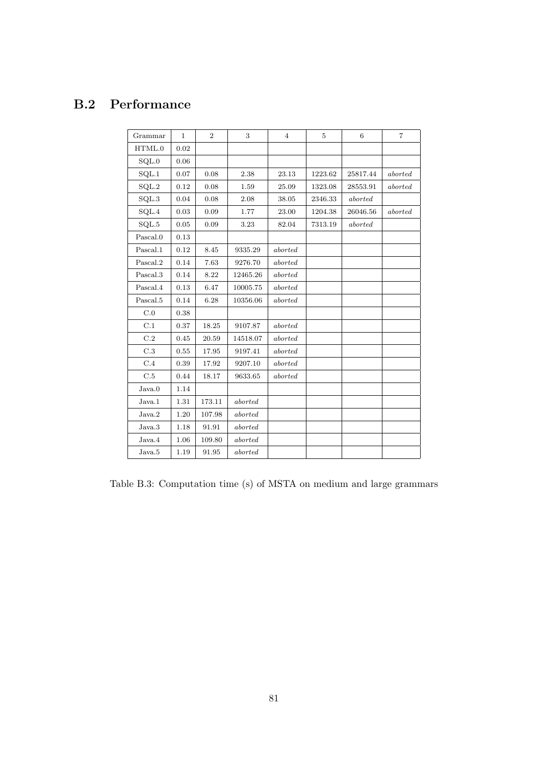#### B.2 Performance

| Grammar          | $\mathbf 1$ | $\overline{2}$ | 3        | $\overline{4}$ | 5       | 6        | 7       |
|------------------|-------------|----------------|----------|----------------|---------|----------|---------|
| HTML.0           | 0.02        |                |          |                |         |          |         |
| SQL.0            | 0.06        |                |          |                |         |          |         |
| SQL.1            | 0.07        | $0.08\,$       | 2.38     | 23.13          | 1223.62 | 25817.44 | aborted |
| SQL.2            | 0.12        | 0.08           | 1.59     | 25.09          | 1323.08 | 28553.91 | aborted |
| $\mathrm{SQL}.3$ | 0.04        | 0.08           | 2.08     | 38.05          | 2346.33 | aborted  |         |
| $\mathrm{SQL}.4$ | 0.03        | 0.09           | 1.77     | 23.00          | 1204.38 | 26046.56 | aborted |
| SQL.5            | 0.05        | 0.09           | 3.23     | 82.04          | 7313.19 | aborted  |         |
| Pascal.0         | 0.13        |                |          |                |         |          |         |
| Pascal.1         | 0.12        | 8.45           | 9335.29  | aborted        |         |          |         |
| Pascal.2         | 0.14        | 7.63           | 9276.70  | aborted        |         |          |         |
| Pascal.3         | 0.14        | 8.22           | 12465.26 | aborted        |         |          |         |
| Pascal.4         | 0.13        | 6.47           | 10005.75 | aborted        |         |          |         |
| Pascal.5         | 0.14        | 6.28           | 10356.06 | aborted        |         |          |         |
| C.0              | 0.38        |                |          |                |         |          |         |
| C.1              | 0.37        | 18.25          | 9107.87  | aborted        |         |          |         |
| C.2              | 0.45        | 20.59          | 14518.07 | aborted        |         |          |         |
| C.3              | 0.55        | 17.95          | 9197.41  | aborted        |         |          |         |
| C.4              | 0.39        | 17.92          | 9207.10  | aborted        |         |          |         |
| C.5              | 0.44        | 18.17          | 9633.65  | aborted        |         |          |         |
| Java.0           | 1.14        |                |          |                |         |          |         |
| Java.1           | 1.31        | 173.11         | aborted  |                |         |          |         |
| Java.2           | 1.20        | 107.98         | aborted  |                |         |          |         |
| Java.3           | 1.18        | 91.91          | aborted  |                |         |          |         |
| Java.4           | 1.06        | 109.80         | aborted  |                |         |          |         |
| Java.5           | 1.19        | 91.95          | aborted  |                |         |          |         |

Table B.3: Computation time (s) of MSTA on medium and large grammars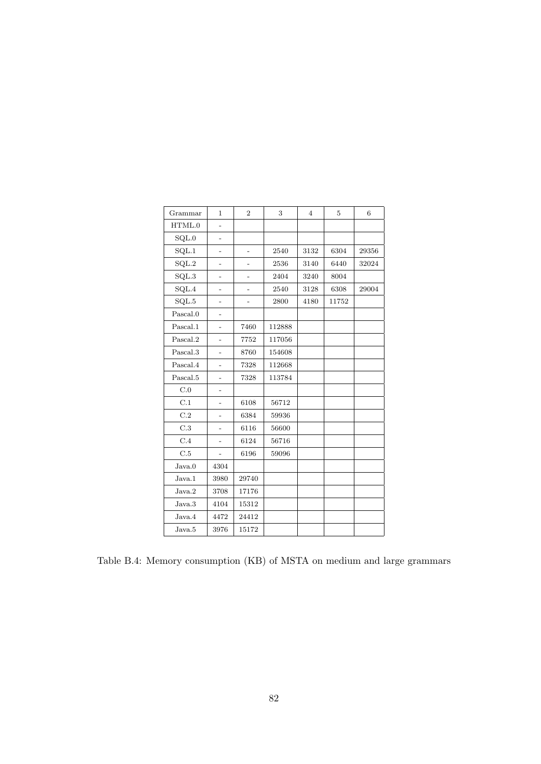| Grammar  | $\mathbf{1}$   | $\overline{2}$ | 3      | $\overline{4}$ | $\overline{5}$ | 6     |
|----------|----------------|----------------|--------|----------------|----------------|-------|
| HTML.0   | $\overline{a}$ |                |        |                |                |       |
| SQL.0    | $\overline{a}$ |                |        |                |                |       |
| SQL.1    |                |                | 2540   | 3132           | 6304           | 29356 |
| SQL.2    |                |                | 2536   | 3140           | 6440           | 32024 |
| SQL.3    | $\overline{a}$ |                | 2404   | 3240           | 8004           |       |
| SQL.4    |                |                | 2540   | 3128           | 6308           | 29004 |
| SQL.5    |                |                | 2800   | 4180           | 11752          |       |
| Pascal.0 |                |                |        |                |                |       |
| Pascal.1 |                | 7460           | 112888 |                |                |       |
| Pascal.2 | -              | 7752           | 117056 |                |                |       |
| Pascal.3 |                | 8760           | 154608 |                |                |       |
| Pascal.4 |                | 7328           | 112668 |                |                |       |
| Pascal.5 | $\overline{a}$ | 7328           | 113784 |                |                |       |
| C.0      |                |                |        |                |                |       |
| C.1      |                | 6108           | 56712  |                |                |       |
| C.2      |                | 6384           | 59936  |                |                |       |
| C.3      |                | 6116           | 56600  |                |                |       |
| C.4      |                | 6124           | 56716  |                |                |       |
| C.5      | $\overline{a}$ | 6196           | 59096  |                |                |       |
| Java.0   | 4304           |                |        |                |                |       |
| Java.1   | 3980           | 29740          |        |                |                |       |
| Java.2   | 3708           | 17176          |        |                |                |       |
| Java.3   | 4104           | 15312          |        |                |                |       |
| Java.4   | 4472           | 24412          |        |                |                |       |
| Java.5   | 3976           | 15172          |        |                |                |       |

Table B.4: Memory consumption (KB) of MSTA on medium and large grammars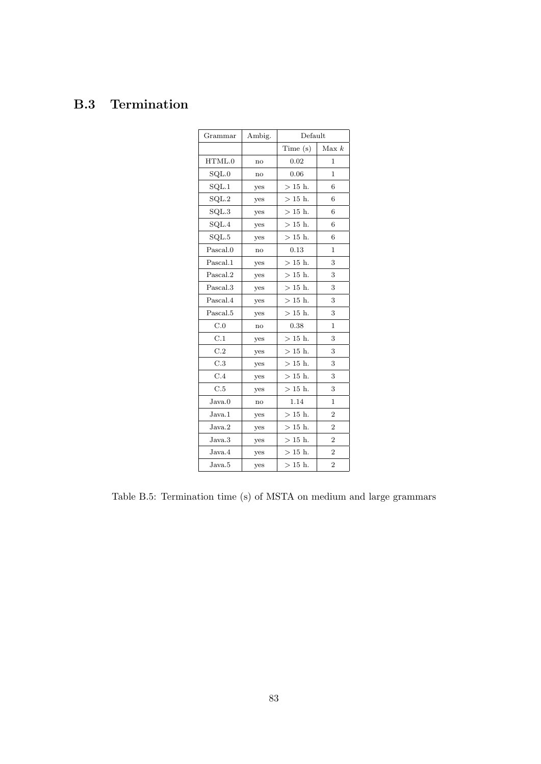### B.3 Termination

| Grammar  | Ambig. | Default   |                |
|----------|--------|-----------|----------------|
|          |        | Time(s)   | Max k          |
| HTML.0   | no     | 0.02      | 1              |
| SQL.0    | no     | 0.06      | 1              |
| SQL.1    | yes    | $>15$ h.  | 6              |
| SQL.2    | yes    | $>15$ h.  | 6              |
| SQL.3    | yes    | $>$ 15 h. | 6              |
| SQL.4    | yes    | $>$ 15 h. | 6              |
| SQL.5    | yes    | $>15$ h.  | 6              |
| Pascal.0 | no     | 0.13      | 1              |
| Pascal.1 | yes    | $>$ 15 h. | 3              |
| Pascal.2 | yes    | $>$ 15 h. | 3              |
| Pascal.3 | yes    | $>$ 15 h. | 3              |
| Pascal.4 | yes    | $>15$ h.  | 3              |
| Pascal.5 | yes    | $>15$ h.  | 3              |
| C.0      | no     | 0.38      | 1              |
| C.1      | yes    | $>$ 15 h. | 3              |
| C.2      | yes    | $>$ 15 h. | 3              |
| C.3      | yes    | $>15$ h.  | 3              |
| C.4      | yes    | $>$ 15 h. | 3              |
| C.5      | yes    | $>15$ h.  | 3              |
| Java.0   | no     | 1.14      | 1              |
| Java.1   | yes    | $>15$ h.  | $\overline{2}$ |
| Java.2   | yes    | $>15$ h.  | $\overline{2}$ |
| Java.3   | yes    | $>$ 15 h. | $\overline{2}$ |
| Java.4   | yes    | $>$ 15 h. | $\overline{2}$ |
| Java.5   | yes    | $>15$ h.  | $\overline{2}$ |

Table B.5: Termination time (s) of MSTA on medium and large grammars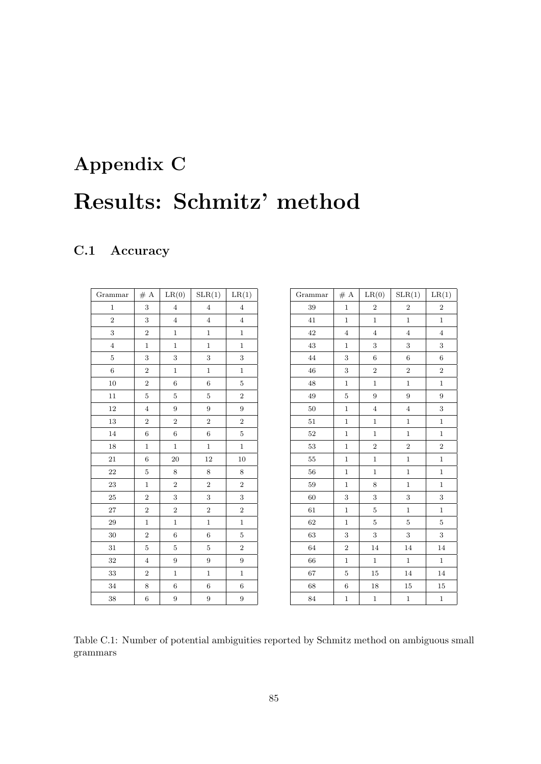# Appendix C Results: Schmitz' method

### C.1 Accuracy

| Grammar        | $\#$ A           | LR(0)            | SLR(1)         | LR(1)                   |
|----------------|------------------|------------------|----------------|-------------------------|
| $\,1$          | 3                | $\overline{4}$   | $\overline{4}$ | $\bf 4$                 |
| $\overline{2}$ | 3                | $\overline{4}$   | $\overline{4}$ | $\bf 4$                 |
| 3              | $\boldsymbol{2}$ | $\mathbf{1}$     | $\mathbf{1}$   | $\mathbf{1}$            |
| $\overline{4}$ | $\mathbf{1}$     | $\mathbf{1}$     | $\,1$          | $\mathbf{1}$            |
| 5              | 3                | 3                | 3              | 3                       |
| $\,6$          | $\boldsymbol{2}$ | $\mathbf{1}$     | $\,1$          | $\mathbf{1}$            |
| 10             | $\overline{2}$   | 6                | 6              | $\bf 5$                 |
| 11             | $\bf 5$          | $\bf 5$          | $\bf 5$        | $\sqrt{2}$              |
| 12             | $\overline{4}$   | 9                | 9              | 9                       |
| 13             | $\overline{2}$   | $\sqrt{2}$       | $\overline{2}$ | $\overline{2}$          |
| 14             | $\,6$            | $\,6$            | $\,6$          | $\mathbf 5$             |
| 18             | $\mathbf{1}$     | $\mathbf{1}$     | $\,1$          | $\mathbf{1}$            |
| 21             | $\,6$            | 20               | 12             | 10                      |
| 22             | $\bf 5$          | 8                | 8              | 8                       |
| $\bf 23$       | $\mathbf{1}$     | $\overline{2}$   | $\overline{2}$ | $\,2$                   |
| 25             | $\boldsymbol{2}$ | 3                | 3              | $\,3$                   |
| $27\,$         | $\boldsymbol{2}$ | $\overline{2}$   | $\overline{2}$ | $\overline{\mathbf{2}}$ |
| 29             | $\,1$            | $\mathbf{1}$     | $\,1$          | $\,1$                   |
| 30             | $\overline{2}$   | 6                | 6              | $\bf 5$                 |
| 31             | $\bf 5$          | $\bf 5$          | $\overline{5}$ | $\overline{2}$          |
| 32             | $\overline{4}$   | $\boldsymbol{9}$ | 9              | $\boldsymbol{9}$        |
| 33             | $\boldsymbol{2}$ | $\mathbf{1}$     | $\,1$          | $\,1$                   |
| 34             | 8                | $\,6$            | $\,6$          | $\,$ 6 $\,$             |
| 38             | $\boldsymbol{6}$ | 9                | 9              | 9                       |

| Grammar | # A            | LR(0)          | SLR(1)         | LR(1)          |
|---------|----------------|----------------|----------------|----------------|
| 39      | $\mathbf{1}$   | $\overline{2}$ | $\sqrt{2}$     | $\overline{2}$ |
| 41      | $\mathbf{1}$   | $\mathbf{1}$   | $\overline{1}$ | $\mathbf{1}$   |
| 42      | $\overline{4}$ | $\overline{4}$ | $\overline{4}$ | $\overline{4}$ |
| 43      | $\mathbf{1}$   | 3              | 3              | 3              |
| 44      | 3              | 6              | $\overline{6}$ | $\,6$          |
| 46      | 3              | $\overline{2}$ | $\overline{2}$ | $\overline{2}$ |
| $48\,$  | $\,1$          | $\mathbf{1}$   | $\mathbf{1}$   | $\,1$          |
| $49\,$  | $\bf 5$        | 9              | 9              | 9              |
| $50\,$  | $\,1$          | $\overline{4}$ | $\overline{4}$ | 3              |
| $51\,$  | $\,1$          | $\mathbf{1}$   | $\mathbf{1}$   | $\mathbf{1}$   |
| $52\,$  | $\,1$          | $\mathbf{1}$   | $\,1$          | $\,1$          |
| $53\,$  | $\,1$          | $\overline{2}$ | $\overline{2}$ | $\overline{2}$ |
| 55      | $\mathbf 1$    | $\mathbf{1}$   | $\mathbf{1}$   | $\mathbf{1}$   |
| 56      | $\mathbf 1$    | $\mathbf{1}$   | $\mathbf{1}$   | $\mathbf 1$    |
| $59\,$  | $\mathbf 1$    | 8              | $\overline{1}$ | $\mathbf{1}$   |
| 60      | 3              | 3              | 3              | 3              |
| 61      | $\,1$          | 5              | $\mathbf{1}$   | $\mathbf{1}$   |
| 62      | $\mathbf 1$    | 5              | 5              | 5              |
| 63      | 3              | 3              | 3              | 3              |
| 64      | $\overline{2}$ | 14             | 14             | 14             |
| 66      | $\,1$          | $\mathbf{1}$   | $\mathbf 1$    | $\,1$          |
| 67      | $\bf 5$        | 15             | 14             | 14             |
| 68      | $\,6$          | 18             | 15             | 15             |
| 84      | $\,1$          | $\mathbf 1$    | $\mathbf 1$    | $\,1$          |

Table C.1: Number of potential ambiguities reported by Schmitz method on ambiguous small grammars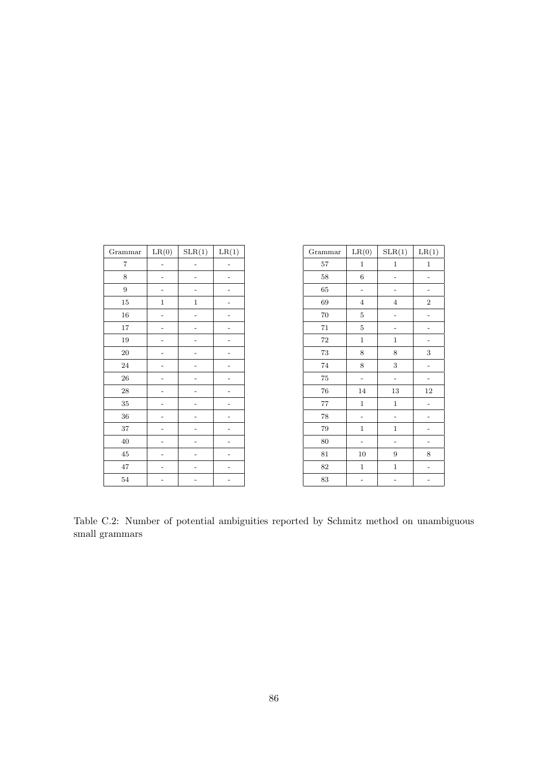| Grammar   | LR(0)       | SLR(1)       | LR(1) |
|-----------|-------------|--------------|-------|
| 7         |             |              |       |
| 8         |             |              |       |
| 9         |             |              |       |
| $15\,$    | $\mathbf 1$ | $\mathbf{1}$ |       |
| 16        |             |              |       |
| $17\,$    |             |              |       |
| 19        |             |              |       |
| $20\,$    |             |              |       |
| 24        |             |              |       |
| 26        |             |              |       |
| <b>28</b> |             |              |       |
| $35\,$    |             |              |       |
| 36        |             |              |       |
| 37        |             |              |       |
| 40        |             |              |       |
| $\rm 45$  |             |              |       |
| 47        |             |              |       |
| $54\,$    |             |              |       |

| Grammar | LR(0)          | SLR(1)         | LR(1)       |
|---------|----------------|----------------|-------------|
| 57      | $\mathbf 1$    | $\mathbf 1$    | $\mathbf 1$ |
| 58      | $\,6$          |                |             |
| 65      |                |                |             |
| 69      | $\overline{4}$ | $\overline{4}$ | $\,2$       |
| 70      | $\bf 5$        |                |             |
| 71      | $\bf 5$        |                |             |
| 72      | $\mathbf{1}$   | $\mathbf{1}$   |             |
| $73\,$  | 8              | 8              | 3           |
| 74      | 8              | 3              |             |
| $75\,$  |                |                |             |
| 76      | 14             | 13             | 12          |
| $77\,$  | $\mathbf 1$    | $\mathbf 1$    |             |
| 78      |                |                |             |
| 79      | $\mathbf 1$    | $\mathbf 1$    |             |
| 80      |                |                |             |
| 81      | 10             | 9              | 8           |
| 82      | $\mathbf 1$    | $\mathbf 1$    |             |
| 83      |                |                |             |

Table C.2: Number of potential ambiguities reported by Schmitz method on unambiguous small grammars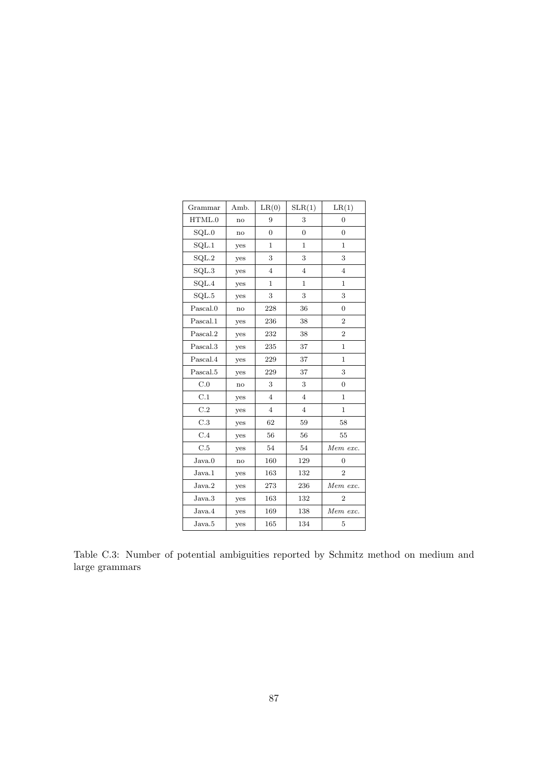| Grammar          | Amb. | LR(0)          | SLR(1)         | LR(1)          |
|------------------|------|----------------|----------------|----------------|
| HTML.0           | no   | 9              | 3              | $\overline{0}$ |
| SQL.0            | no   | $\overline{0}$ | $\overline{0}$ | $\overline{0}$ |
| SQL.1            | yes  | $\mathbf{1}$   | $\mathbf{1}$   | $\mathbf{1}$   |
| SQL.2            | yes  | 3              | 3              | 3              |
| SQL.3            | yes  | $\overline{4}$ | $\overline{4}$ | $\overline{4}$ |
| $\mathrm{SQL}.4$ | yes  | $\mathbf{1}$   | $\mathbf{1}$   | $\mathbf{1}$   |
| SQL.5            | yes  | 3              | 3              | 3              |
| Pascal.0         | no   | 228            | 36             | $\overline{0}$ |
| Pascal.1         | yes  | 236            | 38             | $\overline{2}$ |
| Pascal.2         | yes  | 232            | 38             | $\overline{2}$ |
| Pascal.3         | yes  | 235            | 37             | $\mathbf{1}$   |
| Pascal.4         | yes  | 229            | 37             | $\mathbf{1}$   |
| Pascal.5         | yes  | 229            | 37             | 3              |
| C.0              | no   | 3              | 3              | $\overline{0}$ |
| C.1              | yes  | $\overline{4}$ | $\overline{4}$ | $\mathbf{1}$   |
| C.2              | yes  | $\overline{4}$ | $\overline{4}$ | $\mathbf{1}$   |
| C.3              | yes  | 62             | 59             | 58             |
| C.4              | yes  | 56             | 56             | 55             |
| C.5              | yes  | 54             | 54             | Mem exc.       |
| Java.0           | no   | 160            | 129            | 0              |
| Java.1           | yes  | 163            | 132            | $\overline{2}$ |
| Java.2           | yes  | 273            | 236            | Mem exc.       |
| Java.3           | yes  | 163            | 132            | $\overline{2}$ |
| Java.4           | yes  | 169            | 138            | Mem exc.       |
| Java.5           | yes  | 165            | 134            | 5              |

Table C.3: Number of potential ambiguities reported by Schmitz method on medium and large grammars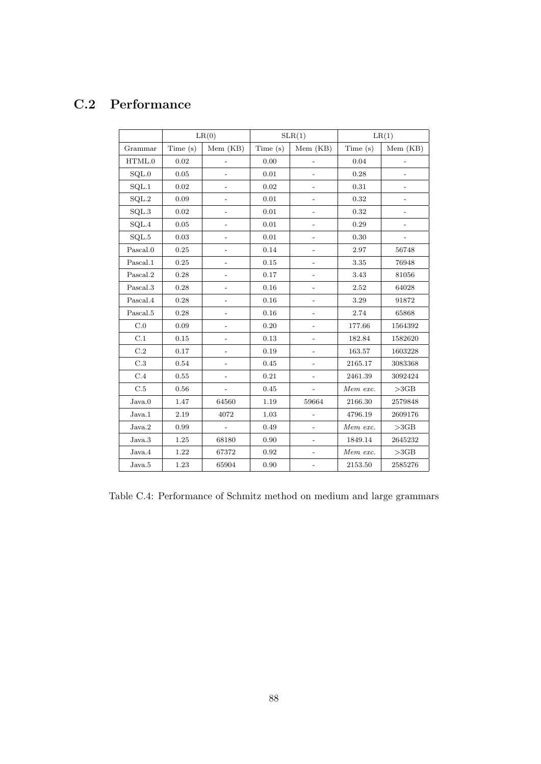#### C.2 Performance

|                               |            | LR(0)                    |            | SLR(1)                       |          | LR(1)                    |
|-------------------------------|------------|--------------------------|------------|------------------------------|----------|--------------------------|
| Grammar                       | Time $(s)$ | Mem (KB)                 | Time $(s)$ | Mem (KB)                     | Time(s)  | Mem (KB)                 |
| HTML.0                        | 0.02       |                          | 0.00       | $\overline{a}$               | 0.04     | $\overline{\phantom{0}}$ |
| SQL.0                         | 0.05       |                          | 0.01       |                              | 0.28     |                          |
| SQL.1                         | 0.02       | $\overline{a}$           | 0.02       | $\overline{a}$               | 0.31     | $\overline{\phantom{0}}$ |
| $\operatorname{SQL}.2$        | 0.09       |                          | 0.01       | $\overline{a}$               | 0.32     | $\qquad \qquad -$        |
| SQL.3                         | 0.02       | $\overline{a}$           | 0.01       | $\overline{a}$               | 0.32     | $\overline{\phantom{a}}$ |
| $\ensuremath{\mathrm{SQL}}.4$ | 0.05       |                          | 0.01       |                              | 0.29     |                          |
| $\mathrm{SQL.5}$              | 0.03       | $\overline{a}$           | 0.01       | $\overline{a}$               | 0.30     |                          |
| Pascal.0                      | 0.25       | $\overline{a}$           | 0.14       | $\overline{\phantom{m}}$     | 2.97     | 56748                    |
| Pascal.1                      | 0.25       |                          | 0.15       |                              | $3.35\,$ | 76948                    |
| $\operatorname{Pascal.2}$     | 0.28       |                          | 0.17       |                              | $3.43\,$ | 81056                    |
| Pascal.3                      | 0.28       |                          | 0.16       |                              | 2.52     | $64028\,$                |
| Pascal.4                      | 0.28       |                          | 0.16       | $\overline{a}$               | 3.29     | 91872                    |
| Pascal.5                      | 0.28       | $\overline{a}$           | 0.16       | $\overline{a}$               | 2.74     | 65868                    |
| C.0                           | 0.09       | $\overline{\phantom{0}}$ | 0.20       | $\overline{\phantom{0}}$     | 177.66   | 1564392                  |
| C.1                           | 0.15       |                          | 0.13       |                              | 182.84   | 1582620                  |
| C.2                           | 0.17       | $\overline{a}$           | 0.19       | $\overline{a}$               | 163.57   | 1603228                  |
| $\rm C.3$                     | 0.54       | $\overline{a}$           | 0.45       | $\overline{a}$               | 2165.17  | 3083368                  |
| C.4                           | 0.55       | $\overline{a}$           | 0.21       | $\overline{\phantom{0}}$     | 2461.39  | 3092424                  |
| C.5                           | $\rm 0.56$ |                          | $0.45\,$   |                              | Mem exc. | >3GB                     |
| Java.0                        | 1.47       | 64560                    | 1.19       | 59664                        | 2166.30  | 2579848                  |
| Java.1                        | 2.19       | 4072                     | 1.03       | $\overline{a}$               | 4796.19  | 2609176                  |
| Java.2                        | 0.99       | $\overline{a}$           | 0.49       |                              | Mem exc. | >3GB                     |
| Java.3                        | 1.25       | 68180                    | 0.90       | $\overline{a}$               | 1849.14  | 2645232                  |
| Java.4                        | 1.22       | 67372                    | 0.92       |                              | Mem exc. | >3GB                     |
| Java.5                        | 1.23       | 65904                    | 0.90       | $\qquad \qquad \blacksquare$ | 2153.50  | 2585276                  |

Table C.4: Performance of Schmitz method on medium and large grammars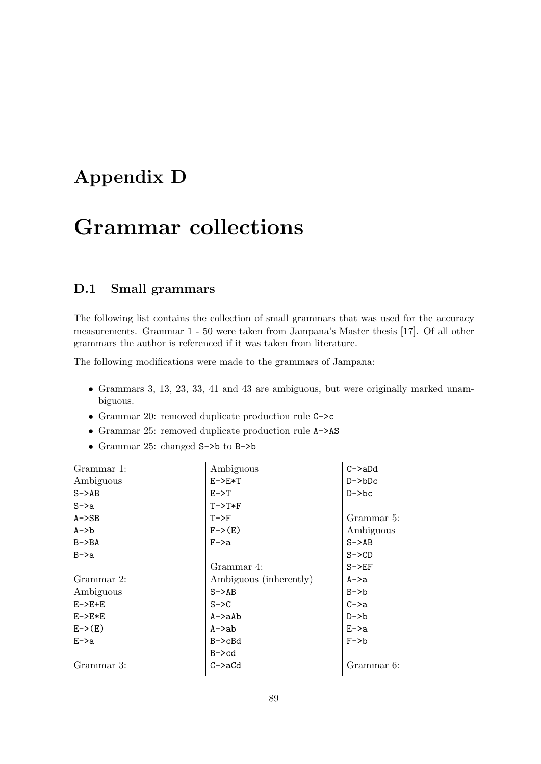## Appendix D

# Grammar collections

#### D.1 Small grammars

The following list contains the collection of small grammars that was used for the accuracy measurements. Grammar 1 - 50 were taken from Jampana's Master thesis [\[17\]](#page-65-0). Of all other grammars the author is referenced if it was taken from literature.

The following modifications were made to the grammars of Jampana:

- Grammars 3, 13, 23, 33, 41 and 43 are ambiguous, but were originally marked unambiguous.
- Grammar 20: removed duplicate production rule C->c
- Grammar 25: removed duplicate production rule A->AS
- Grammar 25: changed S->b to B->b

| Grammar 1: | Ambiguous              | $C->aDd$   |
|------------|------------------------|------------|
| Ambiguous  | $E->E*T$               | $D->bDc$   |
| $S->AB$    | $E->T$                 | $D->bc$    |
| $S->a$     | $T->T*F$               |            |
| $A->SB$    | $T->F$                 | Grammar 5: |
| $A->b$     | $F->(E)$               | Ambiguous  |
| $B->BA$    | $F - \ge a$            | $S->AB$    |
| $B->a$     |                        | $S->CD$    |
|            | Grammar 4:             | $S->EF$    |
| Grammar 2: | Ambiguous (inherently) | A->a       |
| Ambiguous  | $S->AB$                | $B->b$     |
| $E->E+E$   | $S->C$                 | $C->a$     |
| $E->E*E$   | A->aAb                 | $D->b$     |
| $E->(E)$   | $A$ ->ab               | $E->a$     |
| $E->a$     | B->cBd                 | $F->b$     |
|            | $B - > c d$            |            |
| Grammar 3: | C->aCd                 | Grammar 6: |
|            |                        |            |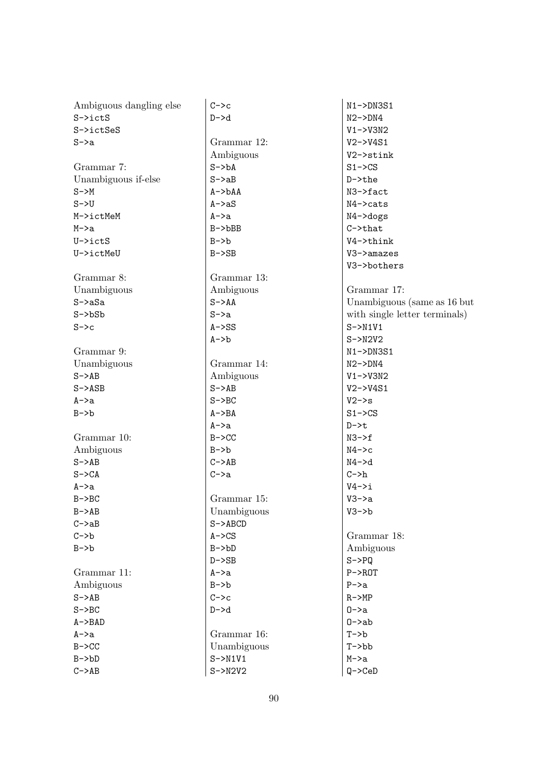| Ambiguous dangling else | $C->c$             | $N1 - >DN3S1$                 |
|-------------------------|--------------------|-------------------------------|
| $S \rightarrow ictS$    | $D->d$             | $N2->DN4$                     |
| S->ictSeS               |                    | $V1 - > V3N2$                 |
| $S->a$                  | Grammar 12:        | $V2->V4S1$                    |
|                         | Ambiguous          | V2->stink                     |
| Grammar 7:              | $S->bA$            | $S1 - \text{SCS}$             |
| Unambiguous if-else     | $S->aB$            | $D$ ->the                     |
| $S->M$                  | $A->bAA$           | N3->fact                      |
| $S->U$                  | $A \rightarrow aS$ | $N4$ ->cats                   |
| M->ictMeM               | $A->a$             | $N4 - > dogs$                 |
| $M->a$                  | $B->bBB$           | $C$ ->that                    |
| U->ictS                 | $B->b$             | V4->think                     |
| U->ictMeU               | $B->SB$            | V3->amazes                    |
|                         |                    | V3->bothers                   |
| Grammar 8:              | Grammar 13:        |                               |
| Unambiguous             | Ambiguous          | Grammar 17:                   |
| $S->aSa$                | $S->AA$            | Unambiguous (same as 16 but   |
| $S->bSb$                | $S->a$             | with single letter terminals) |
| $S->c$                  | $A->SS$            | $S->N1V1$                     |
|                         | $A \rightarrow b$  | $S->N2V2$                     |
| Grammar 9:              |                    | $N1->DN3S1$                   |
|                         | Grammar 14:        |                               |
| Unambiguous             |                    | $N2->DN4$                     |
| $S->AB$                 | Ambiguous          | $V1 - > V3N2$                 |
| $S->ASB$                | $S->AB$            | $V2 - Y4S1$                   |
| $A->a$                  | $S->BC$            | $V2->s$                       |
| $B->b$                  | $A->BA$            | $S1 - > CS$                   |
|                         | $A->a$             | $D->t$                        |
| Grammar 10:             | $B->CC$            | $N3->f$                       |
| Ambiguous               | $B->b$             | $N4->c$                       |
| $S->AB$                 | $C->AB$            | $N4 - > d$                    |
| $S->CA$                 | $C->a$             | $C->h$                        |
| $A \rightarrow a$       |                    | $V4->i$                       |
| $B->BC$                 | Grammar 15:        | $V3->a$                       |
| $B->AB$                 | Unambiguous        | $V3->b$                       |
| $C->aB$                 | $S->ABCD$          |                               |
| $C->b$                  | $A->CS$            | Grammar 18:                   |
| $B->b$                  | $B->bD$            | Ambiguous                     |
|                         | $D->SB$            | $S->PQ$                       |
| Grammar 11:             | $A \rightarrow a$  | $P->ROT$                      |
| Ambiguous               | $B->b$             | $P->a$                        |
| $S->AB$                 | $C->c$             | $R->MP$                       |
| $S->BC$                 | $D->d$             | $0->a$                        |
| $A->BAD$                |                    | $0$ ->ab                      |
| A->a                    | Grammar 16:        | $T->b$                        |
| $B->CC$                 | Unambiguous        | $T->bb$                       |
| $B->bD$                 | $S->N1V1$          | $M->a$                        |
| $C->AB$                 | $S->N2V2$          | $Q->CeD$                      |
|                         |                    |                               |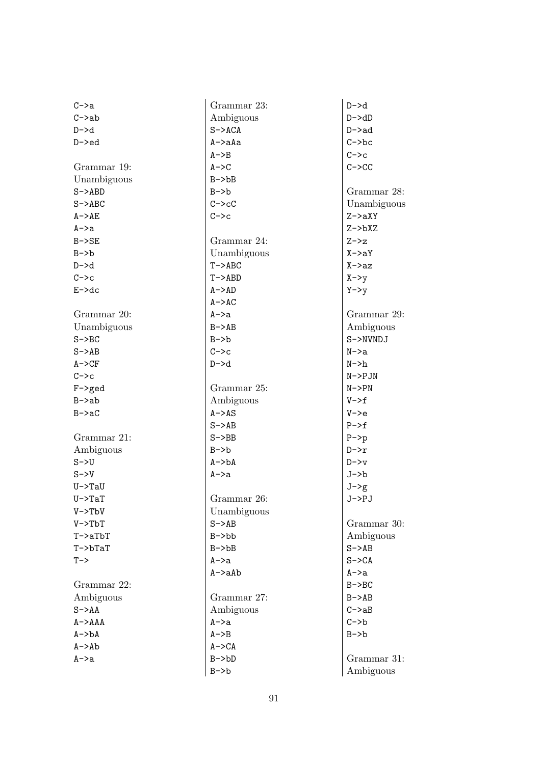| $C->a$           | Grammar 23:  | $D->d$      |
|------------------|--------------|-------------|
| $C->ab$          | Ambiguous    | $D->dD$     |
| $D->d$           | $S->ACA$     | D->ad       |
| $D->ed$          | A->aAa       | $C->bc$     |
|                  | $A->B$       | $C->c$      |
| Grammar 19:      | $A->C$       | $C->CC$     |
| Unambiguous      | $B->bB$      |             |
| $S->ABD$         | $B->b$       | Grammar 28: |
| $S->ABC$         | $C->cC$      | Unambiguous |
| $A->AE$          | $C->c$       | $Z->aXY$    |
| A->a             |              | $Z->bXZ$    |
| $B->SE$          | Grammar 24:  | $Z->z$      |
| $B->b$           | Unambiguous  | $X->aY$     |
| $D->d$           | $T->ABC$     | X->az       |
| $C->c$           | $T->ABD$     | $X->y$      |
| $E - > dc$       | $A->AD$      | $Y->y$      |
|                  | $A - > AC$   |             |
| Grammar 20:      | A->a         | Grammar 29: |
| Unambiguous      | $B->AB$      | Ambiguous   |
| $S->BC$          | $B->b$       | S->NVNDJ    |
| $S->AB$          | $C->c$       | $N->a$      |
| $A->CF$          | D->d         | $N->h$      |
| $C->c$           |              | $N->PJN$    |
| $F$ ->ged        | Grammar 25:  | N->PN       |
| $B->ab$          | Ambiguous    | $V->f$      |
| $B->aC$          | $A->AS$      | $V->e$      |
|                  | $S->AB$      | $P->f$      |
| Grammar 21:      | $S->BB$      | $P->p$      |
| Ambiguous        | $B->b$       | $D->r$      |
| $S->U$           | $A->bA$      | $D->v$      |
| $S->V$           | A->a         | J->b        |
| $U->TaU$         |              | $J->g$      |
| $U->TaT$         | Grammar 26:  | J->PJ       |
| $V->TbV$         | Unambiguous  |             |
| $V->TbT$         | $S->AB$      | Grammar 30: |
| $T$ ->a $TbT$    | $B->bb$      | Ambiguous   |
| $T$ -> $b$ $TaT$ | $B->bB$      | $S->AB$     |
| $T->$            | $A->a$       | $S->CA$     |
|                  | $A$ ->a $Ab$ | A->a        |
| Grammar 22:      |              | $B->BC$     |
| Ambiguous        | Grammar 27:  | $B->AB$     |
| $S->AA$          | Ambiguous    | $C->aB$     |
| $A->AAA$         | $A->a$       | $C->b$      |
| $A->bA$          | $A->B$       | $B->b$      |
| $A$ ->Ab         | $A->CA$      |             |
| A->a             | $B->bD$      | Grammar 31: |
|                  | $B->b$       | Ambiguous   |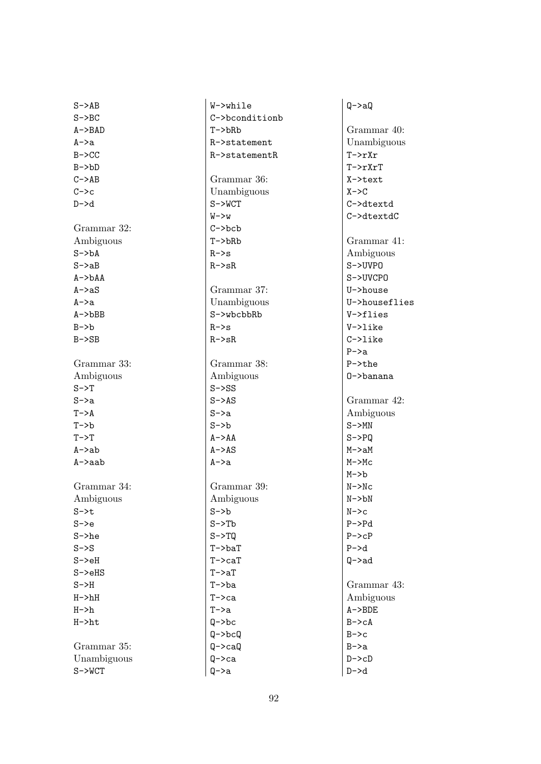| $S->AB$            | W->while           | $Q->aQ$            |
|--------------------|--------------------|--------------------|
| $S->BC$            | C->bconditionb     |                    |
| $A->BAD$           | $T->bRb$           | Grammar 40:        |
| $A->a$             | R->statement       | Unambiguous        |
| $B - > CC$         | R->statementR      | $T->rXr$           |
| $B->bD$            |                    | $T->rXrT$          |
| $C->AB$            | Grammar 36:        | X->text            |
| $C->c$             | Unambiguous        | $X - > C$          |
| $D \rightarrow d$  | $S->WCT$           | C->dtextd          |
|                    | $W->w$             | C->dtextdC         |
| Grammar 32:        | $C->bcb$           |                    |
| Ambiguous          | $T->bRb$           | Grammar 41:        |
| $S->bA$            | $R->s$             | Ambiguous          |
| $S->aB$            | $R->sR$            | $S->UVP0$          |
| $A->bAA$           |                    | S->UVCPO           |
| $A \rightarrow aS$ | Grammar 37:        | U->house           |
| $A->a$             | Unambiguous        | U->houseflies      |
| $A$ -> $b$ BB      | S->wbcbbRb         | V->flies           |
| $B->b$             | $R->s$             | V->like            |
| $B->SB$            | $R->sR$            | $C->like$          |
|                    |                    | $P->a$             |
| Grammar 33:        | Grammar 38:        | $P\rightarrow$ the |
| Ambiguous          | Ambiguous          | 0->banana          |
| $S->T$             | $S->SS$            |                    |
| $S->a$             | $S->AS$            | Grammar 42:        |
| $T->A$             | $S->a$             | Ambiguous          |
| $T->b$             | $S->b$             | $S->MN$            |
| $T->T$             | $A->AA$            | $S->PQ$            |
| $A$ ->ab           | $A \rightarrow AS$ | $M->aM$            |
| A->aab             | $A->a$             | $M->MC$            |
|                    |                    | $M->b$             |
| Grammar 34:        | Grammar 39:        | $N->Nc$            |
| Ambiguous          | Ambiguous          | $N->bN$            |
| $S - > t$          | $S->b$             | $N->c$             |
| $S->e$             | $S->Tb$            | $P->Pd$            |
| $S->he$            | $S->TQ$            | $P->cP$            |
| $S->S$             | $T$ ->ba $T$       | $P->d$             |
| $S->eH$            | $T->caT$           | $Q$ ->ad           |
| $S->eHS$           | $T->aT$            |                    |
| $S->H$             | $T->ba$            | Grammar 43:        |
| $H->hH$            | $T->ca$            | Ambiguous          |
| $H->h$             | $T->a$             | $A - BDE$          |
| $H->ht$            | $Q->bc$            | $B->cA$            |
|                    | $Q->bcQ$           | $B->c$             |
| Grammar 35:        | $Q->caQ$           | $B->a$             |
| Unambiguous        | $Q->ca$            | $D->cD$            |
| $S->WCT$           | $Q->a$             | $D->d$             |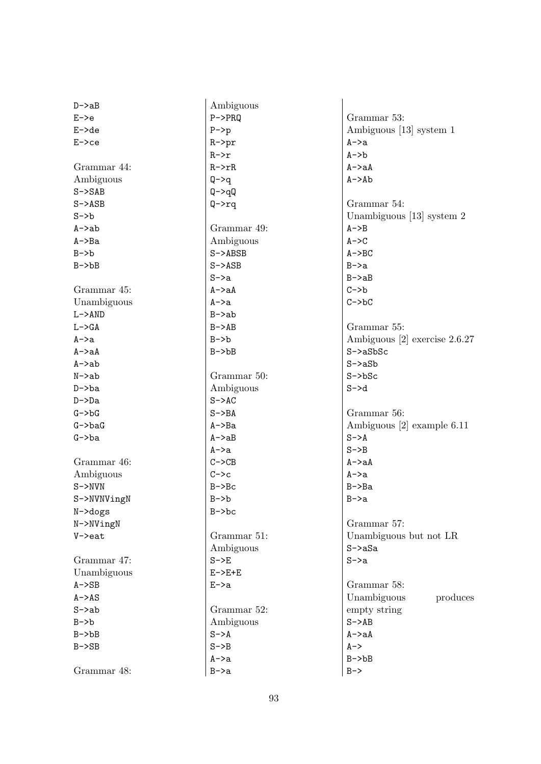| $D->aB$     | Ambiguous         |                                 |
|-------------|-------------------|---------------------------------|
| $E->e$      | $P->PRQ$          | Grammar 53:                     |
| $E - >de$   | $P->p$            | Ambiguous [13] system 1         |
| $E->ce$     | $R->pr$           | $A \rightarrow a$               |
|             | $R->r$            | $A \rightarrow b$               |
| Grammar 44: | $R->rR$           | $A->aA$                         |
|             |                   |                                 |
| Ambiguous   | $Q->q$            | $A \rightarrow Ab$              |
| $S->SAB$    | $Q->qQ$           |                                 |
| $S->ASB$    | $Q->rq$           | Grammar 54:                     |
| $S->b$      |                   | Unambiguous [13] system 2       |
| $A$ ->ab    | Grammar 49:       | $A->B$                          |
| $A->Ba$     | Ambiguous         | $A->C$                          |
| $B->b$      | $S->ABSB$         | $A->BC$                         |
| $B->bB$     | $S->ASB$          | $B->a$                          |
|             | $S->a$            | $B->aB$                         |
| Grammar 45: | $A->aA$           | $C->b$                          |
| Unambiguous | $A \rightarrow a$ | $C->bC$                         |
| $L->AND$    | $B->ab$           |                                 |
| $L->GA$     | $B->AB$           | Grammar 55:                     |
| $A->a$      | $B->b$            | Ambiguous $[2]$ exercise 2.6.27 |
| $A$ ->a $A$ | $B->bB$           | $S->aSbSc$                      |
| $A$ ->ab    |                   | $S->aSb$                        |
| $N->ab$     | Grammar 50:       | $S->bSc$                        |
| $D->ba$     | Ambiguous         | $S->d$                          |
| $D->Da$     | $S->AC$           |                                 |
| $G->bG$     | $S->BA$           | Grammar 56:                     |
| $G->baG$    | $A->Ba$           | Ambiguous [2] example 6.11      |
| $G->ba$     | $A->aB$           | $S->A$                          |
|             | $A->a$            | $S->B$                          |
| Grammar 46: | $C->CB$           | $A->aA$                         |
| Ambiguous   | $C->c$            | $A->a$                          |
| $S->NVN$    | $B->Bc$           | $B->Ba$                         |
|             | $B->b$            |                                 |
| S->NVNVingN | $B->bc$           | B->a                            |
| $N$ ->dogs  |                   |                                 |
| N->NVingN   |                   | Grammar 57:                     |
| $V$ ->eat   | Grammar 51:       | Unambiguous but not LR          |
|             | Ambiguous         | $S->aSa$                        |
| Grammar 47: | $S->E$            | $S->a$                          |
| Unambiguous | $E->E+E$          |                                 |
| $A->SB$     | $E->a$            | Grammar 58:                     |
| $A->AS$     |                   | Unambiguous<br>produces         |
| $S->ab$     | Grammar 52:       | empty string                    |
| $B->b$      | Ambiguous         | $S->AB$                         |
| $B->bB$     | $S->A$            | $A->aA$                         |
| $B->SB$     | $S->B$            | $A->$                           |
|             | A->a              | $B->bB$                         |
| Grammar 48: | $B->a$            | $B->$                           |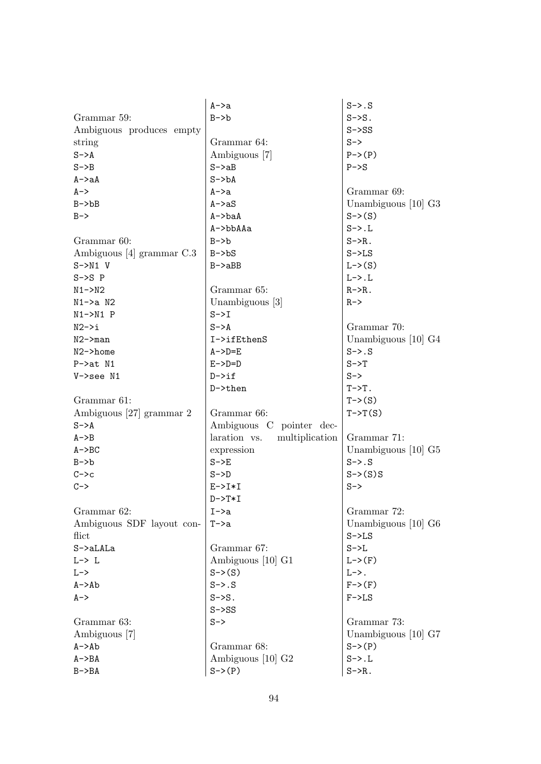|                           | A->a                           | $S->.S$                           |
|---------------------------|--------------------------------|-----------------------------------|
| Grammar 59:               | $B->b$                         | $S->S$ .                          |
| Ambiguous produces empty  |                                | $S->SS$                           |
| string                    | Grammar 64:                    | $S->$                             |
| $S->A$                    | Ambiguous [7]                  | $P->(P)$                          |
| $S->B$                    | $S->aB$                        | $P->S$                            |
| $A->aA$                   | $S->bA$                        |                                   |
| $A->$                     | A->a                           | Grammar 69:                       |
| $B->bB$                   | $A \rightarrow aS$             | Unambiguous $[10]$ G <sub>3</sub> |
| $B->$                     | $A$ ->ba $A$                   | $S \rightarrow (S)$               |
|                           | A->bbAAa                       | $S->.L$                           |
| Grammar 60:               | $B->b$                         | $S->R$ .                          |
| Ambiguous [4] grammar C.3 | $B->bS$                        | $S->LS$                           |
| $S->N1$ V                 | $B->aBB$                       | $L->(S)$                          |
| $S->S P$                  |                                | $L->.L$                           |
| $N1 - > N2$               | Grammar 65:                    | $R->R$ .                          |
| $N1->a N2$                | Unambiguous [3]                | $R->$                             |
| $N1->N1$ P                | $S->I$                         |                                   |
| $N2->i$                   | $S->A$                         | Grammar 70:                       |
| $N2$ ->man                | I->ifEthenS                    | Unambiguous $[10]$ G4             |
| $N2$ ->home               | $A->D=E$                       | $S->.S$                           |
| $P->at N1$                | $E->D=D$                       | $S->T$                            |
| $V->$ see N1              | $D \rightarrow if$             | $S->$                             |
|                           | $D$ ->then                     | $T->T$ .                          |
| Grammar 61:               |                                | $T\rightarrow(S)$                 |
| Ambiguous [27] grammar 2  | Grammar 66:                    | $T->T(S)$                         |
| $S->A$                    | Ambiguous C pointer dec-       |                                   |
| $A->B$                    | laration vs.<br>multiplication | Grammar 71:                       |
| $A->BC$                   | expression                     | Unambiguous $[10]$ G <sub>5</sub> |
| $B->b$                    | $S->E$                         | $S->.S$                           |
| $C->c$                    | $S->D$                         | $S->(S)S$                         |
| $C->$                     | $E->I*I$                       | $S->$                             |
|                           | $D->T*I$                       |                                   |
| Grammar 62:               | $I \rightarrow a$              | Grammar 72:                       |
| Ambiguous SDF layout con- | $T->a$                         | Unambiguous $[10]$ G <sub>6</sub> |
| flict                     |                                | $S->LS$                           |
| $S$ ->a $LALa$            | Grammar 67:                    | $S->L$                            |
| $L-> L$                   | Ambiguous [10] G1              | $L->(F)$                          |
| $L->$                     | $S \rightarrow (S)$            | $L->$ .                           |
| $A->Ab$                   | $S->.S$                        | $F \rightarrow (F)$               |
| $A - >$                   | $S->S$ .                       | $F->LS$                           |
|                           | $S->SS$                        |                                   |
| Grammar 63:               | $S->$                          | Grammar 73:                       |
| Ambiguous [7]             |                                | Unambiguous [10] G7               |
| $A \rightarrow Ab$        | Grammar 68:                    | $S \rightarrow (P)$               |
| $A->BA$                   | Ambiguous [10] G <sub>2</sub>  | $S->.L$                           |
| $B->BA$                   | $S \rightarrow (P)$            | $S->R$ .                          |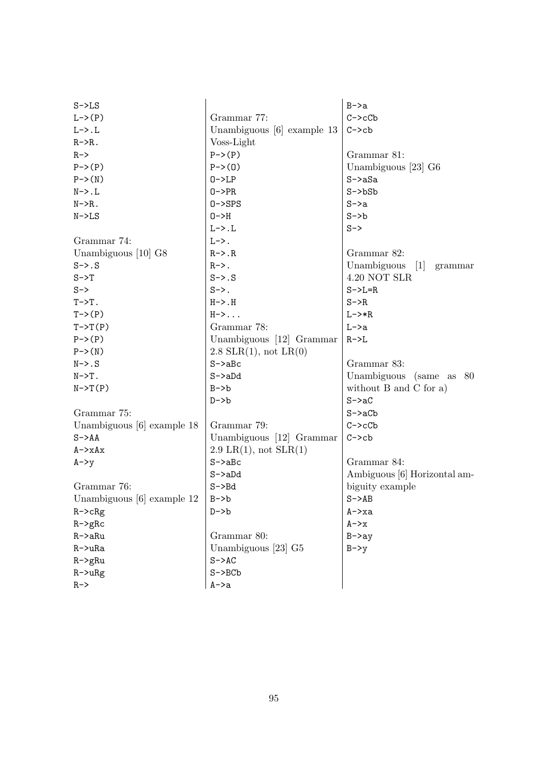| $S->LS$                      |                            | $B->a$                                    |
|------------------------------|----------------------------|-------------------------------------------|
| $L \rightarrow (P)$          | Grammar 77:                | $C->cCb$                                  |
| $L->.L$                      | Unambiguous [6] example 13 | $C->cb$                                   |
| $R->R$ .                     | Voss-Light                 |                                           |
| $R->$                        | $P->(P)$                   | Grammar 81:                               |
| $P \rightarrow (P)$          | $P->(0)$                   | Unambiguous [23] G6                       |
| $P->(N)$                     | $0->LP$                    | $S->aSa$                                  |
| $N->.L$                      | $0->PR$                    | $S->bSb$                                  |
| $N->R$ .                     | $0->SPS$                   | $S->a$                                    |
| $N->LS$                      | $0->H$                     | $S->b$                                    |
|                              | $L->.L$                    | $S->$                                     |
| Grammar 74:                  | $L->$ .                    |                                           |
| Unambiguous [10] G8          | $R->.R$                    | Grammar 82:                               |
| $S->.S$                      | $R->$ .                    | Unambiguous<br>$\vert 1 \vert$<br>grammar |
| $S->T$                       | $S->.S$                    | 4.20 NOT SLR                              |
| $S->$                        | $S->$ .                    | $S->L=R$                                  |
| $T->T$ .                     | $H->.H$                    | $S->R$                                    |
| $T->(P)$                     | $H->.$                     | $L->*R$                                   |
| $T->T(P)$                    | Grammar 78:                | $L->a$                                    |
| $P->(P)$                     | Unambiguous [12] Grammar   | $R->L$                                    |
| $P->(N)$                     | $2.8$ SLR(1), not LR(0)    |                                           |
| $N->.S$                      | $S->aBc$                   | Grammar 83:                               |
| $N->T$ .                     | $S->aDd$                   | Unambiguous (same as 80                   |
| $N->T(P)$                    | $B->b$                     | without $B$ and $C$ for a)                |
|                              | $D->b$                     | $S->aC$                                   |
| Grammar 75:                  |                            | $S->aCb$                                  |
| Unambiguous [6] example 18   | Grammar 79:                | $C->cCb$                                  |
| $S->AA$                      | Unambiguous [12] Grammar   | $C->cb$                                   |
| $A \rightarrow xAx$          | $2.9$ LR(1), not SLR(1)    |                                           |
| $A->y$                       | $S->aBc$                   | Grammar 84:                               |
|                              | $S->aDd$                   | Ambiguous [6] Horizontal am-              |
| Grammar 76:                  | $S->Bd$                    | biguity example                           |
| Unambiguous $[6]$ example 12 | $B->b$                     | $S->AB$                                   |
| $R$ -> $c$ $R$ $g$           | $D->b$                     | A->xa                                     |
| $R->gRc$                     |                            | $A->x$                                    |
| $R$ ->a $Ru$                 | Grammar 80:                | $B->ay$                                   |
| $R$ ->u $Ra$                 | Unambiguous [23] G5        | $B->y$                                    |
| $R$ ->g $Ru$                 | $S->AC$                    |                                           |
| $R->uRg$                     | $S->BCD$                   |                                           |
| $R->$                        | A->a                       |                                           |
|                              |                            |                                           |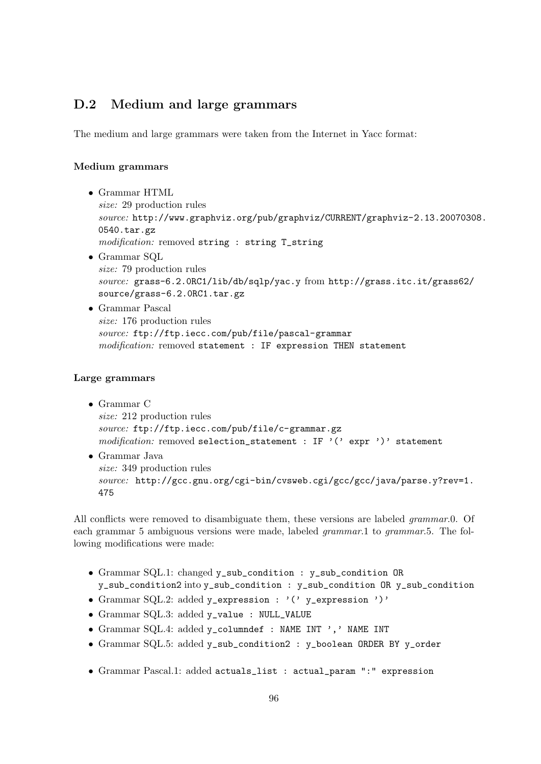#### D.2 Medium and large grammars

The medium and large grammars were taken from the Internet in Yacc format:

#### Medium grammars

- Grammar HTML size: 29 production rules source: [http://www.graphviz.org/pub/graphviz/CURRENT/graphviz-2.13.2007030](http://www.graphviz.org/pub/graphviz/CURRENT/graphviz-2.13.20070308.0540.tar.gz)8. [0540.tar.gz](http://www.graphviz.org/pub/graphviz/CURRENT/graphviz-2.13.20070308.0540.tar.gz) modification: removed string : string T\_string
- Grammar SQL size: 79 production rules source: grass-6.2.0RC1/lib/db/sqlp/yac.y from [http://grass.itc.it/grass62/](http://grass.itc.it/grass62/source/grass-6.2.0RC1.tar.gz) [source/grass-6.2.0RC1.tar.gz](http://grass.itc.it/grass62/source/grass-6.2.0RC1.tar.gz)
- Grammar Pascal size: 176 production rules source: <ftp://ftp.iecc.com/pub/file/pascal-grammar> modification: removed statement : IF expression THEN statement

#### Large grammars

- Grammar C size: 212 production rules source: <ftp://ftp.iecc.com/pub/file/c-grammar.gz> modification: removed selection\_statement : IF '(' expr ')' statement
- Grammar Java size: 349 production rules source: [http://gcc.gnu.org/cgi-bin/cvsweb.cgi/gcc/gcc/java/parse.y?rev=1.](http://gcc.gnu.org/cgi-bin/cvsweb.cgi/gcc/gcc/java/parse.y?rev=1.475) [475](http://gcc.gnu.org/cgi-bin/cvsweb.cgi/gcc/gcc/java/parse.y?rev=1.475)

All conflicts were removed to disambiguate them, these versions are labeled *grammar.*0. Of each grammar 5 ambiguous versions were made, labeled *grammar*.1 to *grammar*.5. The following modifications were made:

- Grammar SQL.1: changed y\_sub\_condition : y\_sub\_condition OR y\_sub\_condition2 into y\_sub\_condition : y\_sub\_condition OR y\_sub\_condition
- Grammar SQL.2: added y\_expression : '(' y\_expression ')'
- Grammar SQL.3: added y\_value : NULL\_VALUE
- Grammar SQL.4: added y\_columndef : NAME INT ',' NAME INT
- Grammar SQL.5: added y\_sub\_condition2 : y\_boolean ORDER BY y\_order
- Grammar Pascal.1: added actuals\_list : actual\_param ":" expression